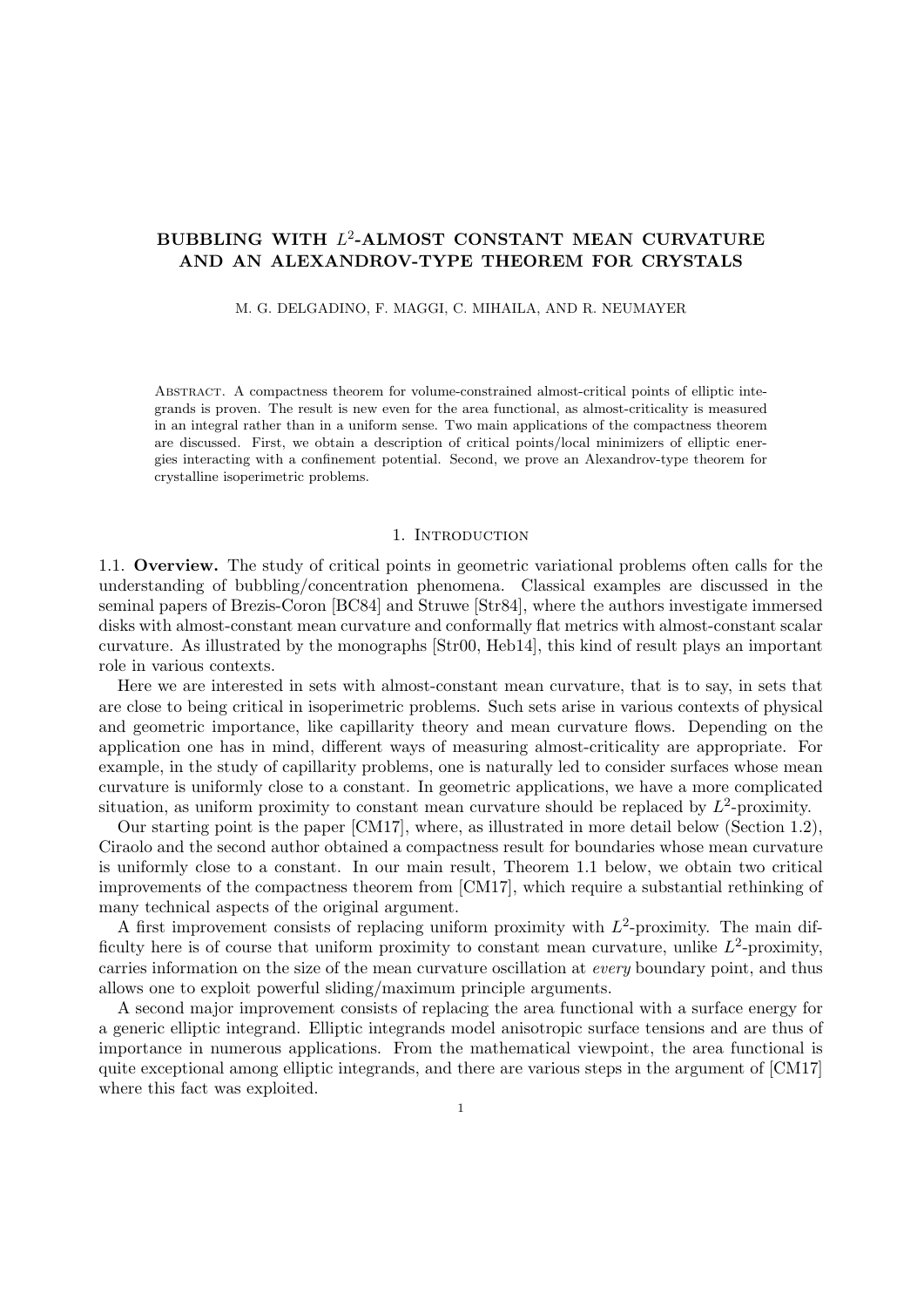# **BUBBLING WITH** *L* 2 **-ALMOST CONSTANT MEAN CURVATURE AND AN ALEXANDROV-TYPE THEOREM FOR CRYSTALS**

M. G. DELGADINO, F. MAGGI, C. MIHAILA, AND R. NEUMAYER

Abstract. A compactness theorem for volume-constrained almost-critical points of elliptic integrands is proven. The result is new even for the area functional, as almost-criticality is measured in an integral rather than in a uniform sense. Two main applications of the compactness theorem are discussed. First, we obtain a description of critical points/local minimizers of elliptic energies interacting with a confinement potential. Second, we prove an Alexandrov-type theorem for crystalline isoperimetric problems.

## 1. INTRODUCTION

1.1. **Overview.** The study of critical points in geometric variational problems often calls for the understanding of bubbling/concentration phenomena. Classical examples are discussed in the seminal papers of Brezis-Coron [BC84] and Struwe [Str84], where the authors investigate immersed disks with almost-constant mean curvature and conformally flat metrics with almost-constant scalar curvature. As illustrated by the monographs [Str00, Heb14], this kind of result plays an important role in various contexts.

Here we are interested in sets with almost-constant mean curvature, that is to say, in sets that are close to being critical in isoperimetric problems. Such sets arise in various contexts of physical and geometric importance, like capillarity theory and mean curvature flows. Depending on the application one has in mind, different ways of measuring almost-criticality are appropriate. For example, in the study of capillarity problems, one is naturally led to consider surfaces whose mean curvature is uniformly close to a constant. In geometric applications, we have a more complicated situation, as uniform proximity to constant mean curvature should be replaced by  $L^2$ -proximity.

Our starting point is the paper [CM17], where, as illustrated in more detail below (Section 1.2), Ciraolo and the second author obtained a compactness result for boundaries whose mean curvature is uniformly close to a constant. In our main result, Theorem 1.1 below, we obtain two critical improvements of the compactness theorem from [CM17], which require a substantial rethinking of many technical aspects of the original argument.

A first improvement consists of replacing uniform proximity with  $L^2$ -proximity. The main difficulty here is of course that uniform proximity to constant mean curvature, unlike  $L^2$ -proximity, carries information on the size of the mean curvature oscillation at *every* boundary point, and thus allows one to exploit powerful sliding/maximum principle arguments.

A second major improvement consists of replacing the area functional with a surface energy for a generic elliptic integrand. Elliptic integrands model anisotropic surface tensions and are thus of importance in numerous applications. From the mathematical viewpoint, the area functional is quite exceptional among elliptic integrands, and there are various steps in the argument of [CM17] where this fact was exploited.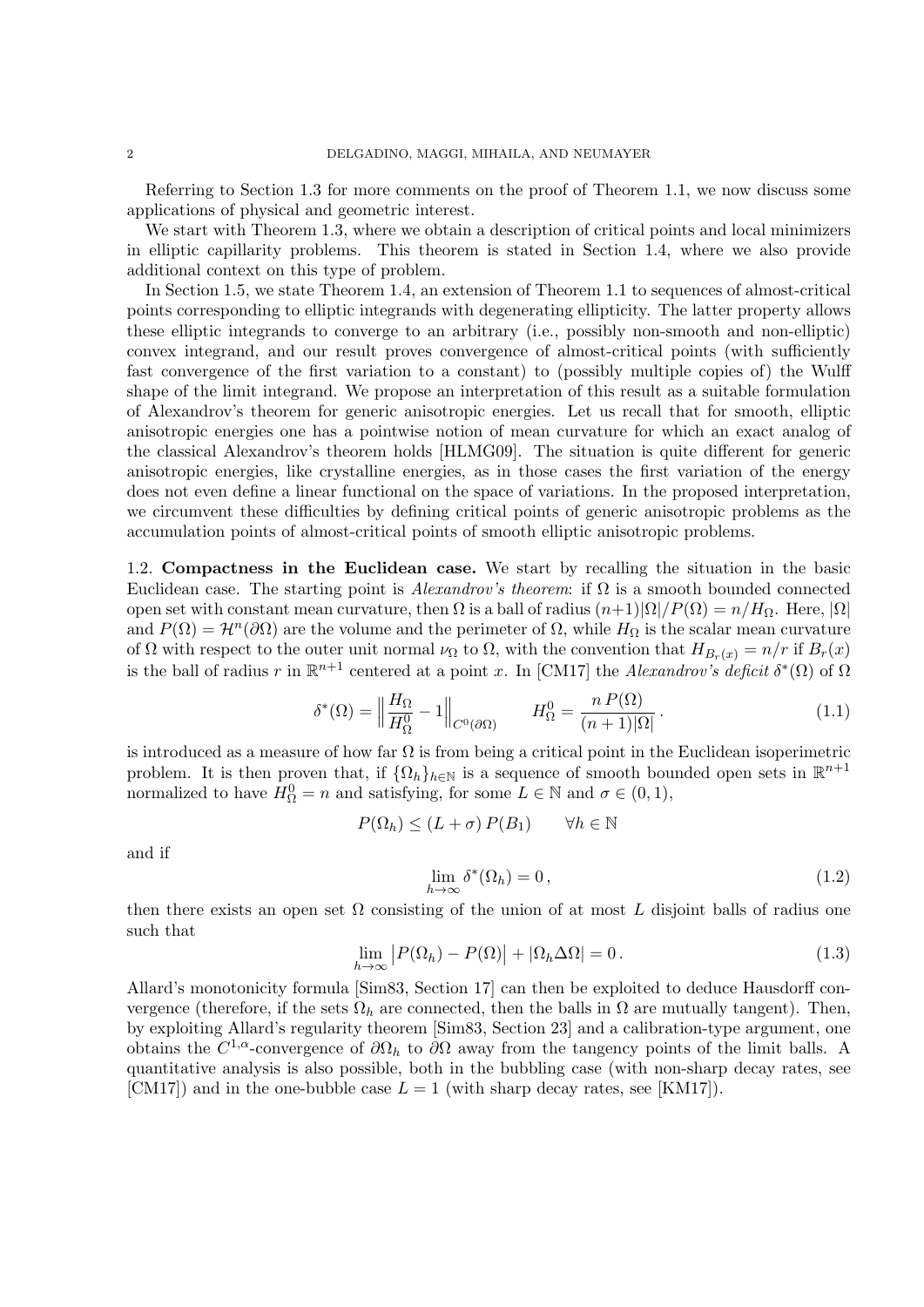Referring to Section 1.3 for more comments on the proof of Theorem 1.1, we now discuss some applications of physical and geometric interest.

We start with Theorem 1.3, where we obtain a description of critical points and local minimizers in elliptic capillarity problems. This theorem is stated in Section 1.4, where we also provide additional context on this type of problem.

In Section 1.5, we state Theorem 1.4, an extension of Theorem 1.1 to sequences of almost-critical points corresponding to elliptic integrands with degenerating ellipticity. The latter property allows these elliptic integrands to converge to an arbitrary (i.e., possibly non-smooth and non-elliptic) convex integrand, and our result proves convergence of almost-critical points (with sufficiently fast convergence of the first variation to a constant) to (possibly multiple copies of) the Wulff shape of the limit integrand. We propose an interpretation of this result as a suitable formulation of Alexandrov's theorem for generic anisotropic energies. Let us recall that for smooth, elliptic anisotropic energies one has a pointwise notion of mean curvature for which an exact analog of the classical Alexandrov's theorem holds [HLMG09]. The situation is quite different for generic anisotropic energies, like crystalline energies, as in those cases the first variation of the energy does not even define a linear functional on the space of variations. In the proposed interpretation, we circumvent these difficulties by defining critical points of generic anisotropic problems as the accumulation points of almost-critical points of smooth elliptic anisotropic problems.

1.2. **Compactness in the Euclidean case.** We start by recalling the situation in the basic Euclidean case. The starting point is  $Alexander's$  theorem: if  $\Omega$  is a smooth bounded connected open set with constant mean curvature, then  $\Omega$  is a ball of radius  $(n+1)|\Omega|/P(\Omega) = n/H_{\Omega}$ . Here,  $|\Omega|$ and  $P(\Omega) = H^n(\partial \Omega)$  are the volume and the perimeter of  $\Omega$ , while  $H_{\Omega}$  is the scalar mean curvature of  $\Omega$  with respect to the outer unit normal  $\nu_{\Omega}$  to  $\Omega$ , with the convention that  $H_{B_r(x)} = n/r$  if  $B_r(x)$ is the ball of radius *r* in  $\mathbb{R}^{n+1}$  centered at a point *x*. In [CM17] the *Alexandrov's deficit*  $\delta^*(\Omega)$  of  $\Omega$ 

$$
\delta^*(\Omega) = \left\| \frac{H_{\Omega}}{H_{\Omega}^0} - 1 \right\|_{C^0(\partial \Omega)} \qquad H_{\Omega}^0 = \frac{n P(\Omega)}{(n+1)|\Omega|} \,. \tag{1.1}
$$

is introduced as a measure of how far  $\Omega$  is from being a critical point in the Euclidean isoperimetric problem. It is then proven that, if  $\{\Omega_h\}_{h\in\mathbb{N}}$  is a sequence of smooth bounded open sets in  $\mathbb{R}^{n+1}$ normalized to have  $H_{\Omega}^0 = n$  and satisfying, for some  $L \in \mathbb{N}$  and  $\sigma \in (0, 1)$ ,

$$
P(\Omega_h) \le (L + \sigma) P(B_1) \qquad \forall h \in \mathbb{N}
$$

and if

$$
\lim_{h \to \infty} \delta^*(\Omega_h) = 0, \qquad (1.2)
$$

then there exists an open set  $\Omega$  consisting of the union of at most L disjoint balls of radius one such that

$$
\lim_{h \to \infty} |P(\Omega_h) - P(\Omega)| + |\Omega_h \Delta \Omega| = 0.
$$
\n(1.3)

Allard's monotonicity formula [Sim83, Section 17] can then be exploited to deduce Hausdorff convergence (therefore, if the sets  $\Omega_h$  are connected, then the balls in  $\Omega$  are mutually tangent). Then, by exploiting Allard's regularity theorem [Sim83, Section 23] and a calibration-type argument, one obtains the  $C^{1,\alpha}$ -convergence of  $\partial\Omega_h$  to  $\partial\Omega$  away from the tangency points of the limit balls. A quantitative analysis is also possible, both in the bubbling case (with non-sharp decay rates, see [CM17]) and in the one-bubble case  $L = 1$  (with sharp decay rates, see [KM17]).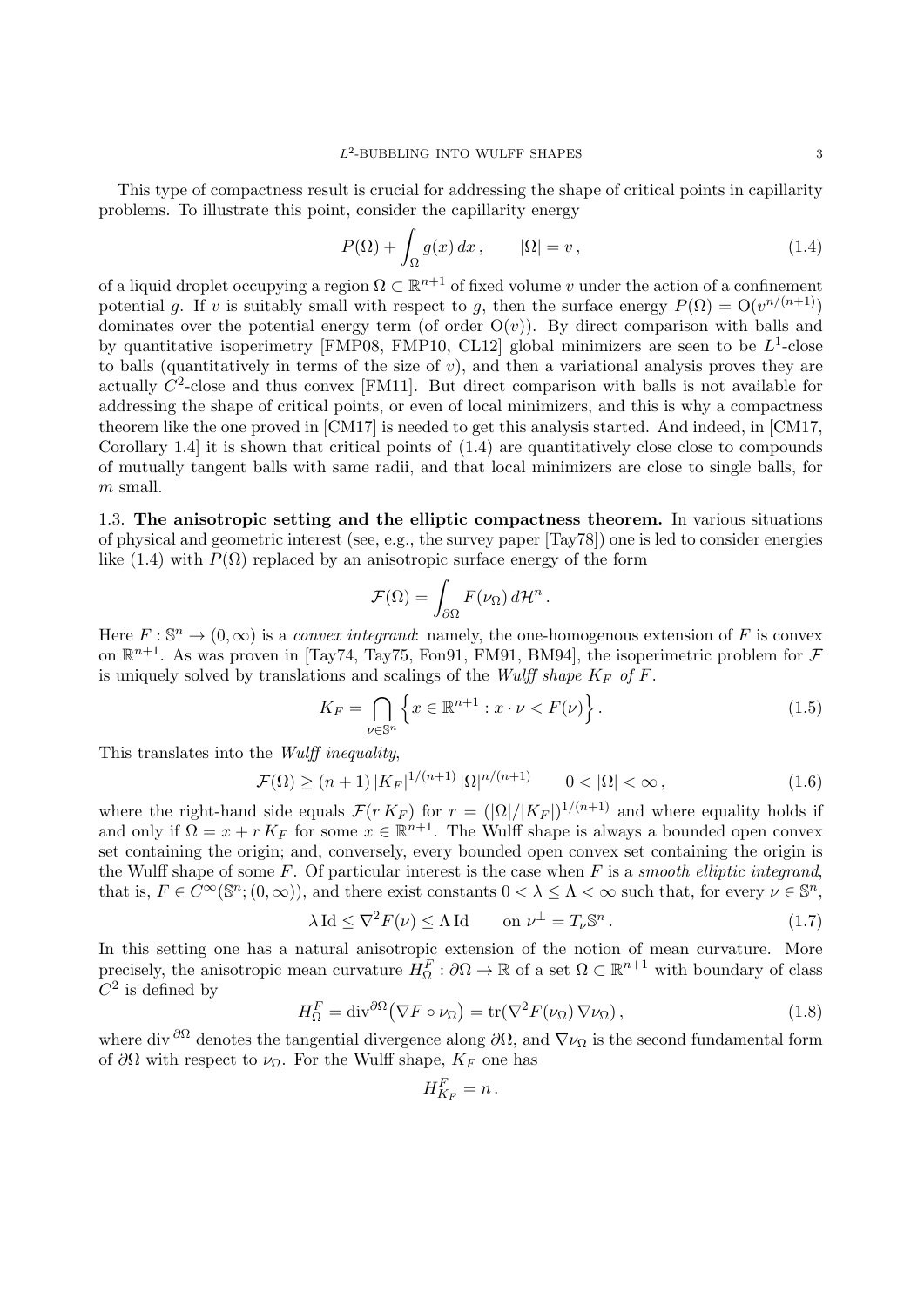This type of compactness result is crucial for addressing the shape of critical points in capillarity problems. To illustrate this point, consider the capillarity energy

$$
P(\Omega) + \int_{\Omega} g(x) dx, \qquad |\Omega| = v, \qquad (1.4)
$$

of a liquid droplet occupying a region  $\Omega \subset \mathbb{R}^{n+1}$  of fixed volume  $v$  under the action of a confinement potential *g*. If *v* is suitably small with respect to *g*, then the surface energy  $P(\Omega) = O(v^{n/(n+1)})$ dominates over the potential energy term (of order  $O(v)$ ). By direct comparison with balls and by quantitative isoperimetry [FMP08, FMP10, CL12] global minimizers are seen to be  $L^1$ -close to balls (quantitatively in terms of the size of *v*), and then a variational analysis proves they are actually  $C^2$ -close and thus convex [FM11]. But direct comparison with balls is not available for addressing the shape of critical points, or even of local minimizers, and this is why a compactness theorem like the one proved in [CM17] is needed to get this analysis started. And indeed, in [CM17, Corollary 1.4] it is shown that critical points of (1.4) are quantitatively close close to compounds of mutually tangent balls with same radii, and that local minimizers are close to single balls, for *m* small.

1.3. **The anisotropic setting and the elliptic compactness theorem.** In various situations of physical and geometric interest (see, e.g., the survey paper [Tay78]) one is led to consider energies like (1.4) with  $P(\Omega)$  replaced by an anisotropic surface energy of the form

$$
\mathcal{F}(\Omega) = \int_{\partial \Omega} F(\nu_{\Omega}) d\mathcal{H}^{n}.
$$

Here  $F : \mathbb{S}^n \to (0, \infty)$  is a *convex integrand*: namely, the one-homogenous extension of F is convex on  $\mathbb{R}^{n+1}$ . As was proven in [Tay74, Tay75, Fon91, FM91, BM94], the isoperimetric problem for  $\mathcal F$ is uniquely solved by translations and scalings of the *Wulff shape*  $K_F$  of  $F$ .

$$
K_F = \bigcap_{\nu \in \mathbb{S}^n} \left\{ x \in \mathbb{R}^{n+1} : x \cdot \nu < F(\nu) \right\}. \tag{1.5}
$$

This translates into the *Wulff inequality*,

$$
\mathcal{F}(\Omega) \ge (n+1) \, |K_F|^{1/(n+1)} \, |\Omega|^{n/(n+1)} \qquad 0 < |\Omega| < \infty \,, \tag{1.6}
$$

where the right-hand side equals  $\mathcal{F}(r K_F)$  for  $r = (|\Omega|/|K_F|)^{1/(n+1)}$  and where equality holds if and only if  $\Omega = x + r K_F$  for some  $x \in \mathbb{R}^{n+1}$ . The Wulff shape is always a bounded open convex set containing the origin; and, conversely, every bounded open convex set containing the origin is the Wulff shape of some *F*. Of particular interest is the case when *F* is a *smooth elliptic integrand*, that is,  $F \in C^{\infty}(\mathbb{S}^n; (0, \infty))$ , and there exist constants  $0 < \lambda \leq \Lambda < \infty$  such that, for every  $\nu \in \mathbb{S}^n$ ,

$$
\lambda \operatorname{Id} \le \nabla^2 F(\nu) \le \Lambda \operatorname{Id} \qquad \text{on } \nu^{\perp} = T_{\nu} \mathbb{S}^n \,. \tag{1.7}
$$

In this setting one has a natural anisotropic extension of the notion of mean curvature. More precisely, the anisotropic mean curvature  $H_{\Omega}^F: \partial \Omega \to \mathbb{R}$  of a set  $\Omega \subset \mathbb{R}^{n+1}$  with boundary of class  $C^2$  is defined by

$$
H_{\Omega}^{F} = \text{div}^{\partial\Omega} (\nabla F \circ \nu_{\Omega}) = \text{tr}(\nabla^{2} F(\nu_{\Omega}) \nabla \nu_{\Omega}), \qquad (1.8)
$$

where div <sup> $\partial\Omega$ </sup> denotes the tangential divergence along  $\partial\Omega$ , and  $\nabla\nu_{\Omega}$  is the second fundamental form of *∂*Ω with respect to *ν*Ω. For the Wulff shape, *K<sup>F</sup>* one has

$$
H_{K_F}^F = n.
$$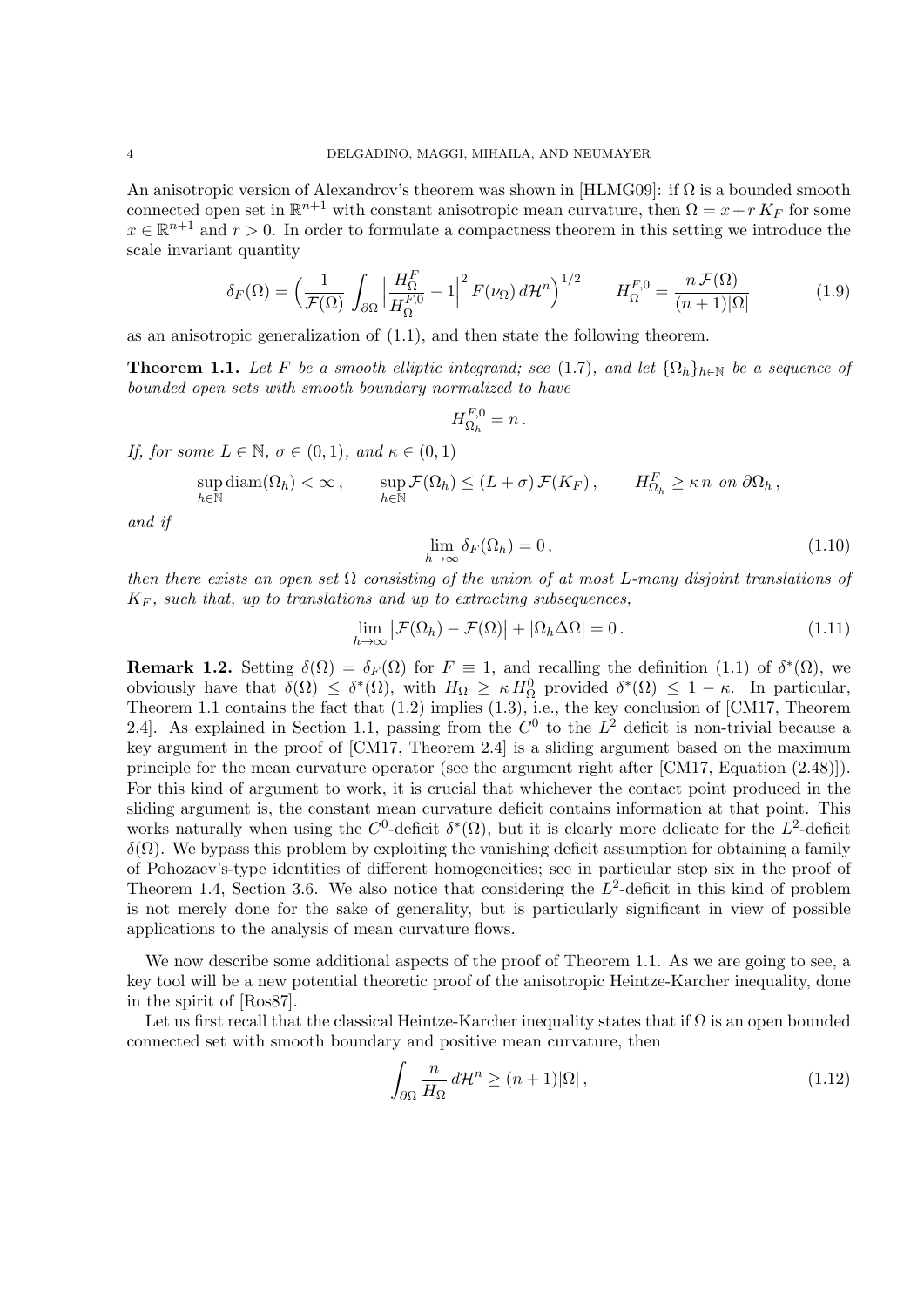An anisotropic version of Alexandrov's theorem was shown in  $[HLMG09]$ : if  $\Omega$  is a bounded smooth connected open set in  $\mathbb{R}^{n+1}$  with constant anisotropic mean curvature, then  $\Omega = x + r K_F$  for some  $x \in \mathbb{R}^{n+1}$  and  $r > 0$ . In order to formulate a compactness theorem in this setting we introduce the scale invariant quantity

$$
\delta_F(\Omega) = \left(\frac{1}{\mathcal{F}(\Omega)} \int_{\partial\Omega} \left| \frac{H_{\Omega}^F}{H_{\Omega}^{F,0}} - 1 \right|^2 F(\nu_{\Omega}) d\mathcal{H}^n \right)^{1/2} \qquad H_{\Omega}^{F,0} = \frac{n \mathcal{F}(\Omega)}{(n+1)|\Omega|} \tag{1.9}
$$

as an anisotropic generalization of (1.1), and then state the following theorem.

**Theorem 1.1.** Let F be a smooth elliptic integrand; see (1.7), and let  $\{\Omega_h\}_{h\in\mathbb{N}}$  be a sequence of *bounded open sets with smooth boundary normalized to have*

$$
H_{\Omega_h}^{F,0}=n.
$$

*If, for some*  $L \in \mathbb{N}$ *,*  $\sigma \in (0,1)$ *, and*  $\kappa \in (0,1)$ 

$$
\sup_{h \in \mathbb{N}} \text{diam}(\Omega_h) < \infty \,, \qquad \sup_{h \in \mathbb{N}} \mathcal{F}(\Omega_h) \le (L + \sigma) \, \mathcal{F}(K_F) \,, \qquad H_{\Omega_h}^F \ge \kappa \, n \, \text{ on } \partial \Omega_h \,,
$$

*and if*

$$
\lim_{h \to \infty} \delta_F(\Omega_h) = 0, \qquad (1.10)
$$

*then there exists an open set* Ω *consisting of the union of at most L-many disjoint translations of*  $K_F$ , such that, up to translations and up to extracting subsequences,

$$
\lim_{h \to \infty} \left| \mathcal{F}(\Omega_h) - \mathcal{F}(\Omega) \right| + \left| \Omega_h \Delta \Omega \right| = 0. \tag{1.11}
$$

**Remark 1.2.** Setting  $\delta(\Omega) = \delta_F(\Omega)$  for  $F \equiv 1$ , and recalling the definition (1.1) of  $\delta^*(\Omega)$ , we obviously have that  $\delta(\Omega) \leq \delta^*(\Omega)$ , with  $H_{\Omega} \geq \kappa H_{\Omega}^0$  provided  $\delta^*(\Omega) \leq 1 - \kappa$ . In particular, Theorem 1.1 contains the fact that (1.2) implies (1.3), i.e., the key conclusion of [CM17, Theorem 2.4. As explained in Section 1.1, passing from the  $C^0$  to the  $L^2$  deficit is non-trivial because a key argument in the proof of [CM17, Theorem 2.4] is a sliding argument based on the maximum principle for the mean curvature operator (see the argument right after [CM17, Equation (2.48)]). For this kind of argument to work, it is crucial that whichever the contact point produced in the sliding argument is, the constant mean curvature deficit contains information at that point. This works naturally when using the  $C^0$ -deficit  $\delta^*(\Omega)$ , but it is clearly more delicate for the  $L^2$ -deficit  $δ(Ω)$ . We bypass this problem by exploiting the vanishing deficit assumption for obtaining a family of Pohozaev's-type identities of different homogeneities; see in particular step six in the proof of Theorem 1.4, Section 3.6. We also notice that considering the  $L^2$ -deficit in this kind of problem is not merely done for the sake of generality, but is particularly significant in view of possible applications to the analysis of mean curvature flows.

We now describe some additional aspects of the proof of Theorem 1.1. As we are going to see, a key tool will be a new potential theoretic proof of the anisotropic Heintze-Karcher inequality, done in the spirit of [Ros87].

Let us first recall that the classical Heintze-Karcher inequality states that if  $\Omega$  is an open bounded connected set with smooth boundary and positive mean curvature, then

$$
\int_{\partial\Omega} \frac{n}{H_{\Omega}} d\mathcal{H}^n \ge (n+1)|\Omega| \,, \tag{1.12}
$$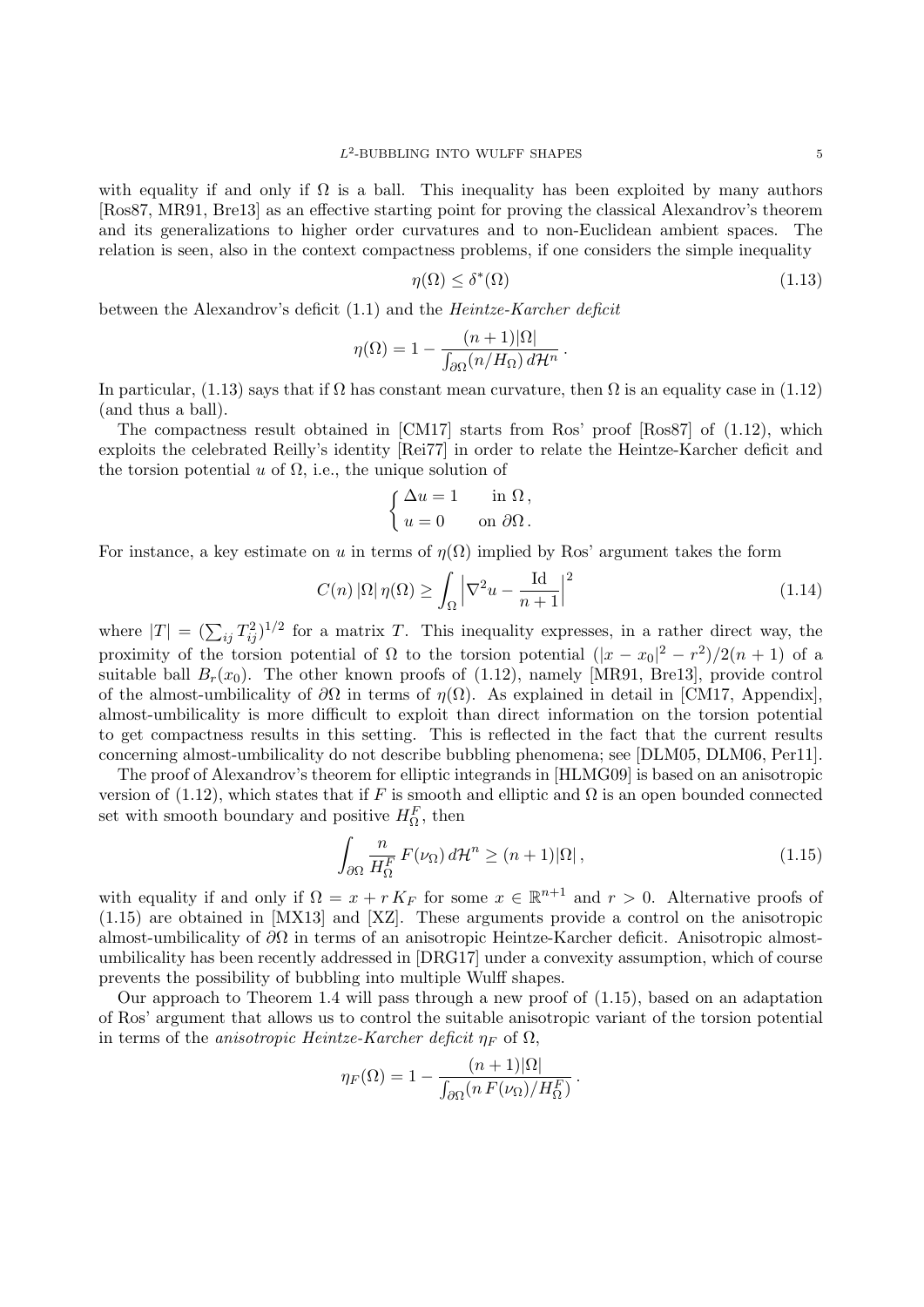with equality if and only if  $\Omega$  is a ball. This inequality has been exploited by many authors [Ros87, MR91, Bre13] as an effective starting point for proving the classical Alexandrov's theorem and its generalizations to higher order curvatures and to non-Euclidean ambient spaces. The relation is seen, also in the context compactness problems, if one considers the simple inequality

$$
\eta(\Omega) \le \delta^*(\Omega) \tag{1.13}
$$

between the Alexandrov's deficit (1.1) and the *Heintze-Karcher deficit*

$$
\eta(\Omega) = 1 - \frac{(n+1)|\Omega|}{\int_{\partial\Omega} (n/H_{\Omega}) d\mathcal{H}^n}
$$

In particular, (1.13) says that if  $\Omega$  has constant mean curvature, then  $\Omega$  is an equality case in (1.12) (and thus a ball).

The compactness result obtained in  $[CM17]$  starts from Ros' proof  $[Ros87]$  of  $(1.12)$ , which exploits the celebrated Reilly's identity [Rei77] in order to relate the Heintze-Karcher deficit and the torsion potential *u* of  $\Omega$ , i.e., the unique solution of

$$
\begin{cases} \Delta u = 1 & \text{in } \Omega, \\ u = 0 & \text{on } \partial\Omega. \end{cases}
$$

For instance, a key estimate on *u* in terms of  $\eta(\Omega)$  implied by Ros' argument takes the form

$$
C(n) |\Omega| \eta(\Omega) \ge \int_{\Omega} \left| \nabla^2 u - \frac{\text{Id}}{n+1} \right|^2 \tag{1.14}
$$

*.*

where  $|T| = (\sum_{ij} T_{ij}^2)^{1/2}$  for a matrix *T*. This inequality expresses, in a rather direct way, the proximity of the torsion potential of  $\Omega$  to the torsion potential  $(|x - x_0|^2 - r^2)/2(n + 1)$  of a suitable ball  $B_r(x_0)$ . The other known proofs of (1.12), namely [MR91, Bre13], provide control of the almost-umbilicality of  $\partial\Omega$  in terms of  $\eta(\Omega)$ . As explained in detail in [CM17, Appendix], almost-umbilicality is more difficult to exploit than direct information on the torsion potential to get compactness results in this setting. This is reflected in the fact that the current results concerning almost-umbilicality do not describe bubbling phenomena; see [DLM05, DLM06, Per11].

The proof of Alexandrov's theorem for elliptic integrands in [HLMG09] is based on an anisotropic version of  $(1.12)$ , which states that if *F* is smooth and elliptic and  $\Omega$  is an open bounded connected set with smooth boundary and positive  $H_{\Omega}^F$ , then

$$
\int_{\partial\Omega} \frac{n}{H_{\Omega}^F} F(\nu_{\Omega}) d\mathcal{H}^n \ge (n+1)|\Omega| \,, \tag{1.15}
$$

with equality if and only if  $\Omega = x + r K_F$  for some  $x \in \mathbb{R}^{n+1}$  and  $r > 0$ . Alternative proofs of (1.15) are obtained in [MX13] and [XZ]. These arguments provide a control on the anisotropic almost-umbilicality of *∂*Ω in terms of an anisotropic Heintze-Karcher deficit. Anisotropic almostumbilicality has been recently addressed in [DRG17] under a convexity assumption, which of course prevents the possibility of bubbling into multiple Wulff shapes.

Our approach to Theorem 1.4 will pass through a new proof of  $(1.15)$ , based on an adaptation of Ros' argument that allows us to control the suitable anisotropic variant of the torsion potential in terms of the *anisotropic Heintze-Karcher deficit*  $\eta_F$  of  $\Omega$ ,

$$
\eta_F(\Omega) = 1 - \frac{(n+1)|\Omega|}{\int_{\partial\Omega} (n F(\nu_{\Omega})/H_{\Omega}^F)}.
$$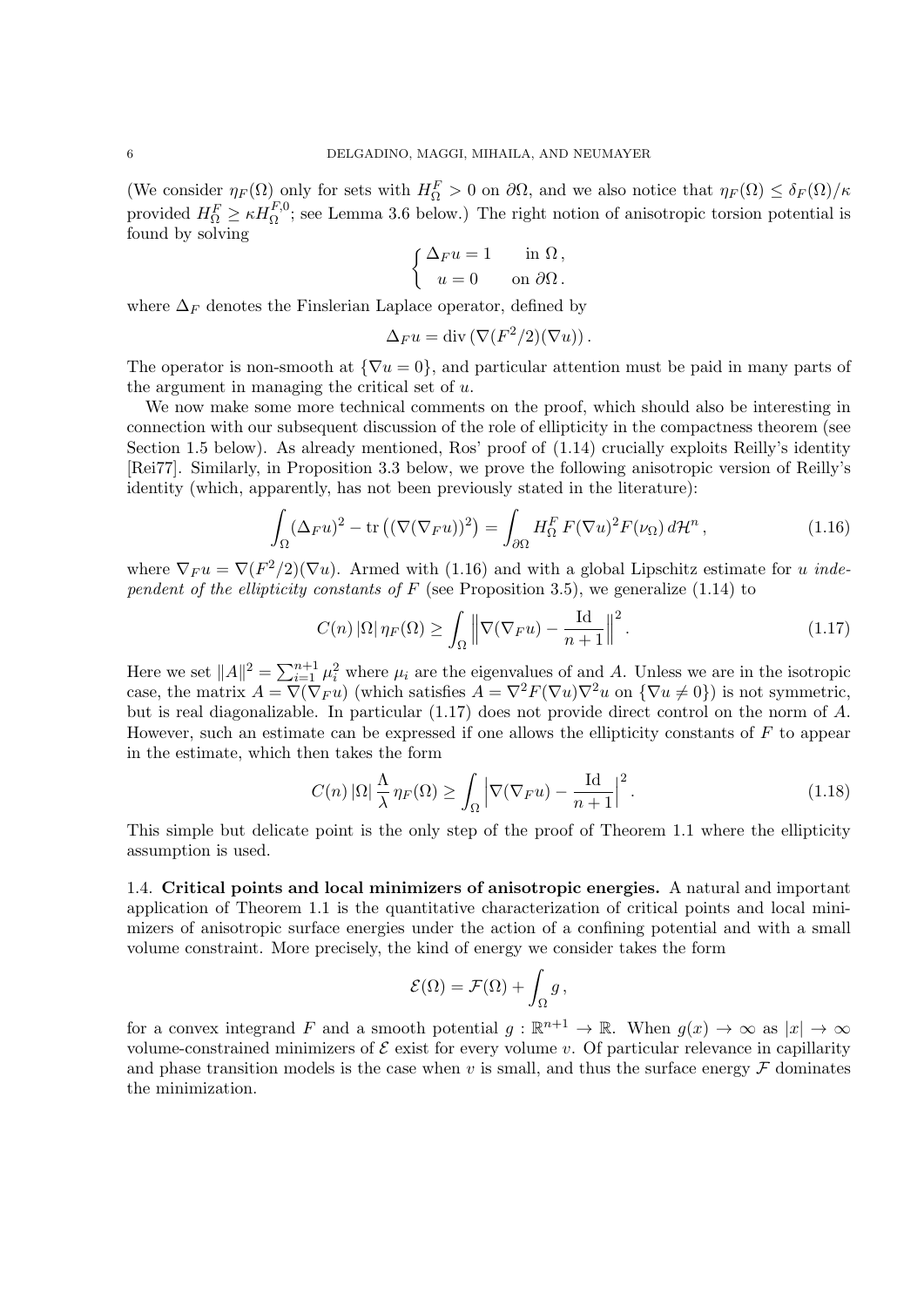(We consider  $\eta_F(\Omega)$  only for sets with  $H^F_{\Omega} > 0$  on  $\partial\Omega$ , and we also notice that  $\eta_F(\Omega) \leq \delta_F(\Omega)/\kappa$ provided  $H_{\Omega}^F \geq \kappa H_{\Omega}^{F,0}$ ; see Lemma 3.6 below.) The right notion of anisotropic torsion potential is found by solving

$$
\begin{cases} \Delta_F u = 1 & \text{in } \Omega, \\ u = 0 & \text{on } \partial\Omega. \end{cases}
$$

where  $\Delta_F$  denotes the Finslerian Laplace operator, defined by

$$
\Delta_F u = \text{div}(\nabla (F^2/2)(\nabla u)).
$$

The operator is non-smooth at  ${\nabla u = 0}$ , and particular attention must be paid in many parts of the argument in managing the critical set of *u*.

We now make some more technical comments on the proof, which should also be interesting in connection with our subsequent discussion of the role of ellipticity in the compactness theorem (see Section 1.5 below). As already mentioned, Ros' proof of (1.14) crucially exploits Reilly's identity [Rei77]. Similarly, in Proposition 3.3 below, we prove the following anisotropic version of Reilly's identity (which, apparently, has not been previously stated in the literature):

$$
\int_{\Omega} (\Delta_F u)^2 - \text{tr}\left( (\nabla (\nabla_F u))^2 \right) = \int_{\partial \Omega} H_{\Omega}^F F(\nabla u)^2 F(\nu_{\Omega}) d\mathcal{H}^n, \qquad (1.16)
$$

where  $\nabla_F u = \nabla(F^2/2)(\nabla u)$ . Armed with (1.16) and with a global Lipschitz estimate for *u independent of the ellipticity constants of F* (see Proposition 3.5), we generalize (1.14) to

$$
C(n) |\Omega| \eta_F(\Omega) \ge \int_{\Omega} \left\| \nabla (\nabla_F u) - \frac{\mathrm{Id}}{n+1} \right\|^2.
$$
 (1.17)

Here we set  $||A||^2 = \sum_{i=1}^{n+1} \mu_i^2$  where  $\mu_i$  are the eigenvalues of and *A*. Unless we are in the isotropic case, the matrix  $A = \nabla(\nabla_F u)$  (which satisfies  $A = \nabla^2 F(\nabla u) \nabla^2 u$  on  ${\nabla u \neq 0}$ ) is not symmetric, but is real diagonalizable. In particular (1.17) does not provide direct control on the norm of *A*. However, such an estimate can be expressed if one allows the ellipticity constants of *F* to appear in the estimate, which then takes the form

$$
C(n) |\Omega| \frac{\Lambda}{\lambda} \eta_F(\Omega) \ge \int_{\Omega} \left| \nabla (\nabla_F u) - \frac{\text{Id}}{n+1} \right|^2.
$$
 (1.18)

This simple but delicate point is the only step of the proof of Theorem 1.1 where the ellipticity assumption is used.

1.4. **Critical points and local minimizers of anisotropic energies.** A natural and important application of Theorem 1.1 is the quantitative characterization of critical points and local minimizers of anisotropic surface energies under the action of a confining potential and with a small volume constraint. More precisely, the kind of energy we consider takes the form

$$
\mathcal{E}(\Omega) = \mathcal{F}(\Omega) + \int_{\Omega} g,
$$

for a convex integrand *F* and a smooth potential  $g : \mathbb{R}^{n+1} \to \mathbb{R}$ . When  $g(x) \to \infty$  as  $|x| \to \infty$ volume-constrained minimizers of  $\mathcal E$  exist for every volume *v*. Of particular relevance in capillarity and phase transition models is the case when  $v$  is small, and thus the surface energy  $\mathcal F$  dominates the minimization.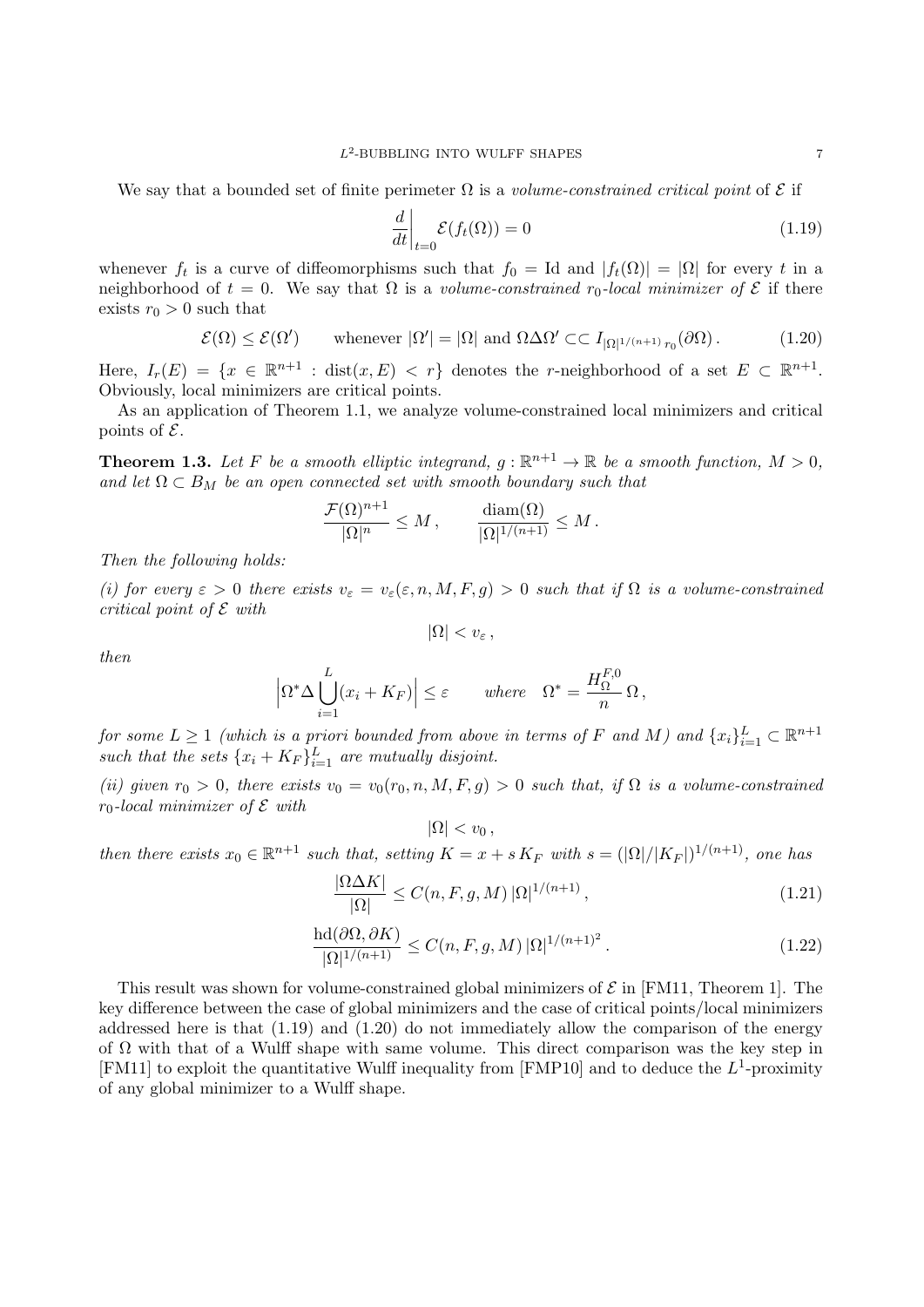We say that a bounded set of finite perimeter  $\Omega$  is a *volume-constrained critical point* of  $\mathcal E$  if

$$
\left. \frac{d}{dt} \right|_{t=0} \mathcal{E}(f_t(\Omega)) = 0 \tag{1.19}
$$

whenever  $f_t$  is a curve of diffeomorphisms such that  $f_0 = \text{Id}$  and  $|f_t(\Omega)| = |\Omega|$  for every *t* in a neighborhood of  $t = 0$ . We say that  $\Omega$  is a *volume-constrained*  $r_0$ -local minimizer of  $\mathcal E$  if there exists  $r_0 > 0$  such that

$$
\mathcal{E}(\Omega) \le \mathcal{E}(\Omega') \qquad \text{whenever } |\Omega'| = |\Omega| \text{ and } \Omega \Delta \Omega' \subset\subset I_{|\Omega|^{1/(n+1)} r_0}(\partial \Omega). \tag{1.20}
$$

Here,  $I_r(E) = \{x \in \mathbb{R}^{n+1} : \text{dist}(x, E) < r\}$  denotes the *r*-neighborhood of a set  $E \subset \mathbb{R}^{n+1}$ . Obviously, local minimizers are critical points.

As an application of Theorem 1.1, we analyze volume-constrained local minimizers and critical points of *E*.

**Theorem 1.3.** Let F be a smooth elliptic integrand,  $g : \mathbb{R}^{n+1} \to \mathbb{R}$  be a smooth function,  $M > 0$ , and let  $\Omega \subset B_M$  be an open connected set with smooth boundary such that

$$
\frac{\mathcal{F}(\Omega)^{n+1}}{|\Omega|^n} \le M \,, \qquad \frac{\text{diam}(\Omega)}{|\Omega|^{1/(n+1)}} \le M \,.
$$

*Then the following holds:*

*(i) for every*  $\varepsilon > 0$  *there exists*  $v_{\varepsilon} = v_{\varepsilon}(\varepsilon, n, M, F, g) > 0$  *such that if*  $\Omega$  *is a volume-constrained critical point of E with*

 $|\Omega|$   $< v_{\varepsilon}$ ,

*then*

$$
\left|\Omega^* \Delta \bigcup_{i=1}^L (x_i + K_F)\right| \le \varepsilon \quad where \quad \Omega^* = \frac{H_{\Omega}^{F,0}}{n} \Omega,
$$

*for some*  $L \geq 1$  *(which is a priori bounded from above in terms of*  $F$  *and*  $M$ *) and*  $\{x_i\}_{i=1}^L \subset \mathbb{R}^{n+1}$ *such that the sets*  $\{x_i + K_F\}_{i=1}^L$  *are mutually disjoint.* 

(*ii*) given  $r_0 > 0$ , there exists  $v_0 = v_0(r_0, n, M, F, g) > 0$  such that, if  $\Omega$  is a volume-constrained *r*0*-local minimizer of E with*

 $|\Omega|$  *< v*<sub>0</sub>,

then there exists  $x_0 \in \mathbb{R}^{n+1}$  such that, setting  $K = x + sK_F$  with  $s = (|\Omega|/|K_F|)^{1/(n+1)}$ , one has

$$
\frac{|\Omega \Delta K|}{|\Omega|} \le C(n, F, g, M) |\Omega|^{1/(n+1)}, \qquad (1.21)
$$

$$
\frac{\operatorname{hd}(\partial\Omega,\partial K)}{|\Omega|^{1/(n+1)}} \le C(n,F,g,M) \, |\Omega|^{1/(n+1)^2} \,. \tag{1.22}
$$

This result was shown for volume-constrained global minimizers of *E* in [FM11, Theorem 1]. The key difference between the case of global minimizers and the case of critical points/local minimizers addressed here is that  $(1.19)$  and  $(1.20)$  do not immediately allow the comparison of the energy of  $\Omega$  with that of a Wulff shape with same volume. This direct comparison was the key step in [FM11] to exploit the quantitative Wulff inequality from [FMP10] and to deduce the L<sup>1</sup>-proximity of any global minimizer to a Wulff shape.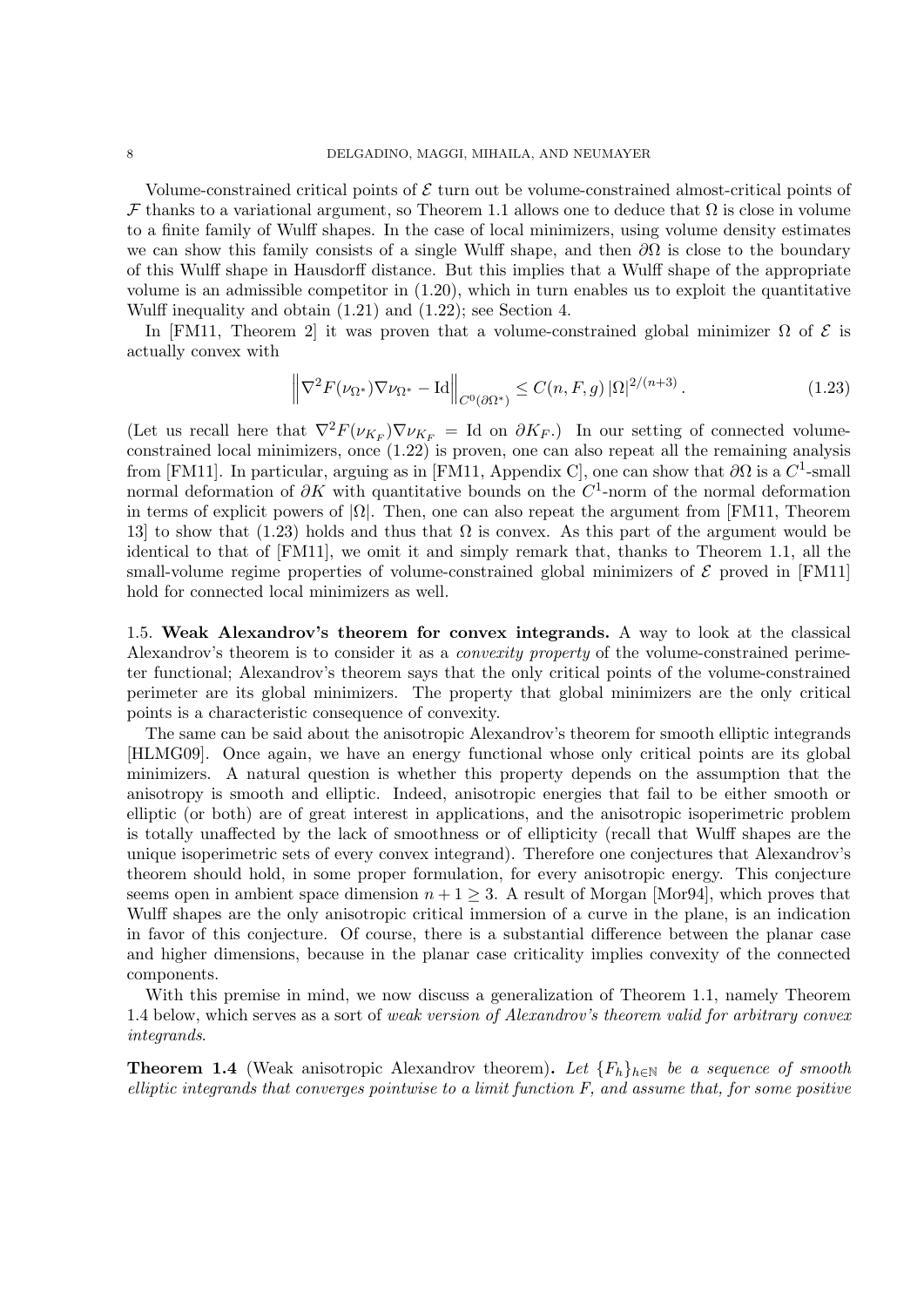Volume-constrained critical points of *E* turn out be volume-constrained almost-critical points of *F* thanks to a variational argument, so Theorem 1.1 allows one to deduce that  $\Omega$  is close in volume to a finite family of Wulff shapes. In the case of local minimizers, using volume density estimates we can show this family consists of a single Wulff shape, and then *∂*Ω is close to the boundary of this Wulff shape in Hausdorff distance. But this implies that a Wulff shape of the appropriate volume is an admissible competitor in  $(1.20)$ , which in turn enables us to exploit the quantitative Wulff inequality and obtain (1.21) and (1.22); see Section 4.

In [FM11, Theorem 2] it was proven that a volume-constrained global minimizer  $\Omega$  of  $\mathcal E$  is actually convex with

$$
\left\|\nabla^2 F(\nu_{\Omega^*}) \nabla \nu_{\Omega^*} - \text{Id}\right\|_{C^0(\partial \Omega^*)} \le C(n, F, g) |\Omega|^{2/(n+3)}.
$$
\n(1.23)

(Let us recall here that  $\nabla^2 F(\nu_{K_F}) \nabla \nu_{K_F} = \text{Id}$  on  $\partial K_F$ .) In our setting of connected volumeconstrained local minimizers, once  $(1.22)$  is proven, one can also repeat all the remaining analysis from [FM11]. In particular, arguing as in [FM11, Appendix C], one can show that  $\partial\Omega$  is a  $C^1$ -small normal deformation of *∂K* with quantitative bounds on the *C* 1 -norm of the normal deformation in terms of explicit powers of  $|\Omega|$ . Then, one can also repeat the argument from [FM11, Theorem 13] to show that (1.23) holds and thus that  $\Omega$  is convex. As this part of the argument would be identical to that of [FM11], we omit it and simply remark that, thanks to Theorem 1.1, all the small-volume regime properties of volume-constrained global minimizers of  $\mathcal E$  proved in [FM11] hold for connected local minimizers as well.

1.5. **Weak Alexandrov's theorem for convex integrands.** A way to look at the classical Alexandrov's theorem is to consider it as a *convexity property* of the volume-constrained perimeter functional; Alexandrov's theorem says that the only critical points of the volume-constrained perimeter are its global minimizers. The property that global minimizers are the only critical points is a characteristic consequence of convexity.

The same can be said about the anisotropic Alexandrov's theorem for smooth elliptic integrands [HLMG09]. Once again, we have an energy functional whose only critical points are its global minimizers. A natural question is whether this property depends on the assumption that the anisotropy is smooth and elliptic. Indeed, anisotropic energies that fail to be either smooth or elliptic (or both) are of great interest in applications, and the anisotropic isoperimetric problem is totally unaffected by the lack of smoothness or of ellipticity (recall that Wulff shapes are the unique isoperimetric sets of every convex integrand). Therefore one conjectures that Alexandrov's theorem should hold, in some proper formulation, for every anisotropic energy. This conjecture seems open in ambient space dimension  $n + 1 \geq 3$ . A result of Morgan [Mor94], which proves that Wulff shapes are the only anisotropic critical immersion of a curve in the plane, is an indication in favor of this conjecture. Of course, there is a substantial difference between the planar case and higher dimensions, because in the planar case criticality implies convexity of the connected components.

With this premise in mind, we now discuss a generalization of Theorem 1.1, namely Theorem 1.4 below, which serves as a sort of *weak version of Alexandrov's theorem valid for arbitrary convex integrands*.

**Theorem 1.4** (Weak anisotropic Alexandrov theorem). Let  ${F_h}_{h \in \mathbb{N}}$  be a sequence of smooth *elliptic integrands that converges pointwise to a limit function F, and assume that, for some positive*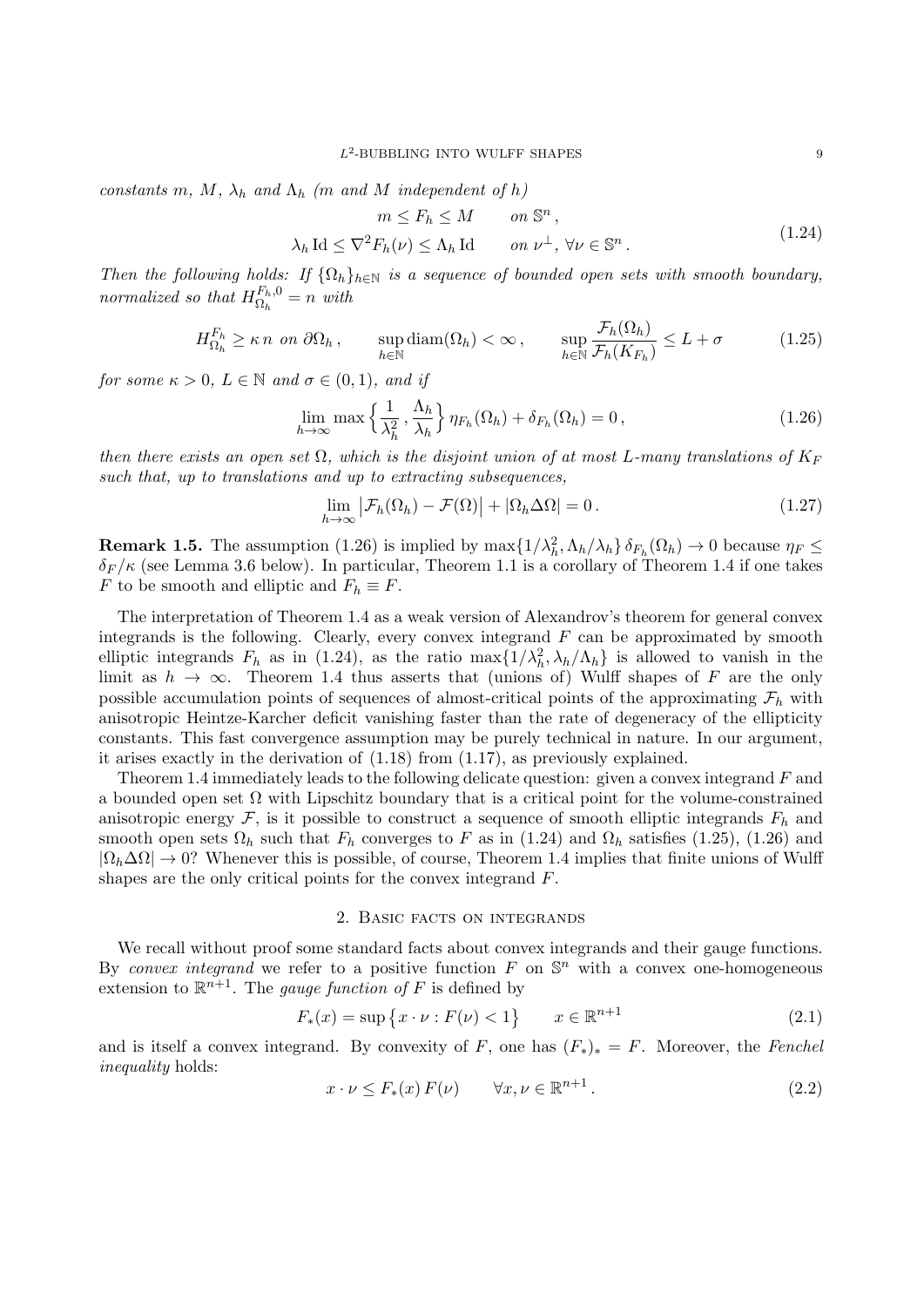*constants*  $m, M, \lambda_h$  *and*  $\Lambda_h$  ( $m$  *and*  $M$  *independent* of  $h$ )

$$
m \le F_h \le M \qquad on \ \mathbb{S}^n,
$$
  

$$
\lambda_h \operatorname{Id} \le \nabla^2 F_h(\nu) \le \Lambda_h \operatorname{Id} \qquad on \ \nu^{\perp}, \ \forall \nu \in \mathbb{S}^n.
$$
 (1.24)

*Then the following holds: If*  $\{\Omega_h\}_{h\in\mathbb{N}}$  *is a sequence of bounded open sets with smooth boundary, normalized so that*  $H_{\Omega}^{F_h,0}$  $\Omega_h^{F_h,0} = n$  *with* 

$$
H_{\Omega_h}^{F_h} \ge \kappa n \text{ on } \partial\Omega_h, \quad \sup_{h \in \mathbb{N}} \text{diam}(\Omega_h) < \infty, \quad \sup_{h \in \mathbb{N}} \frac{\mathcal{F}_h(\Omega_h)}{\mathcal{F}_h(K_{F_h})} \le L + \sigma \tag{1.25}
$$

*for some*  $\kappa > 0$ *,*  $L \in \mathbb{N}$  *and*  $\sigma \in (0, 1)$ *, and if* 

$$
\lim_{h \to \infty} \max \left\{ \frac{1}{\lambda_h^2}, \frac{\Lambda_h}{\lambda_h} \right\} \eta_{F_h}(\Omega_h) + \delta_{F_h}(\Omega_h) = 0, \qquad (1.26)
$$

*then there exists an open set*  $\Omega$ , which is the disjoint union of at most *L-many translations of*  $K_F$ *such that, up to translations and up to extracting subsequences,*

$$
\lim_{h \to \infty} \left| \mathcal{F}_h(\Omega_h) - \mathcal{F}(\Omega) \right| + \left| \Omega_h \Delta \Omega \right| = 0. \tag{1.27}
$$

**Remark 1.5.** The assumption (1.26) is implied by  $\max\{1/\lambda_h^2, \Lambda_h/\lambda_h\}$   $\delta_{F_h}(\Omega_h) \to 0$  because  $\eta_F \leq$  $\delta_F/\kappa$  (see Lemma 3.6 below). In particular, Theorem 1.1 is a corollary of Theorem 1.4 if one takes *F* to be smooth and elliptic and  $F_h \equiv F$ .

The interpretation of Theorem 1.4 as a weak version of Alexandrov's theorem for general convex integrands is the following. Clearly, every convex integrand *F* can be approximated by smooth elliptic integrands  $F_h$  as in (1.24), as the ratio  $\max\{1/\lambda_h^2, \lambda_h/\Lambda_h\}$  is allowed to vanish in the limit as  $h \to \infty$ . Theorem 1.4 thus asserts that (unions of) Wulff shapes of *F* are the only possible accumulation points of sequences of almost-critical points of the approximating  $\mathcal{F}_h$  with anisotropic Heintze-Karcher deficit vanishing faster than the rate of degeneracy of the ellipticity constants. This fast convergence assumption may be purely technical in nature. In our argument, it arises exactly in the derivation of (1.18) from (1.17), as previously explained.

Theorem 1.4 immediately leads to the following delicate question: given a convex integrand *F* and a bounded open set  $\Omega$  with Lipschitz boundary that is a critical point for the volume-constrained anisotropic energy  $\mathcal{F}$ , is it possible to construct a sequence of smooth elliptic integrands  $F_h$  and smooth open sets  $\Omega_h$  such that  $F_h$  converges to *F* as in (1.24) and  $\Omega_h$  satisfies (1.25), (1.26) and  $|\Omega_h\Delta\Omega| \to 0$ ? Whenever this is possible, of course, Theorem 1.4 implies that finite unions of Wulff shapes are the only critical points for the convex integrand *F*.

#### 2. Basic facts on integrands

We recall without proof some standard facts about convex integrands and their gauge functions. By *convex integrand* we refer to a positive function  $F$  on  $\mathbb{S}^n$  with a convex one-homogeneous extension to  $\mathbb{R}^{n+1}$ . The *gauge function of F* is defined by

$$
F_*(x) = \sup \{ x \cdot \nu : F(\nu) < 1 \} \qquad x \in \mathbb{R}^{n+1} \tag{2.1}
$$

and is itself a convex integrand. By convexity of *F*, one has  $(F_*)_* = F$ . Moreover, the *Fenchel inequality* holds:

$$
x \cdot \nu \le F_*(x) F(\nu) \qquad \forall x, \nu \in \mathbb{R}^{n+1}.
$$
\n
$$
(2.2)
$$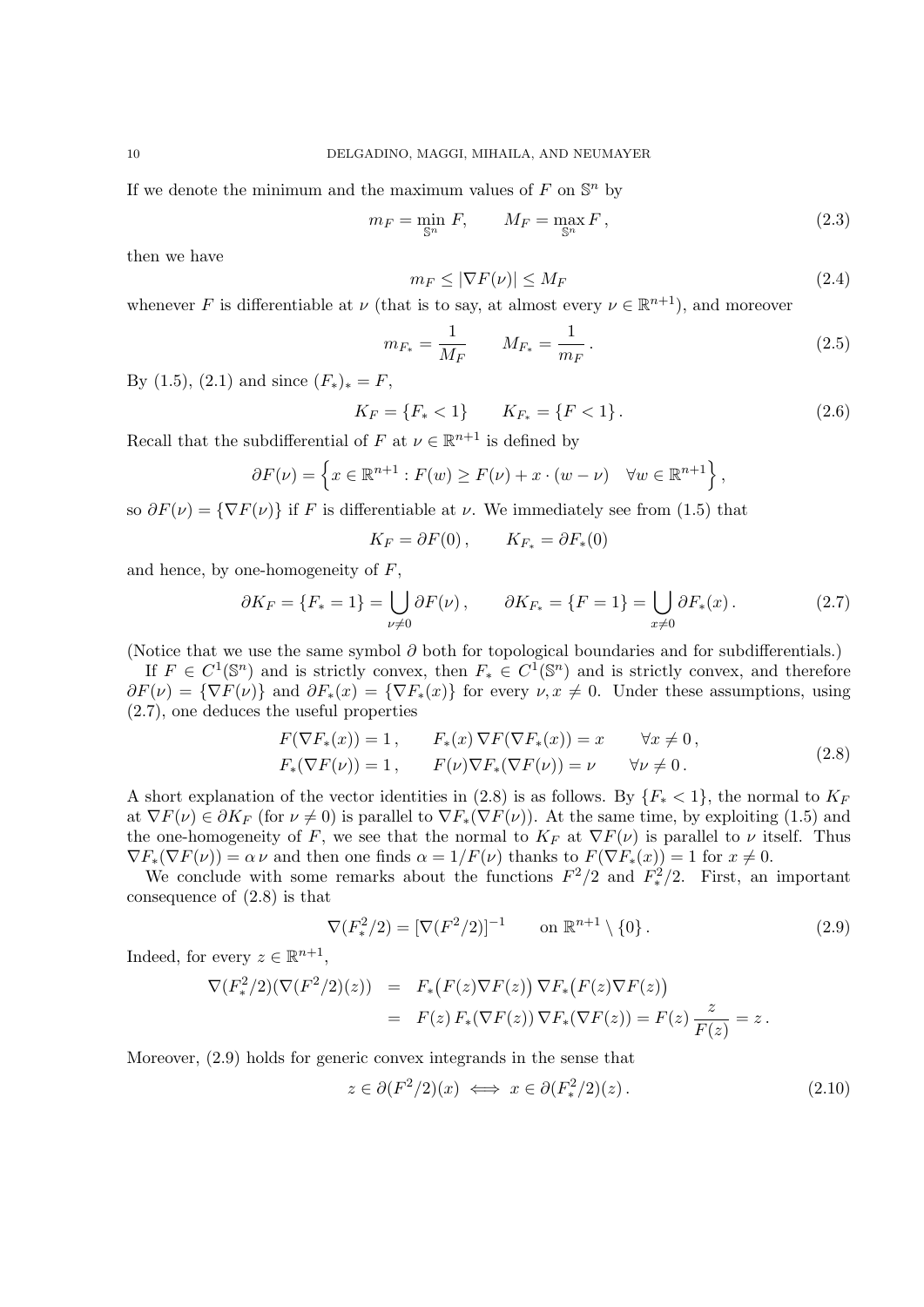If we denote the minimum and the maximum values of  $F$  on  $\mathbb{S}^n$  by

$$
m_F = \min_{\mathbb{S}^n} F, \qquad M_F = \max_{\mathbb{S}^n} F,
$$
\n(2.3)

then we have

$$
m_F \le |\nabla F(\nu)| \le M_F \tag{2.4}
$$

whenever *F* is differentiable at *ν* (that is to say, at almost every  $\nu \in \mathbb{R}^{n+1}$ ), and moreover

$$
m_{F_*} = \frac{1}{M_F} \qquad M_{F_*} = \frac{1}{m_F} \,. \tag{2.5}
$$

By (1.5), (2.1) and since  $(F_*)_* = F$ ,

$$
K_F = \{F_* < 1\} \qquad K_{F_*} = \{F < 1\} \,. \tag{2.6}
$$

Recall that the subdifferential of *F* at  $\nu \in \mathbb{R}^{n+1}$  is defined by

$$
\partial F(\nu) = \left\{ x \in \mathbb{R}^{n+1} : F(w) \ge F(\nu) + x \cdot (w - \nu) \quad \forall w \in \mathbb{R}^{n+1} \right\},\
$$

so  $\partial F(\nu) = {\nabla F(\nu)}$  if *F* is differentiable at *v*. We immediately see from (1.5) that

$$
K_F = \partial F(0) \,, \qquad K_{F_*} = \partial F_*(0)
$$

and hence, by one-homogeneity of *F*,

$$
\partial K_F = \{F_* = 1\} = \bigcup_{\nu \neq 0} \partial F(\nu), \qquad \partial K_{F_*} = \{F = 1\} = \bigcup_{x \neq 0} \partial F_*(x). \tag{2.7}
$$

(Notice that we use the same symbol *∂* both for topological boundaries and for subdifferentials.)

If  $F \in C^1(\mathbb{S}^n)$  and is strictly convex, then  $F_* \in C^1(\mathbb{S}^n)$  and is strictly convex, and therefore  $\partial F(\nu) = {\nabla F(\nu)}$  and  $\partial F_*(x) = {\nabla F_*(x)}$  for every  $\nu, x \neq 0$ . Under these assumptions, using (2.7), one deduces the useful properties

$$
F(\nabla F_*(x)) = 1, \qquad F_*(x) \nabla F(\nabla F_*(x)) = x \qquad \forall x \neq 0,
$$
  
\n
$$
F_*(\nabla F(\nu)) = 1, \qquad F(\nu) \nabla F_*(\nabla F(\nu)) = \nu \qquad \forall \nu \neq 0.
$$
\n(2.8)

A short explanation of the vector identities in (2.8) is as follows. By  ${F_* < 1}$ , the normal to  $K_F$ at  $\nabla F(\nu) \in \partial K_F$  (for  $\nu \neq 0$ ) is parallel to  $\nabla F_*(\nabla F(\nu))$ . At the same time, by exploiting (1.5) and the one-homogeneity of *F*, we see that the normal to  $K_F$  at  $\nabla F(\nu)$  is parallel to  $\nu$  itself. Thus  $\nabla F_*(\nabla F(\nu)) = \alpha \nu$  and then one finds  $\alpha = 1/F(\nu)$  thanks to  $F(\nabla F_*(x)) = 1$  for  $x \neq 0$ .

We conclude with some remarks about the functions  $F^2/2$  and  $F_*^2/2$ . First, an important consequence of (2.8) is that

$$
\nabla (F^2_*/2) = [\nabla (F^2/2)]^{-1} \qquad \text{on } \mathbb{R}^{n+1} \setminus \{0\}.
$$
 (2.9)

Indeed, for every  $z \in \mathbb{R}^{n+1}$ ,

$$
\nabla(F_*^2/2)(\nabla(F^2/2)(z)) = F_*\big(F(z)\nabla F(z)\big) \nabla F_*\big(F(z)\nabla F(z)\big) \n= F(z) F_*\big(\nabla F(z)\big) \nabla F_*\big(\nabla F(z)\big) = F(z) \frac{z}{F(z)} = z.
$$

Moreover, (2.9) holds for generic convex integrands in the sense that

$$
z \in \partial (F^2/2)(x) \iff x \in \partial (F^2_*/2)(z). \tag{2.10}
$$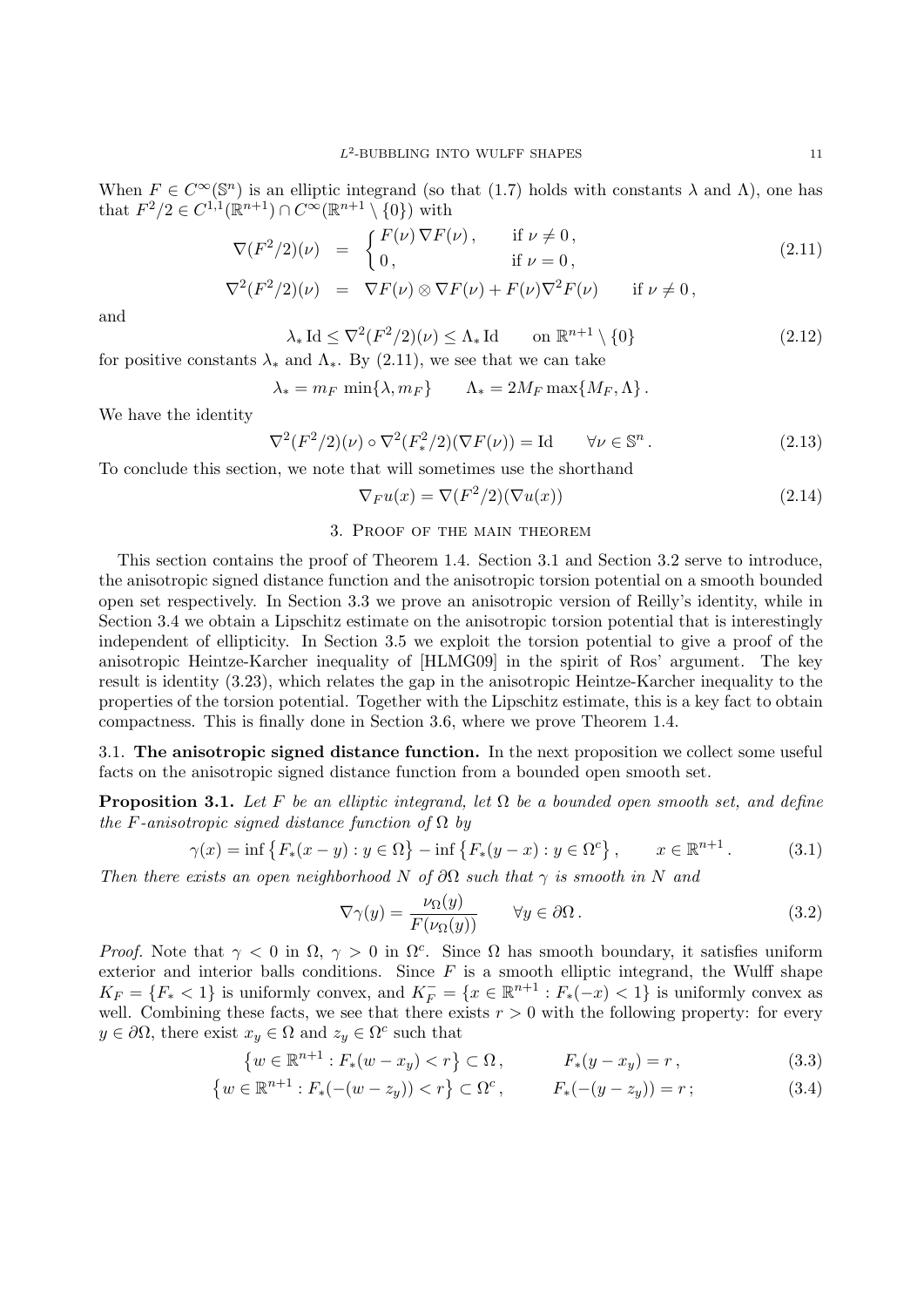When  $F \in C^{\infty}(\mathbb{S}^n)$  is an elliptic integrand (so that (1.7) holds with constants  $\lambda$  and  $\Lambda$ ), one has that  $F^2/2 \in C^{1,1}(\mathbb{R}^{n+1}) \cap C^\infty(\mathbb{R}^{n+1} \setminus \{0\})$  with

$$
\nabla(F^2/2)(\nu) = \begin{cases} F(\nu) \nabla F(\nu), & \text{if } \nu \neq 0, \\ 0, & \text{if } \nu = 0, \end{cases}
$$
\n(2.11)

$$
\nabla^2 (F^2/2)(\nu) = \nabla F(\nu) \otimes \nabla F(\nu) + F(\nu) \nabla^2 F(\nu) \quad \text{if } \nu \neq 0,
$$

and

$$
\lambda_* \operatorname{Id} \le \nabla^2 (F^2/2)(\nu) \le \Lambda_* \operatorname{Id} \qquad \text{on } \mathbb{R}^{n+1} \setminus \{0\} \tag{2.12}
$$

for positive constants  $\lambda_*$  and  $\Lambda_*$ . By (2.11), we see that we can take

$$
\lambda_* = m_F \min\{\lambda, m_F\} \qquad \Lambda_* = 2M_F \max\{M_F, \Lambda\}.
$$

We have the identity

$$
\nabla^2 (F^2/2)(\nu) \circ \nabla^2 (F^2_*/2)(\nabla F(\nu)) = \text{Id} \qquad \forall \nu \in \mathbb{S}^n \,.
$$

To conclude this section, we note that will sometimes use the shorthand

$$
\nabla_F u(x) = \nabla(F^2/2)(\nabla u(x))\tag{2.14}
$$

#### 3. Proof of the main theorem

This section contains the proof of Theorem 1.4. Section 3.1 and Section 3.2 serve to introduce, the anisotropic signed distance function and the anisotropic torsion potential on a smooth bounded open set respectively. In Section 3.3 we prove an anisotropic version of Reilly's identity, while in Section 3.4 we obtain a Lipschitz estimate on the anisotropic torsion potential that is interestingly independent of ellipticity. In Section 3.5 we exploit the torsion potential to give a proof of the anisotropic Heintze-Karcher inequality of [HLMG09] in the spirit of Ros' argument. The key result is identity (3.23), which relates the gap in the anisotropic Heintze-Karcher inequality to the properties of the torsion potential. Together with the Lipschitz estimate, this is a key fact to obtain compactness. This is finally done in Section 3.6, where we prove Theorem 1.4.

3.1. **The anisotropic signed distance function.** In the next proposition we collect some useful facts on the anisotropic signed distance function from a bounded open smooth set.

**Proposition 3.1.** *Let*  $F$  *be an elliptic integrand, let*  $\Omega$  *be a bounded open smooth set, and define the F*-anisotropic signed distance function of  $\Omega$  *by* 

$$
\gamma(x) = \inf \{ F_*(x - y) : y \in \Omega \} - \inf \{ F_*(y - x) : y \in \Omega^c \}, \qquad x \in \mathbb{R}^{n+1}.
$$
 (3.1)

*Then there exists an open neighborhood N of*  $\partial\Omega$  *such that*  $\gamma$  *is smooth in N and* 

$$
\nabla \gamma(y) = \frac{\nu_{\Omega}(y)}{F(\nu_{\Omega}(y))} \qquad \forall y \in \partial \Omega.
$$
 (3.2)

*Proof.* Note that  $\gamma$  < 0 in  $\Omega$ ,  $\gamma$  > 0 in  $\Omega$ <sup>c</sup>. Since  $\Omega$  has smooth boundary, it satisfies uniform exterior and interior balls conditions. Since  $F$  is a smooth elliptic integrand, the Wulff shape  $K_F = \{F_* < 1\}$  is uniformly convex, and  $K_F^- = \{x \in \mathbb{R}^{n+1} : F_*(-x) < 1\}$  is uniformly convex as well. Combining these facts, we see that there exists  $r > 0$  with the following property: for every  $y \in \partial\Omega$ , there exist  $x_y \in \Omega$  and  $z_y \in \Omega^c$  such that

$$
\{w \in \mathbb{R}^{n+1} : F_*(w - x_y) < r\} \subset \Omega \,, \qquad F_*(y - x_y) = r \,, \tag{3.3}
$$

$$
\{w \in \mathbb{R}^{n+1} : F_*(-(w - z_y)) < r\} \subset \Omega^c, \qquad F_*(-(y - z_y)) = r \tag{3.4}
$$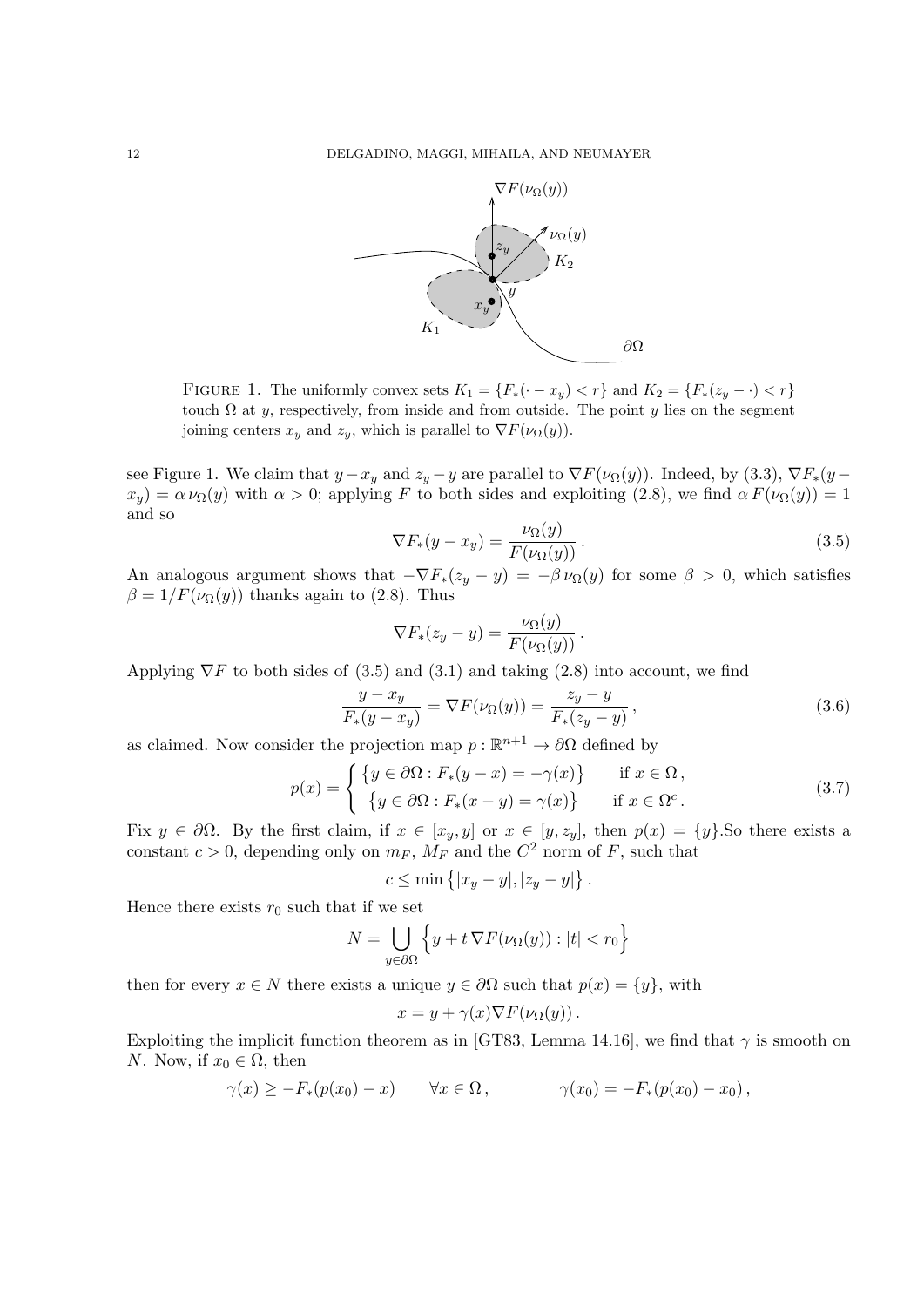

FIGURE 1. The uniformly convex sets  $K_1 = \{F_*(\cdot - x_y) < r\}$  and  $K_2 = \{F_*(z_y - \cdot) < r\}$ touch  $\Omega$  at *y*, respectively, from inside and from outside. The point *y* lies on the segment joining centers  $x_y$  and  $z_y$ , which is parallel to  $\nabla F(\nu_{\Omega}(y))$ .

see Figure 1. We claim that  $y - x_y$  and  $z_y - y$  are parallel to  $\nabla F(\nu_{\Omega}(y))$ . Indeed, by (3.3),  $\nabla F_*(y - y)$  $x_y$ ) =  $\alpha \nu_{\Omega}(y)$  with  $\alpha > 0$ ; applying *F* to both sides and exploiting (2.8), we find  $\alpha F(\nu_{\Omega}(y)) = 1$ and so

$$
\nabla F_*(y - x_y) = \frac{\nu_{\Omega}(y)}{F(\nu_{\Omega}(y))}.
$$
\n(3.5)

An analogous argument shows that  $-\nabla F_*(z_y - y) = -\beta \nu_\Omega(y)$  for some  $\beta > 0$ , which satisfies  $\beta = 1/F(\nu_{\Omega}(y))$  thanks again to (2.8). Thus

$$
\nabla F_*(z_y - y) = \frac{\nu_{\Omega}(y)}{F(\nu_{\Omega}(y))}.
$$

Applying  $\nabla F$  to both sides of (3.5) and (3.1) and taking (2.8) into account, we find

$$
\frac{y - x_y}{F_*(y - x_y)} = \nabla F(\nu_\Omega(y)) = \frac{z_y - y}{F_*(z_y - y)},
$$
\n(3.6)

as claimed. Now consider the projection map  $p : \mathbb{R}^{n+1} \to \partial\Omega$  defined by

$$
p(x) = \begin{cases} \{y \in \partial\Omega : F_*(y - x) = -\gamma(x)\} & \text{if } x \in \Omega, \\ \{y \in \partial\Omega : F_*(x - y) = \gamma(x)\} & \text{if } x \in \Omega^c. \end{cases}
$$
(3.7)

Fix  $y \in \partial\Omega$ . By the first claim, if  $x \in [x_y, y]$  or  $x \in [y, z_y]$ , then  $p(x) = \{y\}$ . So there exists a constant  $c > 0$ , depending only on  $m_F$ ,  $M_F$  and the  $C^2$  norm of  $F$ , such that

$$
c \le \min\left\{ |x_y - y|, |z_y - y|\right\}.
$$

Hence there exists  $r_0$  such that if we set

$$
N = \bigcup_{y \in \partial \Omega} \left\{ y + t \, \nabla F(\nu_{\Omega}(y)) : |t| < r_0 \right\}
$$

then for every  $x \in N$  there exists a unique  $y \in \partial \Omega$  such that  $p(x) = \{y\}$ , with

$$
x = y + \gamma(x)\nabla F(\nu_{\Omega}(y)).
$$

Exploiting the implicit function theorem as in [GT83, Lemma 14.16], we find that  $\gamma$  is smooth on *N*. Now, if  $x_0 \in \Omega$ , then

$$
\gamma(x) \geq -F_*(p(x_0)-x) \qquad \forall x \in \Omega, \qquad \gamma(x_0) = -F_*(p(x_0)-x_0),
$$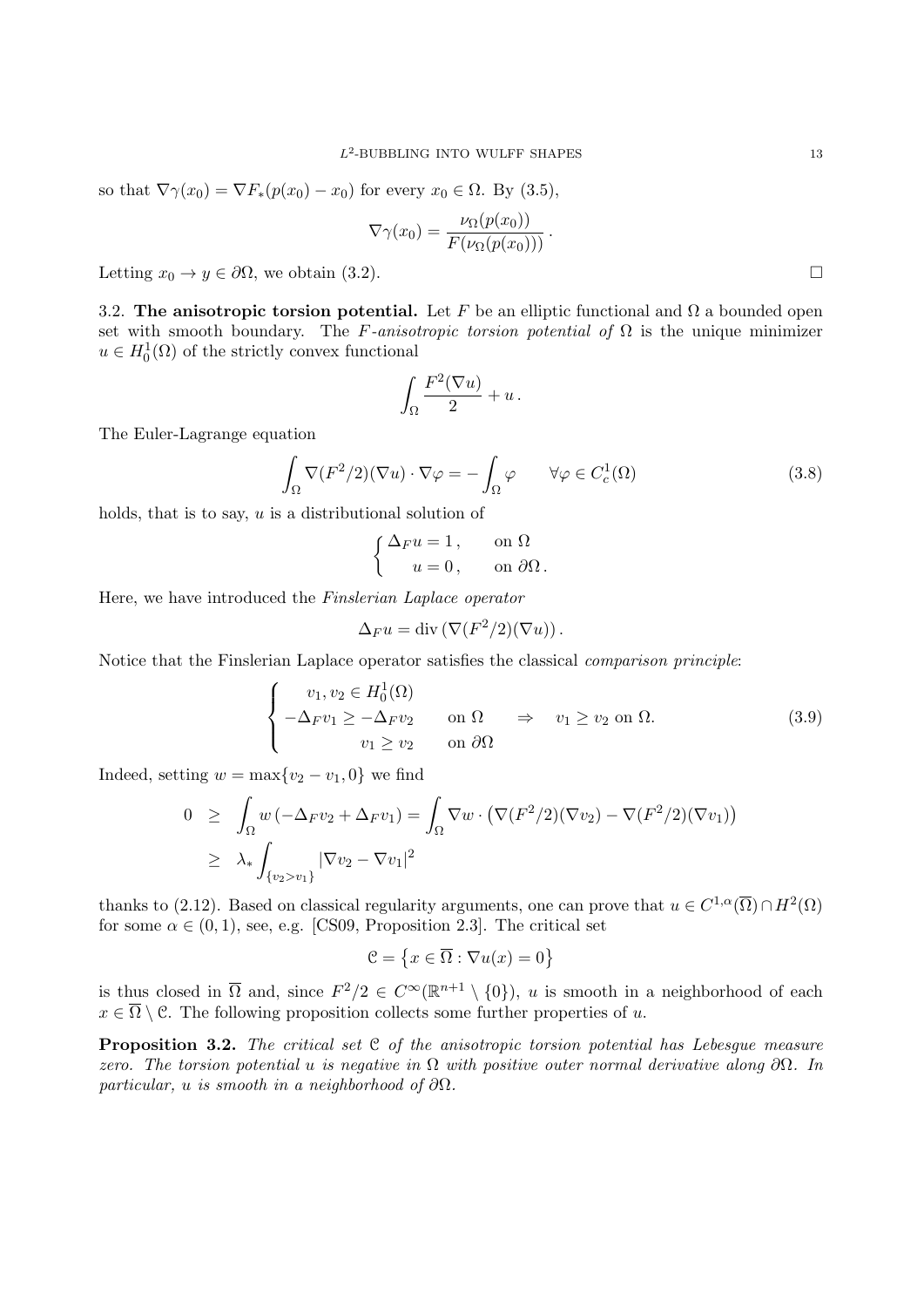so that  $\nabla \gamma(x_0) = \nabla F_*(p(x_0) - x_0)$  for every  $x_0 \in \Omega$ . By (3.5),

$$
\nabla \gamma(x_0) = \frac{\nu_\Omega(p(x_0))}{F(\nu_\Omega(p(x_0)))}.
$$

Letting  $x_0 \to y \in \partial \Omega$ , we obtain (3.2).

3.2. **The anisotropic torsion potential.** Let F be an elliptic functional and  $\Omega$  a bounded open set with smooth boundary. The *F*-anisotropic torsion potential of  $\Omega$  is the unique minimizer  $u \in H_0^1(\Omega)$  of the strictly convex functional

$$
\int_{\Omega} \frac{F^2(\nabla u)}{2} + u \, .
$$

The Euler-Lagrange equation

$$
\int_{\Omega} \nabla (F^2/2)(\nabla u) \cdot \nabla \varphi = -\int_{\Omega} \varphi \qquad \forall \varphi \in C_c^1(\Omega)
$$
\n(3.8)

holds, that is to say, *u* is a distributional solution of

$$
\begin{cases} \Delta_F u = 1, & \text{on } \Omega \\ u = 0, & \text{on } \partial\Omega. \end{cases}
$$

Here, we have introduced the *Finslerian Laplace operator*

$$
\Delta_F u = \text{div}\left(\nabla (F^2/2)(\nabla u)\right).
$$

Notice that the Finslerian Laplace operator satisfies the classical *comparison principle*:

$$
\begin{cases}\nv_1, v_2 \in H_0^1(\Omega) \\
-\Delta_F v_1 \ge -\Delta_F v_2 & \text{on } \Omega \Rightarrow v_1 \ge v_2 \text{ on } \Omega. \\
v_1 \ge v_2 & \text{on } \partial\Omega\n\end{cases} \tag{3.9}
$$

Indeed, setting  $w = \max\{v_2 - v_1, 0\}$  we find

$$
0 \geq \int_{\Omega} w \left( -\Delta_F v_2 + \Delta_F v_1 \right) = \int_{\Omega} \nabla w \cdot \left( \nabla (F^2/2) (\nabla v_2) - \nabla (F^2/2) (\nabla v_1) \right)
$$
  

$$
\geq \lambda_* \int_{\{v_2 > v_1\}} |\nabla v_2 - \nabla v_1|^2
$$

thanks to (2.12). Based on classical regularity arguments, one can prove that  $u \in C^{1,\alpha}(\overline{\Omega}) \cap H^2(\Omega)$ for some  $\alpha \in (0,1)$ , see, e.g. [CS09, Proposition 2.3]. The critical set

$$
\mathcal{C} = \left\{ x \in \overline{\Omega} : \nabla u(x) = 0 \right\}
$$

is thus closed in  $\overline{\Omega}$  and, since  $F^2/2 \in C^{\infty}(\mathbb{R}^{n+1} \setminus \{0\})$ , *u* is smooth in a neighborhood of each  $x \in \overline{\Omega} \setminus \mathcal{C}$ . The following proposition collects some further properties of *u*.

**Proposition 3.2.** *The critical set* C *of the anisotropic torsion potential has Lebesgue measure zero. The torsion potential u is negative in* Ω *with positive outer normal derivative along ∂*Ω*. In particular, u is smooth in a neighborhood of ∂*Ω*.*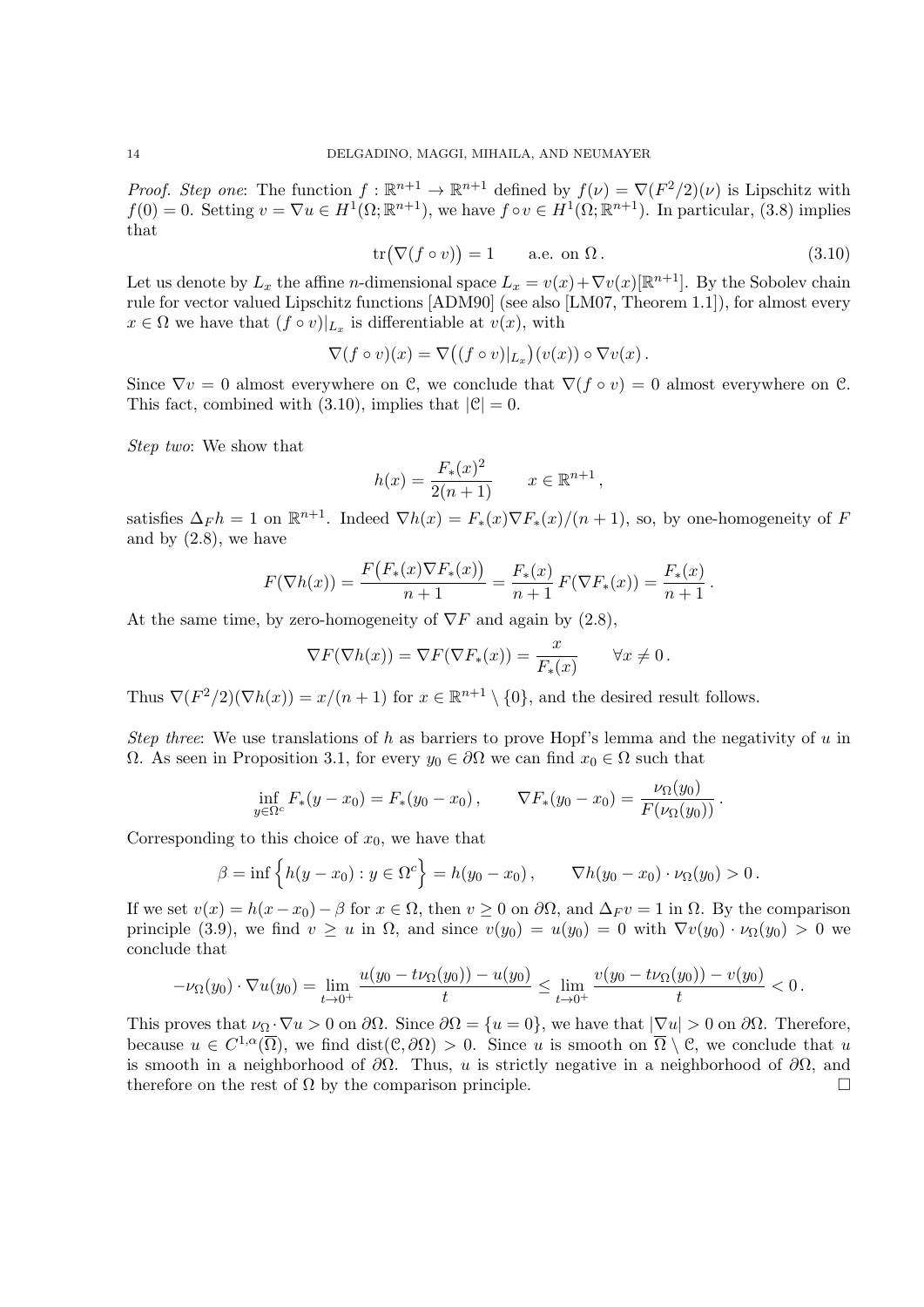*Proof. Step one*: The function  $f: \mathbb{R}^{n+1} \to \mathbb{R}^{n+1}$  defined by  $f(\nu) = \nabla (F^2/2)(\nu)$  is Lipschitz with  $f(0) = 0$ . Setting  $v = \nabla u \in H^1(\Omega; \mathbb{R}^{n+1})$ , we have  $f \circ v \in H^1(\Omega; \mathbb{R}^{n+1})$ . In particular, (3.8) implies that

$$
\operatorname{tr}(\nabla (f \circ v)) = 1 \qquad \text{a.e. on } \Omega. \tag{3.10}
$$

Let us denote by  $L_x$  the affine *n*-dimensional space  $L_x = v(x) + \nabla v(x)[\mathbb{R}^{n+1}]$ . By the Sobolev chain rule for vector valued Lipschitz functions [ADM90] (see also [LM07, Theorem 1.1]), for almost every  $x \in \Omega$  we have that  $(f \circ v)|_{L_x}$  is differentiable at  $v(x)$ , with

$$
\nabla (f \circ v)(x) = \nabla ((f \circ v)|_{L_x})(v(x)) \circ \nabla v(x).
$$

Since  $\nabla v = 0$  almost everywhere on C, we conclude that  $\nabla (f \circ v) = 0$  almost everywhere on C. This fact, combined with (3.10), implies that  $|C| = 0$ .

*Step two*: We show that

$$
h(x) = \frac{F_*(x)^2}{2(n+1)} \qquad x \in \mathbb{R}^{n+1},
$$

satisfies  $\Delta_F h = 1$  on  $\mathbb{R}^{n+1}$ . Indeed  $\nabla h(x) = F_*(x) \nabla F_*(x) / (n+1)$ , so, by one-homogeneity of *F* and by  $(2.8)$ , we have

$$
F(\nabla h(x)) = \frac{F(F_*(x)\nabla F_*(x))}{n+1} = \frac{F_*(x)}{n+1} F(\nabla F_*(x)) = \frac{F_*(x)}{n+1}.
$$

At the same time, by zero-homogeneity of  $\nabla F$  and again by (2.8),

$$
\nabla F(\nabla h(x)) = \nabla F(\nabla F_*(x)) = \frac{x}{F_*(x)} \qquad \forall x \neq 0.
$$

Thus  $\nabla (F^2/2)(\nabla h(x)) = x/(n+1)$  for  $x \in \mathbb{R}^{n+1} \setminus \{0\}$ , and the desired result follows.

*Step three*: We use translations of *h* as barriers to prove Hopf's lemma and the negativity of *u* in  $Ω$ . As seen in Proposition 3.1, for every *y*<sub>0</sub>  $∈ ∂Ω$  we can find *x*<sub>0</sub>  $∈ Ω$  such that

$$
\inf_{y \in \Omega^c} F_*(y - x_0) = F_*(y_0 - x_0), \qquad \nabla F_*(y_0 - x_0) = \frac{\nu_\Omega(y_0)}{F(\nu_\Omega(y_0))}.
$$

Corresponding to this choice of  $x_0$ , we have that

$$
\beta = \inf \left\{ h(y - x_0) : y \in \Omega^c \right\} = h(y_0 - x_0), \qquad \nabla h(y_0 - x_0) \cdot \nu_{\Omega}(y_0) > 0.
$$

If we set  $v(x) = h(x - x_0) - \beta$  for  $x \in \Omega$ , then  $v \geq 0$  on  $\partial\Omega$ , and  $\Delta_F v = 1$  in  $\Omega$ . By the comparison principle (3.9), we find  $v \geq u$  in  $\Omega$ , and since  $v(y_0) = u(y_0) = 0$  with  $\nabla v(y_0) \cdot \nu_{\Omega}(y_0) > 0$  we conclude that

$$
-\nu_{\Omega}(y_0)\cdot\nabla u(y_0)=\lim_{t\to 0^+}\frac{u(y_0-t\nu_{\Omega}(y_0))-u(y_0)}{t}\leq \lim_{t\to 0^+}\frac{v(y_0-t\nu_{\Omega}(y_0))-v(y_0)}{t}<0\,.
$$

This proves that  $\nu_{\Omega} \cdot \nabla u > 0$  on  $\partial \Omega$ . Since  $\partial \Omega = \{u = 0\}$ , we have that  $|\nabla u| > 0$  on  $\partial \Omega$ . Therefore, because  $u \in C^{1,\alpha}(\overline{\Omega})$ , we find dist $(\mathcal{C},\partial\Omega) > 0$ . Since *u* is smooth on  $\overline{\Omega} \setminus \mathcal{C}$ , we conclude that *u* is smooth in a neighborhood of *∂*Ω. Thus, *u* is strictly negative in a neighborhood of *∂*Ω, and therefore on the rest of  $\Omega$  by the comparison principle.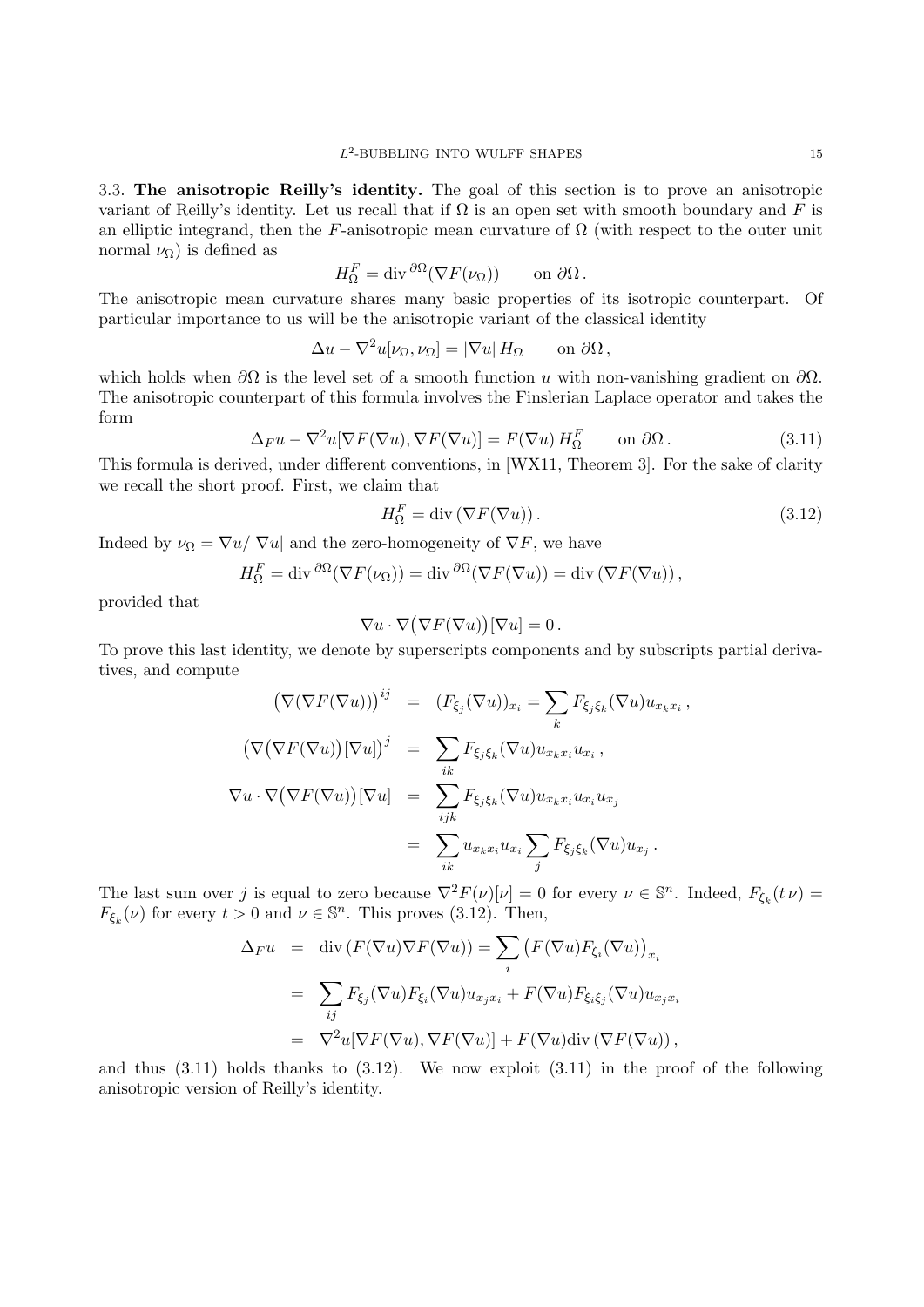3.3. **The anisotropic Reilly's identity.** The goal of this section is to prove an anisotropic variant of Reilly's identity. Let us recall that if  $\Omega$  is an open set with smooth boundary and F is an elliptic integrand, then the *F*-anisotropic mean curvature of  $\Omega$  (with respect to the outer unit normal  $\nu_{\Omega}$ ) is defined as

$$
H_{\Omega}^{F} = \text{div} \, \partial^{\Omega} (\nabla F(\nu_{\Omega})) \qquad \text{on } \partial \Omega \,.
$$

The anisotropic mean curvature shares many basic properties of its isotropic counterpart. Of particular importance to us will be the anisotropic variant of the classical identity

$$
\Delta u - \nabla^2 u[\nu_\Omega, \nu_\Omega] = |\nabla u| H_\Omega \quad \text{on } \partial \Omega,
$$

which holds when *∂*Ω is the level set of a smooth function *u* with non-vanishing gradient on *∂*Ω. The anisotropic counterpart of this formula involves the Finslerian Laplace operator and takes the form

$$
\Delta_F u - \nabla^2 u [\nabla F(\nabla u), \nabla F(\nabla u)] = F(\nabla u) H_{\Omega}^F \qquad \text{on } \partial \Omega. \tag{3.11}
$$

This formula is derived, under different conventions, in [WX11, Theorem 3]. For the sake of clarity we recall the short proof. First, we claim that

$$
H_{\Omega}^{F} = \text{div}\left(\nabla F(\nabla u)\right). \tag{3.12}
$$

*,*

Indeed by  $\nu_{\Omega} = \nabla u / |\nabla u|$  and the zero-homogeneity of  $\nabla F$ , we have

$$
H_{\Omega}^{F} = \operatorname{div} \frac{\partial \Omega}{\partial ( \nabla F(\nu_{\Omega}))} = \operatorname{div} \frac{\partial \Omega}{\partial ( \nabla F(\nabla u))} = \operatorname{div} (\nabla F(\nabla u)),
$$

provided that

$$
\nabla u \cdot \nabla (\nabla F(\nabla u))[\nabla u] = 0.
$$

To prove this last identity, we denote by superscripts components and by subscripts partial derivatives, and compute

$$
\left(\nabla(\nabla F(\nabla u))\right)^{ij} = (F_{\xi_j}(\nabla u))_{x_i} = \sum_k F_{\xi_j \xi_k}(\nabla u) u_{x_k x_i}
$$

$$
\left(\nabla(\nabla F(\nabla u))[\nabla u]\right)^j = \sum_{ik} F_{\xi_j \xi_k}(\nabla u) u_{x_k x_i} u_{x_i},
$$

$$
\nabla u \cdot \nabla(\nabla F(\nabla u))[\nabla u] = \sum_{ijk} F_{\xi_j \xi_k}(\nabla u) u_{x_k x_i} u_{x_i} u_{x_j}
$$

$$
= \sum_{ik} u_{x_k x_i} u_{x_i} \sum_j F_{\xi_j \xi_k}(\nabla u) u_{x_j}.
$$

The last sum over *j* is equal to zero because  $\nabla^2 F(\nu)[\nu] = 0$  for every  $\nu \in \mathbb{S}^n$ . Indeed,  $F_{\xi_k}(t\nu) =$  $F_{\xi_k}(\nu)$  for every  $t > 0$  and  $\nu \in \mathbb{S}^n$ . This proves (3.12). Then,

$$
\Delta_F u = \text{div} (F(\nabla u) \nabla F(\nabla u)) = \sum_i (F(\nabla u) F_{\xi_i} (\nabla u))_{x_i}
$$
  
= 
$$
\sum_{ij} F_{\xi_j} (\nabla u) F_{\xi_i} (\nabla u) u_{x_j x_i} + F(\nabla u) F_{\xi_i \xi_j} (\nabla u) u_{x_j x_i}
$$
  
= 
$$
\nabla^2 u [\nabla F(\nabla u), \nabla F(\nabla u)] + F(\nabla u) \text{div} (\nabla F(\nabla u)),
$$

and thus  $(3.11)$  holds thanks to  $(3.12)$ . We now exploit  $(3.11)$  in the proof of the following anisotropic version of Reilly's identity.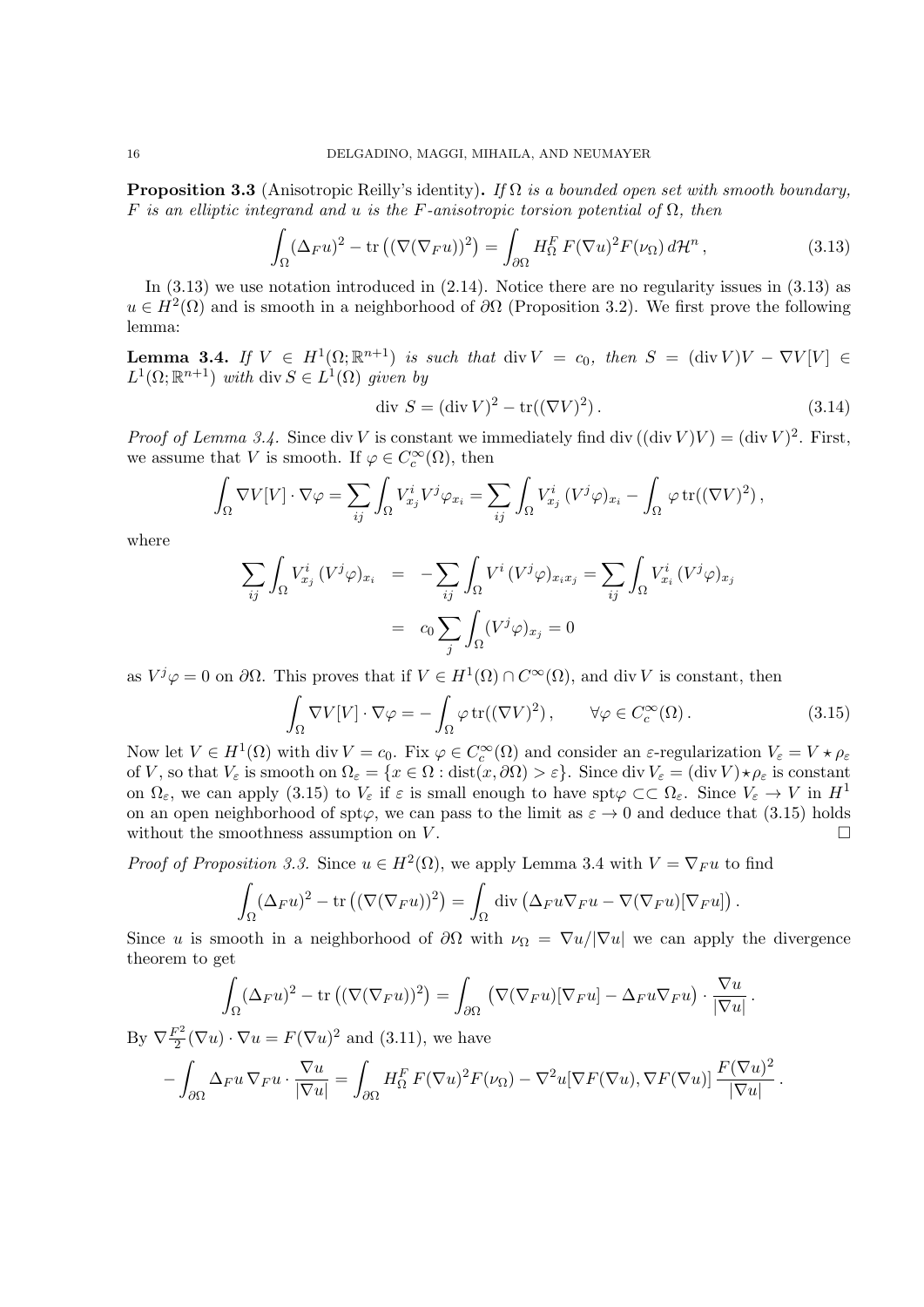**Proposition 3.3** (Anisotropic Reilly's identity)**.** *If* Ω *is a bounded open set with smooth boundary, F is an elliptic integrand and u is the F-anisotropic torsion potential of* Ω*, then*

$$
\int_{\Omega} (\Delta_F u)^2 - \text{tr}\left( (\nabla (\nabla_F u))^2 \right) = \int_{\partial \Omega} H_{\Omega}^F F(\nabla u)^2 F(\nu_{\Omega}) d\mathcal{H}^n, \tag{3.13}
$$

In  $(3.13)$  we use notation introduced in  $(2.14)$ . Notice there are no regularity issues in  $(3.13)$  as  $u \in H^2(\Omega)$  and is smooth in a neighborhood of  $\partial\Omega$  (Proposition 3.2). We first prove the following lemma:

**Lemma 3.4.** *If*  $V \in H^1(\Omega; \mathbb{R}^{n+1})$  *is such that* div  $V = c_0$ *, then*  $S = (\text{div } V)V - \nabla V[V] \in$  $L^1(\Omega; \mathbb{R}^{n+1})$  *with* div  $S \in L^1(\Omega)$  *given by* 

$$
\text{div } S = (\text{div } V)^2 - \text{tr}((\nabla V)^2). \tag{3.14}
$$

*Proof of Lemma 3.4.* Since div *V* is constant we immediately find div  $((\text{div } V)V) = (\text{div } V)^2$ . First, we assume that *V* is smooth. If  $\varphi \in C_c^{\infty}(\Omega)$ , then

$$
\int_{\Omega} \nabla V[V] \cdot \nabla \varphi = \sum_{ij} \int_{\Omega} V_{x_j}^i V^j \varphi_{x_i} = \sum_{ij} \int_{\Omega} V_{x_j}^i (V^j \varphi)_{x_i} - \int_{\Omega} \varphi \operatorname{tr}((\nabla V)^2),
$$

where

$$
\sum_{ij} \int_{\Omega} V_{x_j}^i (V^j \varphi)_{x_i} = -\sum_{ij} \int_{\Omega} V^i (V^j \varphi)_{x_i x_j} = \sum_{ij} \int_{\Omega} V_{x_i}^i (V^j \varphi)_{x_j}
$$

$$
= c_0 \sum_j \int_{\Omega} (V^j \varphi)_{x_j} = 0
$$

as  $V^j \varphi = 0$  on  $\partial \Omega$ . This proves that if  $V \in H^1(\Omega) \cap C^\infty(\Omega)$ , and div *V* is constant, then

$$
\int_{\Omega} \nabla V[V] \cdot \nabla \varphi = -\int_{\Omega} \varphi \operatorname{tr}((\nabla V)^2), \qquad \forall \varphi \in C_c^{\infty}(\Omega). \tag{3.15}
$$

Now let  $V \in H^1(\Omega)$  with div  $V = c_0$ . Fix  $\varphi \in C_c^{\infty}(\Omega)$  and consider an  $\varepsilon$ -regularization  $V_{\varepsilon} = V \star \rho_{\varepsilon}$ of *V*, so that  $V_{\varepsilon}$  is smooth on  $\Omega_{\varepsilon} = \{x \in \Omega : \text{dist}(x, \partial \Omega) > \varepsilon\}$ . Since div  $V_{\varepsilon} = (\text{div } V) \star \rho_{\varepsilon}$  is constant on  $\Omega_{\varepsilon}$ , we can apply (3.15) to  $V_{\varepsilon}$  if  $\varepsilon$  is small enough to have spt $\varphi \subset\subset \Omega_{\varepsilon}$ . Since  $V_{\varepsilon} \to V$  in  $H^1$ on an open neighborhood of spt $\varphi$ , we can pass to the limit as  $\varepsilon \to 0$  and deduce that (3.15) holds without the smoothness assumption on  $V$ .

*Proof of Proposition 3.3.* Since  $u \in H^2(\Omega)$ , we apply Lemma 3.4 with  $V = \nabla_F u$  to find

$$
\int_{\Omega} (\Delta_F u)^2 - \text{tr} \left( (\nabla (\nabla_F u))^2 \right) = \int_{\Omega} \text{div} \left( \Delta_F u \nabla_F u - \nabla (\nabla_F u) [\nabla_F u] \right).
$$

Since *u* is smooth in a neighborhood of  $\partial\Omega$  with  $\nu_{\Omega} = \nabla u / |\nabla u|$  we can apply the divergence theorem to get

$$
\int_{\Omega} (\Delta_F u)^2 - \text{tr} \left( (\nabla (\nabla_F u))^2 \right) = \int_{\partial \Omega} \left( \nabla (\nabla_F u) [\nabla_F u] - \Delta_F u \nabla_F u \right) \cdot \frac{\nabla u}{|\nabla u|}.
$$

By  $\nabla \frac{F^2}{2}$  $\frac{\nabla^2}{2}(\nabla u) \cdot \nabla u = F(\nabla u)^2$  and (3.11), we have

$$
-\int_{\partial\Omega} \Delta_F u \nabla_F u \cdot \frac{\nabla u}{|\nabla u|} = \int_{\partial\Omega} H_{\Omega}^F F(\nabla u)^2 F(\nu_{\Omega}) - \nabla^2 u [\nabla F(\nabla u), \nabla F(\nabla u)] \frac{F(\nabla u)^2}{|\nabla u|}.
$$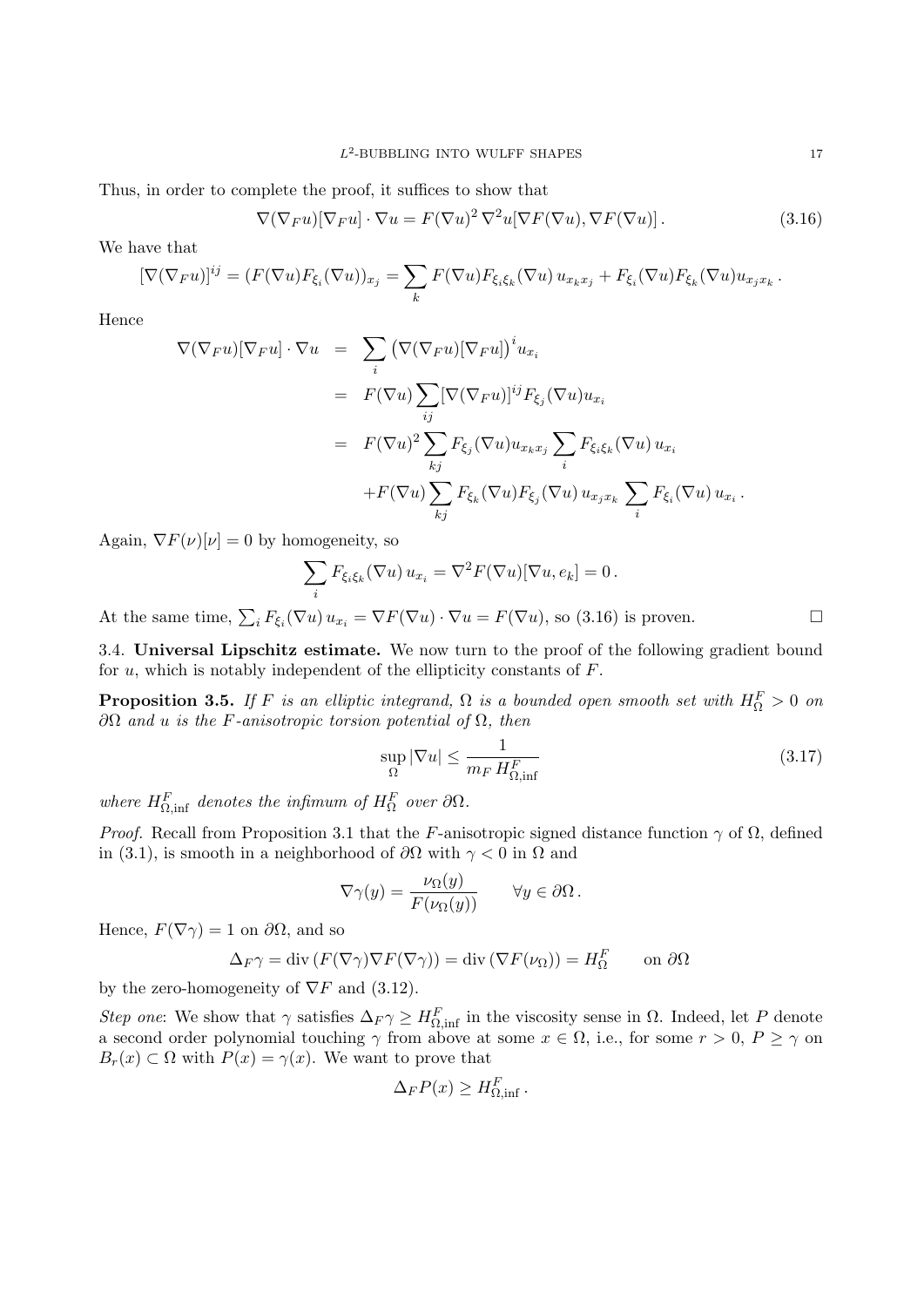Thus, in order to complete the proof, it suffices to show that

$$
\nabla(\nabla_F u)[\nabla_F u] \cdot \nabla u = F(\nabla u)^2 \nabla^2 u[\nabla F(\nabla u), \nabla F(\nabla u)].
$$
\n(3.16)

We have that

$$
[\nabla(\nabla_F u)]^{ij} = (F(\nabla u)F_{\xi_i}(\nabla u))_{x_j} = \sum_k F(\nabla u)F_{\xi_i\xi_k}(\nabla u)u_{x_kx_j} + F_{\xi_i}(\nabla u)F_{\xi_k}(\nabla u)u_{x_jx_k}.
$$

Hence

$$
\nabla(\nabla_F u)[\nabla_F u] \cdot \nabla u = \sum_i (\nabla(\nabla_F u)[\nabla_F u])^i u_{x_i}
$$
  
\n
$$
= F(\nabla u) \sum_{ij} [\nabla(\nabla_F u)]^{ij} F_{\xi_j} (\nabla u) u_{x_i}
$$
  
\n
$$
= F(\nabla u)^2 \sum_{kj} F_{\xi_j} (\nabla u) u_{x_k x_j} \sum_i F_{\xi_i \xi_k} (\nabla u) u_{x_i}
$$
  
\n
$$
+ F(\nabla u) \sum_{kj} F_{\xi_k} (\nabla u) F_{\xi_j} (\nabla u) u_{x_j x_k} \sum_i F_{\xi_i} (\nabla u) u_{x_i}.
$$

Again,  $\nabla F(\nu)[\nu] = 0$  by homogeneity, so

$$
\sum_{i} F_{\xi_i \xi_k} (\nabla u) u_{x_i} = \nabla^2 F(\nabla u) [\nabla u, e_k] = 0.
$$

At the same time,  $\sum_i F_{\xi_i}(\nabla u) u_{x_i} = \nabla F(\nabla u) \cdot \nabla u = F(\nabla u)$ , so (3.16) is proven.

3.4. **Universal Lipschitz estimate.** We now turn to the proof of the following gradient bound for *u*, which is notably independent of the ellipticity constants of *F*.

**Proposition 3.5.** *If F is an elliptic integrand,*  $\Omega$  *is a bounded open smooth set with*  $H_{\Omega}^{F} > 0$  *on ∂*Ω *and u is the F-anisotropic torsion potential of* Ω*, then*

$$
\sup_{\Omega} |\nabla u| \le \frac{1}{m_F H_{\Omega, \inf}^F} \tag{3.17}
$$

*where*  $H_{\Omega,\text{inf}}^F$  *denotes the infimum of*  $H_{\Omega}^F$  *over*  $\partial\Omega$ *.* 

*Proof.* Recall from Proposition 3.1 that the *F*-anisotropic signed distance function  $\gamma$  of  $\Omega$ , defined in (3.1), is smooth in a neighborhood of  $\partial\Omega$  with  $\gamma < 0$  in  $\Omega$  and

$$
\nabla \gamma(y) = \frac{\nu_{\Omega}(y)}{F(\nu_{\Omega}(y))} \qquad \forall y \in \partial \Omega.
$$

Hence,  $F(\nabla \gamma) = 1$  on  $\partial \Omega$ , and so

$$
\Delta_F \gamma = \text{div} \left( F(\nabla \gamma) \nabla F(\nabla \gamma) \right) = \text{div} \left( \nabla F(\nu_\Omega) \right) = H_\Omega^F \qquad \text{on } \partial \Omega
$$

by the zero-homogeneity of *∇F* and (3.12).

*Step one:* We show that  $\gamma$  satisfies  $\Delta_F \gamma \geq H_{\Omega,\text{inf}}^F$  in the viscosity sense in  $\Omega$ . Indeed, let *P* denote a second order polynomial touching  $\gamma$  from above at some  $x \in \Omega$ , i.e., for some  $r > 0$ ,  $P \ge \gamma$  on  $B_r(x) \subset \Omega$  with  $P(x) = \gamma(x)$ . We want to prove that

$$
\Delta_F P(x) \ge H_{\Omega, \inf}^F.
$$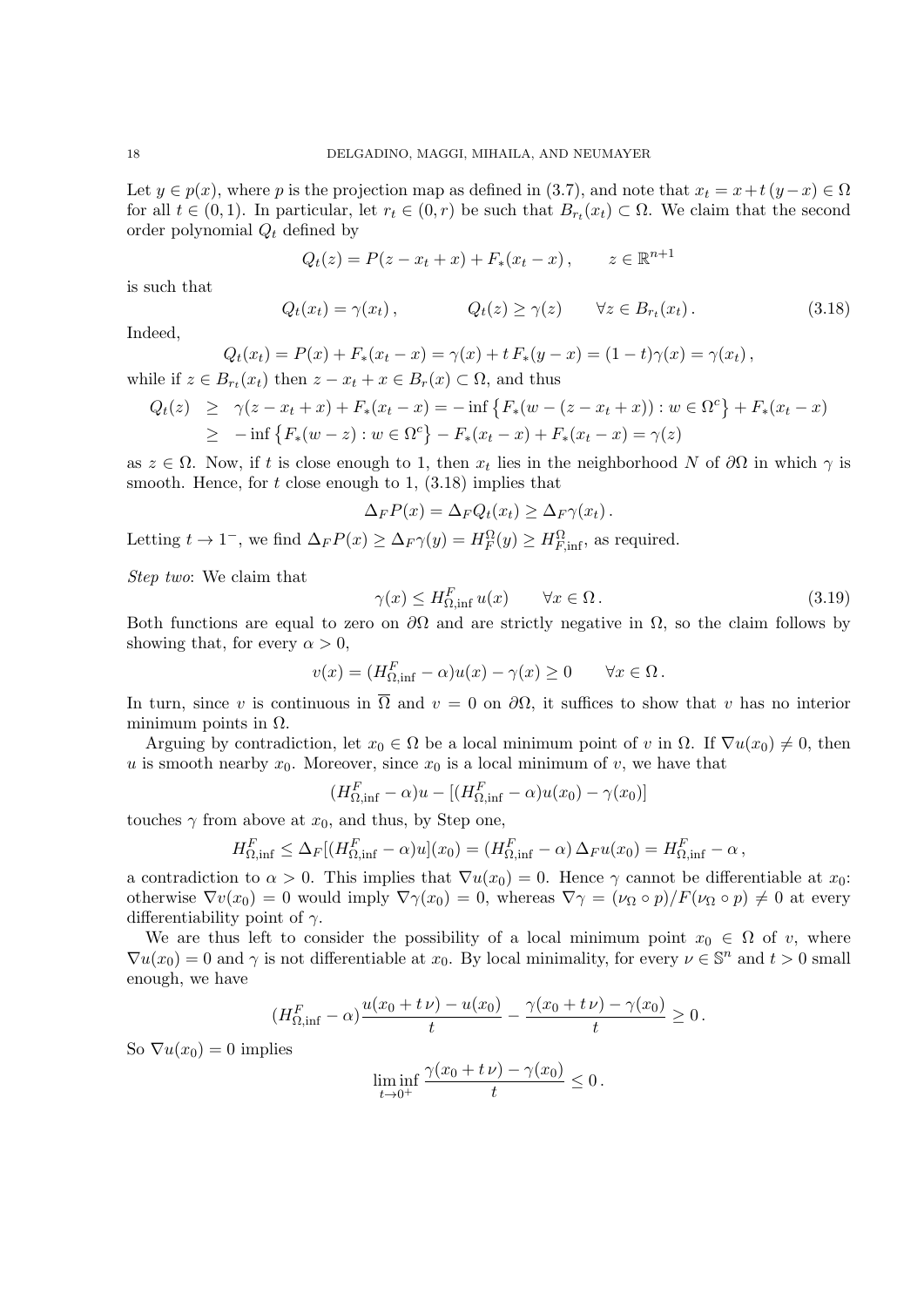Let  $y \in p(x)$ , where *p* is the projection map as defined in (3.7), and note that  $x_t = x + t(y - x) \in \Omega$ for all  $t \in (0,1)$ . In particular, let  $r_t \in (0,r)$  be such that  $B_{r_t}(x_t) \subset \Omega$ . We claim that the second order polynomial *Q<sup>t</sup>* defined by

$$
Q_t(z) = P(z - x_t + x) + F_*(x_t - x), \qquad z \in \mathbb{R}^{n+1}
$$

is such that

$$
Q_t(x_t) = \gamma(x_t), \qquad Q_t(z) \ge \gamma(z) \qquad \forall z \in B_{r_t}(x_t). \tag{3.18}
$$

Indeed,

$$
Q_t(x_t) = P(x) + F_*(x_t - x) = \gamma(x) + t F_*(y - x) = (1 - t)\gamma(x) = \gamma(x_t),
$$
  
while if  $z \in B_{r_t}(x_t)$  then  $z - x_t + x \in B_r(x) \subset \Omega$ , and thus

$$
Q_t(z) \geq \gamma(z - x_t + x) + F_*(x_t - x) = -\inf \{ F_*(w - (z - x_t + x)) : w \in \Omega^c \} + F_*(x_t - x)
$$
  
 
$$
\geq -\inf \{ F_*(w - z) : w \in \Omega^c \} - F_*(x_t - x) + F_*(x_t - x) = \gamma(z)
$$

as  $z \in \Omega$ . Now, if *t* is close enough to 1, then  $x_t$  lies in the neighborhood *N* of  $\partial\Omega$  in which  $\gamma$  is smooth. Hence, for *t* close enough to 1, (3.18) implies that

$$
\Delta_F P(x) = \Delta_F Q_t(x_t) \geq \Delta_F \gamma(x_t).
$$

Letting  $t \to 1^-$ , we find  $\Delta_F P(x) \geq \Delta_F \gamma(y) = H_F^{\Omega}(y) \geq H_{F,\inf}^{\Omega}$ , as required.

*Step two*: We claim that

$$
\gamma(x) \le H_{\Omega, \inf}^F u(x) \qquad \forall x \in \Omega. \tag{3.19}
$$

Both functions are equal to zero on  $\partial\Omega$  and are strictly negative in  $\Omega$ , so the claim follows by showing that, for every  $\alpha > 0$ ,

$$
v(x) = (H_{\Omega, \inf}^F - \alpha)u(x) - \gamma(x) \ge 0 \quad \forall x \in \Omega.
$$

In turn, since *v* is continuous in  $\overline{\Omega}$  and  $v = 0$  on  $\partial\Omega$ , it suffices to show that *v* has no interior minimum points in  $\Omega$ .

Arguing by contradiction, let  $x_0 \in \Omega$  be a local minimum point of *v* in  $\Omega$ . If  $\nabla u(x_0) \neq 0$ , then *u* is smooth nearby  $x_0$ . Moreover, since  $x_0$  is a local minimum of *v*, we have that

$$
(H_{\Omega,\inf}^F - \alpha)u - [(H_{\Omega,\inf}^F - \alpha)u(x_0) - \gamma(x_0)]
$$

touches  $\gamma$  from above at  $x_0$ , and thus, by Step one,

$$
H_{\Omega,\inf}^F \leq \Delta_F[(H_{\Omega,\inf}^F - \alpha)u](x_0) = (H_{\Omega,\inf}^F - \alpha) \Delta_F u(x_0) = H_{\Omega,\inf}^F - \alpha,
$$

a contradiction to  $\alpha > 0$ . This implies that  $\nabla u(x_0) = 0$ . Hence  $\gamma$  cannot be differentiable at  $x_0$ : otherwise  $\nabla v(x_0) = 0$  would imply  $\nabla \gamma(x_0) = 0$ , whereas  $\nabla \gamma = (\nu_\Omega \circ p)/F(\nu_\Omega \circ p) \neq 0$  at every differentiability point of *γ*.

We are thus left to consider the possibility of a local minimum point  $x_0 \in \Omega$  of *v*, where  $\nabla u(x_0) = 0$  and  $\gamma$  is not differentiable at  $x_0$ . By local minimality, for every  $\nu \in \mathbb{S}^n$  and  $t > 0$  small enough, we have

$$
(H_{\Omega,\inf}^F - \alpha) \frac{u(x_0 + t\nu) - u(x_0)}{t} - \frac{\gamma(x_0 + t\nu) - \gamma(x_0)}{t} \ge 0.
$$

So  $\nabla u(x_0) = 0$  implies

$$
\liminf_{t\to 0^+}\frac{\gamma(x_0+t\nu)-\gamma(x_0)}{t}\leq 0.
$$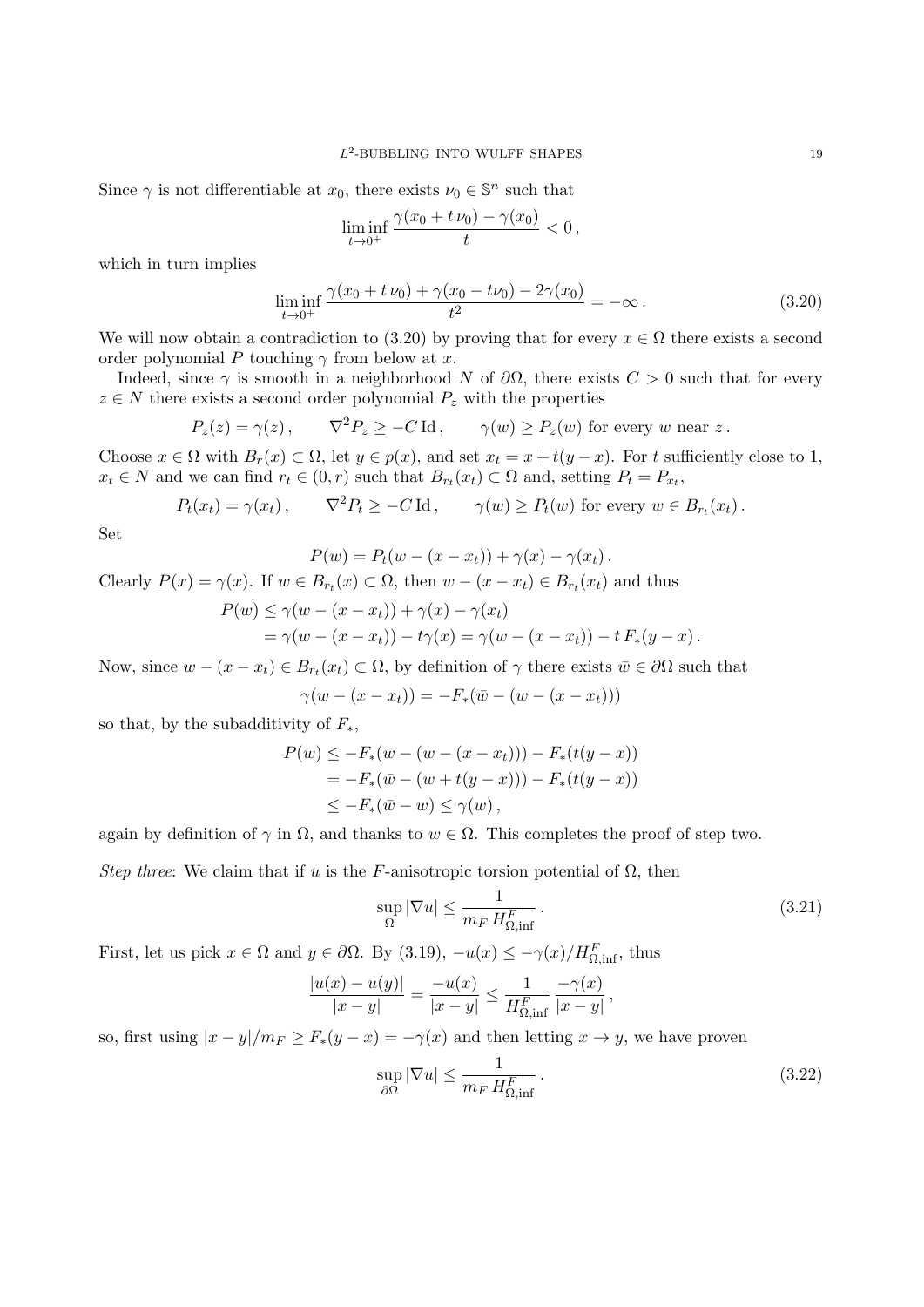Since  $\gamma$  is not differentiable at  $x_0$ , there exists  $\nu_0 \in \mathbb{S}^n$  such that

$$
\liminf_{t \to 0^+} \frac{\gamma(x_0 + t \nu_0) - \gamma(x_0)}{t} < 0,
$$

which in turn implies

$$
\liminf_{t \to 0^+} \frac{\gamma(x_0 + t \nu_0) + \gamma(x_0 - t \nu_0) - 2\gamma(x_0)}{t^2} = -\infty.
$$
\n(3.20)

We will now obtain a contradiction to (3.20) by proving that for every  $x \in \Omega$  there exists a second order polynomial *P* touching *γ* from below at *x*.

Indeed, since  $\gamma$  is smooth in a neighborhood *N* of  $\partial\Omega$ , there exists  $C > 0$  such that for every  $z \in N$  there exists a second order polynomial  $P_z$  with the properties

$$
P_z(z) = \gamma(z)
$$
,  $\nabla^2 P_z \ge -C \operatorname{Id}$ ,  $\gamma(w) \ge P_z(w)$  for every  $w$  near  $z$ .

Choose  $x \in \Omega$  with  $B_r(x) \subset \Omega$ , let  $y \in p(x)$ , and set  $x_t = x + t(y - x)$ . For t sufficiently close to 1,  $x_t \in N$  and we can find  $r_t \in (0, r)$  such that  $B_{r_t}(x_t) \subset \Omega$  and, setting  $P_t = P_{x_t}$ ,

$$
P_t(x_t) = \gamma(x_t), \qquad \nabla^2 P_t \geq -C \operatorname{Id}, \qquad \gamma(w) \geq P_t(w) \text{ for every } w \in B_{r_t}(x_t).
$$

Set

$$
P(w) = P_t(w - (x - x_t)) + \gamma(x) - \gamma(x_t).
$$

Clearly  $P(x) = \gamma(x)$ . If  $w \in B_{r_t}(x) \subset \Omega$ , then  $w - (x - x_t) \in B_{r_t}(x_t)$  and thus

$$
P(w) \le \gamma(w - (x - x_t)) + \gamma(x) - \gamma(x_t)
$$
  
=  $\gamma(w - (x - x_t)) - t\gamma(x) = \gamma(w - (x - x_t)) - t F_*(y - x).$ 

Now, since  $w - (x - x_t) \in B_{r_t}(x_t) \subset \Omega$ , by definition of  $\gamma$  there exists  $\bar{w} \in \partial \Omega$  such that

$$
\gamma(w - (x - x_t)) = -F_*(\bar{w} - (w - (x - x_t)))
$$

so that, by the subadditivity of *F∗*,

$$
P(w) \le -F_*(\bar{w} - (w - (x - x_t))) - F_*(t(y - x))
$$
  
=  $-F_*(\bar{w} - (w + t(y - x))) - F_*(t(y - x))$   
 $\le -F_*(\bar{w} - w) \le \gamma(w),$ 

again by definition of  $\gamma$  in  $\Omega$ , and thanks to  $w \in \Omega$ . This completes the proof of step two.

*Step three*: We claim that if *u* is the *F*-anisotropic torsion potential of  $\Omega$ , then

$$
\sup_{\Omega} |\nabla u| \le \frac{1}{m_F H_{\Omega, \inf}^F} \,. \tag{3.21}
$$

First, let us pick  $x \in \Omega$  and  $y \in \partial\Omega$ . By (3.19),  $-u(x) \leq -\gamma(x)/H_{\Omega,\inf}^F$ , thus

$$
\frac{|u(x) - u(y)|}{|x - y|} = \frac{-u(x)}{|x - y|} \le \frac{1}{H_{\Omega, \inf}^F} \frac{-\gamma(x)}{|x - y|},
$$

so, first using  $|x - y|/m_F \ge F_*(y - x) = -\gamma(x)$  and then letting  $x \to y$ , we have proven

$$
\sup_{\partial\Omega} |\nabla u| \le \frac{1}{m_F H_{\Omega,\inf}^F} \,. \tag{3.22}
$$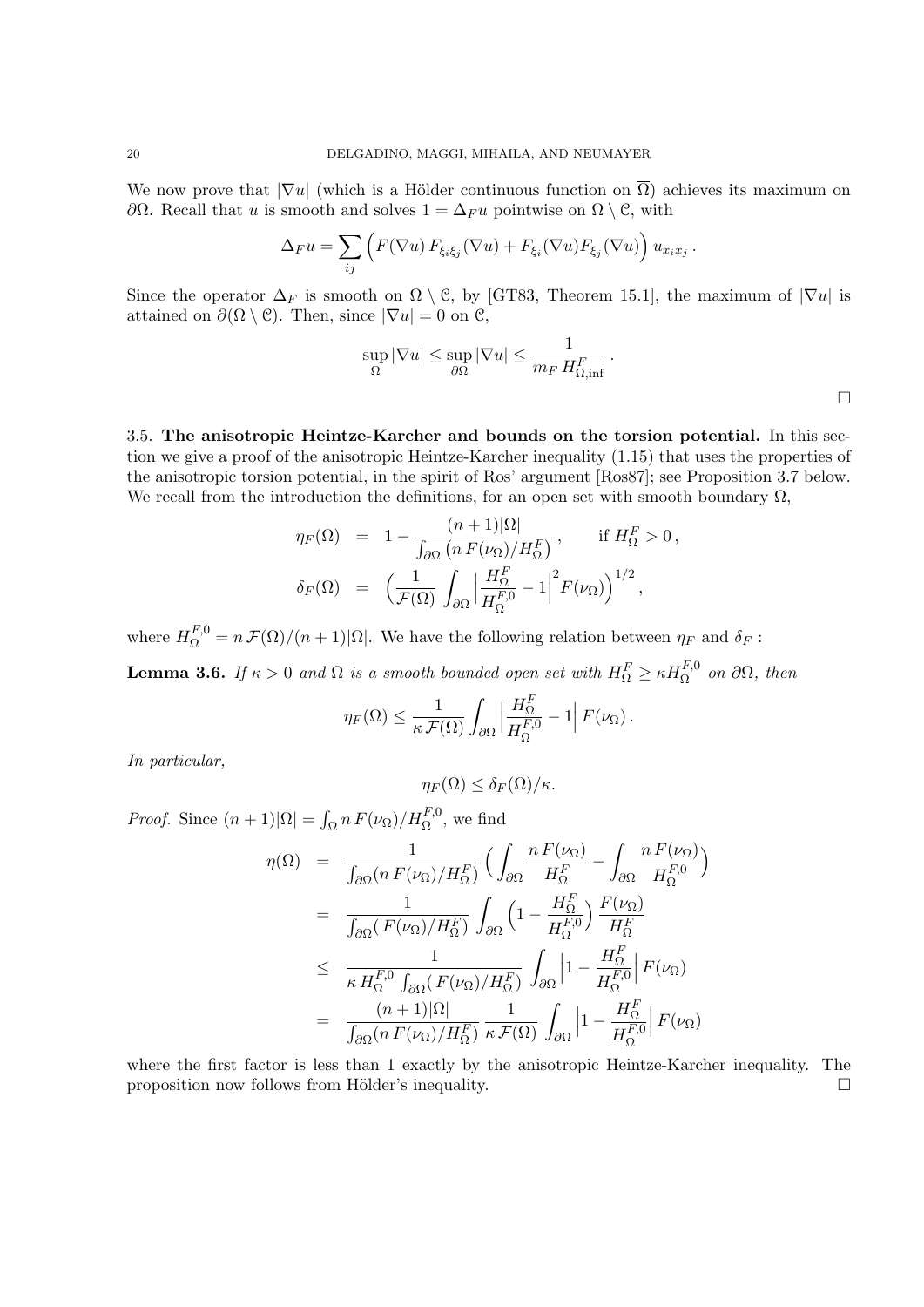We now prove that  $|\nabla u|$  (which is a Hölder continuous function on  $\overline{\Omega}$ ) achieves its maximum on *∂*Ω. Recall that *u* is smooth and solves  $1 = ∆<sub>F</sub>u$  pointwise on  $Ω \ \ C$ , with

$$
\Delta_F u = \sum_{ij} \left( F(\nabla u) F_{\xi_i \xi_j}(\nabla u) + F_{\xi_i}(\nabla u) F_{\xi_j}(\nabla u) \right) u_{x_i x_j}.
$$

Since the operator  $\Delta_F$  is smooth on  $\Omega \setminus \mathcal{C}$ , by [GT83, Theorem 15.1], the maximum of  $|\nabla u|$  is attained on  $\partial(\Omega \setminus \mathcal{C})$ . Then, since  $|\nabla u| = 0$  on  $\mathcal{C}$ ,

$$
\sup_{\Omega} |\nabla u| \le \sup_{\partial\Omega} |\nabla u| \le \frac{1}{m_F H_{\Omega,\inf}^F}.
$$

3.5. **The anisotropic Heintze-Karcher and bounds on the torsion potential.** In this section we give a proof of the anisotropic Heintze-Karcher inequality (1.15) that uses the properties of the anisotropic torsion potential, in the spirit of Ros' argument [Ros87]; see Proposition 3.7 below. We recall from the introduction the definitions, for an open set with smooth boundary  $\Omega$ ,

$$
\eta_F(\Omega) = 1 - \frac{(n+1)|\Omega|}{\int_{\partial\Omega} \left( n F(\nu_{\Omega}) / H_{\Omega}^F \right)}, \quad \text{if } H_{\Omega}^F > 0,
$$
  

$$
\delta_F(\Omega) = \left( \frac{1}{\mathcal{F}(\Omega)} \int_{\partial\Omega} \left| \frac{H_{\Omega}^F}{H_{\Omega}^{F,0}} - 1 \right|^2 F(\nu_{\Omega}) \right)^{1/2},
$$

where  $H_{\Omega}^{F,0} = n \mathcal{F}(\Omega)/(n+1)|\Omega|$ . We have the following relation between  $\eta_F$  and  $\delta_F$ :

**Lemma 3.6.** *If*  $\kappa > 0$  *and*  $\Omega$  *is a smooth bounded open set with*  $H_{\Omega}^F \geq \kappa H_{\Omega}^{F,0}$  *on*  $\partial \Omega$ *, then* 

$$
\eta_F(\Omega) \leq \frac{1}{\kappa \mathcal{F}(\Omega)} \int_{\partial\Omega} \left| \frac{H_{\Omega}^F}{H_{\Omega}^{F,0}} - 1 \right| F(\nu_{\Omega}).
$$

*In particular,*

$$
\eta_F(\Omega) \leq \delta_F(\Omega)/\kappa.
$$

*Proof.* Since  $(n+1)|\Omega| = \int_{\Omega} n F(\nu_{\Omega})/H_{\Omega}^{F,0}$ , we find

$$
\eta(\Omega) = \frac{1}{\int_{\partial\Omega} (n F(\nu_{\Omega})/H_{\Omega}^{F})} \Big( \int_{\partial\Omega} \frac{n F(\nu_{\Omega})}{H_{\Omega}^{F}} - \int_{\partial\Omega} \frac{n F(\nu_{\Omega})}{H_{\Omega}^{F,0}} \Big)
$$
  
\n
$$
= \frac{1}{\int_{\partial\Omega} (F(\nu_{\Omega})/H_{\Omega}^{F})} \int_{\partial\Omega} \Big( 1 - \frac{H_{\Omega}^{F}}{H_{\Omega}^{F,0}} \Big) \frac{F(\nu_{\Omega})}{H_{\Omega}^{F}} \Big)
$$
  
\n
$$
\leq \frac{1}{\kappa H_{\Omega}^{F,0} \int_{\partial\Omega} (F(\nu_{\Omega})/H_{\Omega}^{F})} \int_{\partial\Omega} \Big| 1 - \frac{H_{\Omega}^{F}}{H_{\Omega}^{F,0}} \Big| F(\nu_{\Omega}) \Big|
$$
  
\n
$$
= \frac{(n+1)|\Omega|}{\int_{\partial\Omega} (n F(\nu_{\Omega})/H_{\Omega}^{F})} \frac{1}{\kappa F(\Omega)} \int_{\partial\Omega} \Big| 1 - \frac{H_{\Omega}^{F}}{H_{\Omega}^{F,0}} \Big| F(\nu_{\Omega})
$$

where the first factor is less than 1 exactly by the anisotropic Heintze-Karcher inequality. The proposition now follows from Hölder's inequality.  $\square$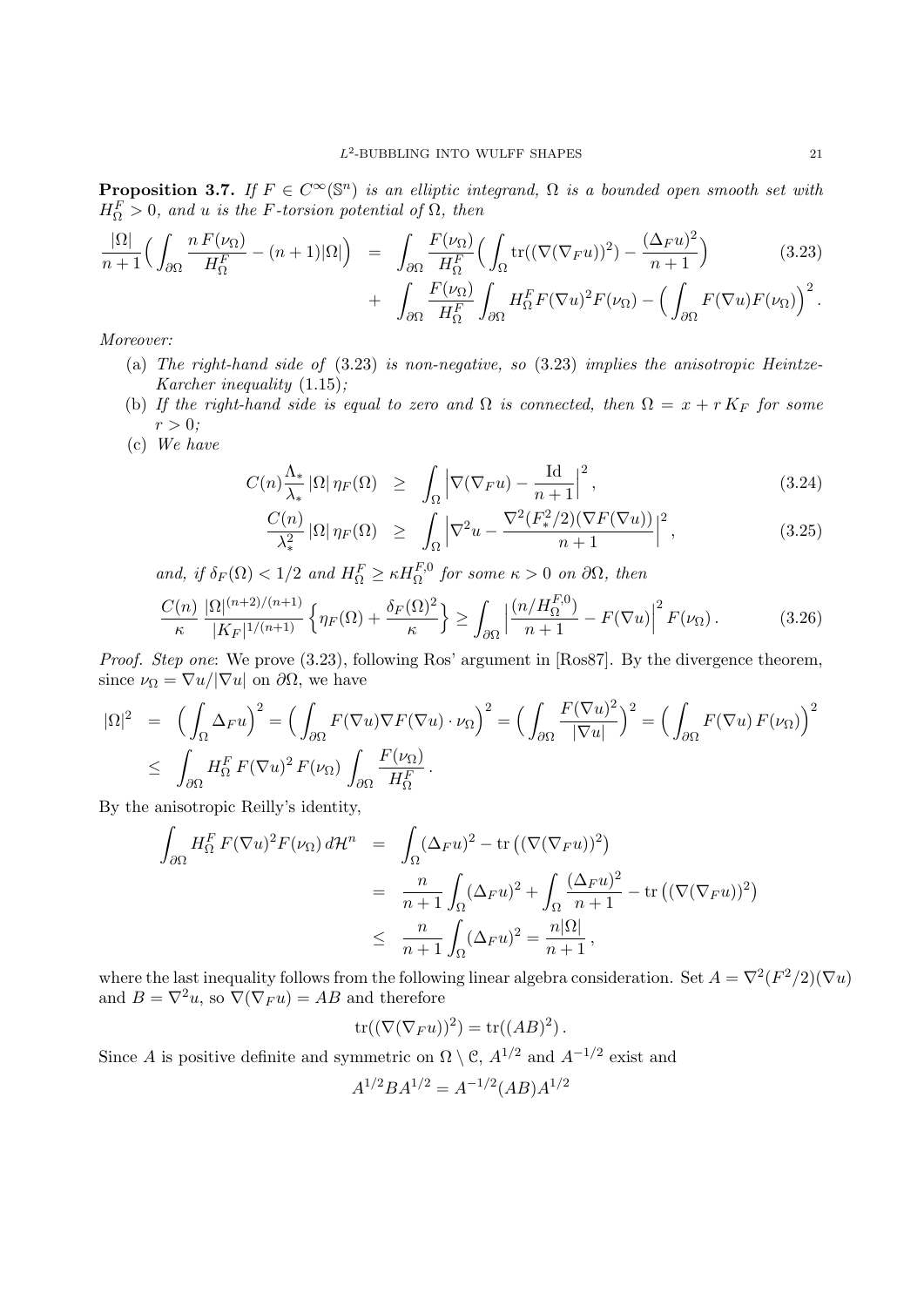**Proposition 3.7.** *If*  $F \in C^{\infty}(\mathbb{S}^n)$  *is an elliptic integrand*,  $\Omega$  *is a bounded open smooth set with*  $H_{\Omega}^{F} > 0$ *, and u is the F-torsion potential of*  $\Omega$ *, then* 

$$
\frac{|\Omega|}{n+1} \Big( \int_{\partial\Omega} \frac{n F(\nu_{\Omega})}{H_{\Omega}^{F}} - (n+1)|\Omega| \Big) = \int_{\partial\Omega} \frac{F(\nu_{\Omega})}{H_{\Omega}^{F}} \Big( \int_{\Omega} \text{tr}((\nabla(\nabla_{F} u))^{2}) - \frac{(\Delta_{F} u)^{2}}{n+1} \Big) \qquad (3.23)
$$

$$
+ \int_{\partial\Omega} \frac{F(\nu_{\Omega})}{H_{\Omega}^{F}} \int_{\partial\Omega} H_{\Omega}^{F} F(\nabla u)^{2} F(\nu_{\Omega}) - \Big( \int_{\partial\Omega} F(\nabla u) F(\nu_{\Omega}) \Big)^{2}.
$$

*∂*Ω

*Moreover:*

- (a) *The right-hand side of* (3.23) *is non-negative, so* (3.23) *implies the anisotropic Heintze-Karcher inequality* (1.15)*;*
- (b) If the right-hand side is equal to zero and  $\Omega$  is connected, then  $\Omega = x + r K_F$  for some  $r > 0$ ;
- (c) *We have*

$$
C(n)\frac{\Lambda_*}{\lambda_*} |\Omega| \eta_F(\Omega) \geq \int_{\Omega} \left| \nabla (\nabla_F u) - \frac{\mathrm{Id}}{n+1} \right|^2, \tag{3.24}
$$

$$
\frac{C(n)}{\lambda_*^2} |\Omega| \eta_F(\Omega) \ge \int_{\Omega} \left| \nabla^2 u - \frac{\nabla^2 (F^2_*/2) (\nabla F(\nabla u))}{n+1} \right|^2, \tag{3.25}
$$

 $\alpha$ *and, if*  $\delta_F(\Omega) < 1/2$  *and*  $H_{\Omega}^F \geq \kappa H_{\Omega}^{F,0}$  *for some*  $\kappa > 0$  *on*  $\partial\Omega$ *, then* 

$$
\frac{C(n)}{\kappa} \frac{|\Omega|^{(n+2)/(n+1)}}{|K_F|^{1/(n+1)}} \left\{ \eta_F(\Omega) + \frac{\delta_F(\Omega)^2}{\kappa} \right\} \ge \int_{\partial\Omega} \left| \frac{(n/H_{\Omega}^{F,0})}{n+1} - F(\nabla u) \right|^2 F(\nu_{\Omega}). \tag{3.26}
$$

*Proof. Step one*: We prove (3.23), following Ros' argument in [Ros87]. By the divergence theorem, since  $\nu_{\Omega} = \nabla u / |\nabla u|$  on  $\partial \Omega$ , we have

$$
\begin{split} |\Omega|^2 &= \left( \int_{\Omega} \Delta_F u \right)^2 = \left( \int_{\partial \Omega} F(\nabla u) \nabla F(\nabla u) \cdot \nu_{\Omega} \right)^2 = \left( \int_{\partial \Omega} \frac{F(\nabla u)^2}{|\nabla u|} \right)^2 = \left( \int_{\partial \Omega} F(\nabla u) F(\nu_{\Omega}) \right)^2 \\ &\leq \int_{\partial \Omega} H_{\Omega}^F F(\nabla u)^2 F(\nu_{\Omega}) \int_{\partial \Omega} \frac{F(\nu_{\Omega})}{H_{\Omega}^F} .\end{split}
$$

By the anisotropic Reilly's identity,

$$
\int_{\partial\Omega} H_{\Omega}^{F} F(\nabla u)^{2} F(\nu_{\Omega}) d\mathcal{H}^{n} = \int_{\Omega} (\Delta_{F} u)^{2} - \text{tr} \left( (\nabla (\nabla_{F} u))^{2} \right)
$$
\n
$$
= \frac{n}{n+1} \int_{\Omega} (\Delta_{F} u)^{2} + \int_{\Omega} \frac{(\Delta_{F} u)^{2}}{n+1} - \text{tr} \left( (\nabla (\nabla_{F} u))^{2} \right)
$$
\n
$$
\leq \frac{n}{n+1} \int_{\Omega} (\Delta_{F} u)^{2} = \frac{n |\Omega|}{n+1},
$$

where the last inequality follows from the following linear algebra consideration. Set  $A = \nabla^2 (F^2/2)(\nabla u)$ and  $B = \nabla^2 u$ , so  $\nabla(\nabla_F u) = AB$  and therefore

$$
\operatorname{tr}((\nabla(\nabla_F u))^2) = \operatorname{tr}((AB)^2).
$$

Since *A* is positive definite and symmetric on  $\Omega \setminus \mathcal{C}$ ,  $A^{1/2}$  and  $A^{-1/2}$  exist and

$$
A^{1/2}BA^{1/2} = A^{-1/2}(AB)A^{1/2}
$$

*∂*Ω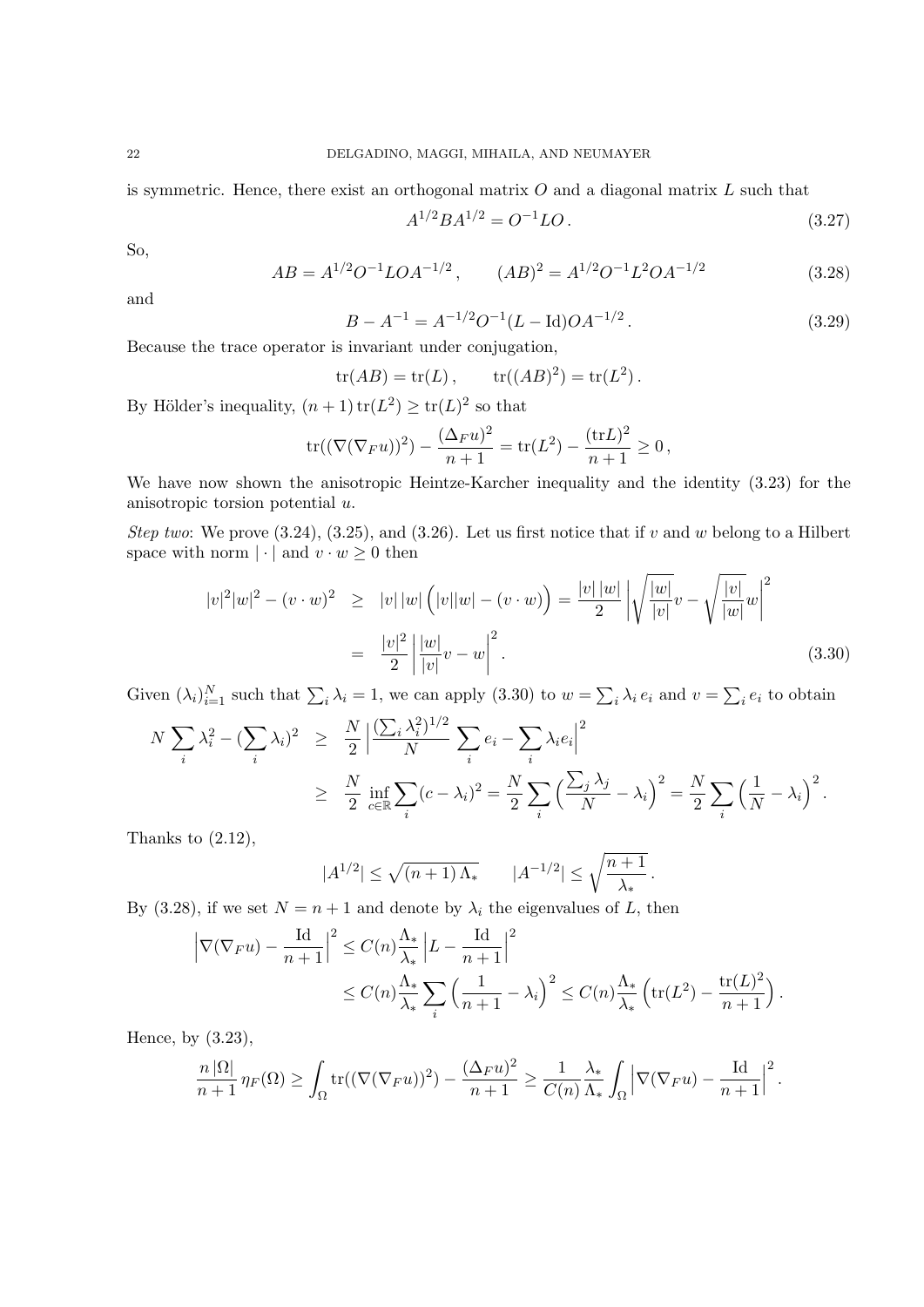is symmetric. Hence, there exist an orthogonal matrix *O* and a diagonal matrix *L* such that

$$
A^{1/2}BA^{1/2} = O^{-1}LO. \tag{3.27}
$$

So,

$$
AB = A^{1/2}O^{-1}LOA^{-1/2}, \qquad (AB)^2 = A^{1/2}O^{-1}L^2OA^{-1/2}
$$
\n(3.28)

and

$$
B - A^{-1} = A^{-1/2}O^{-1}(L - \text{Id})OA^{-1/2}.
$$
\n(3.29)

Because the trace operator is invariant under conjugation,

$$
tr(AB) = tr(L), \qquad tr((AB)^2) = tr(L^2).
$$

By Hölder's inequality,  $(n+1) \text{ tr}(L^2) \ge \text{ tr}(L)^2$  so that

$$
\text{tr}((\nabla(\nabla_F u))^2) - \frac{(\Delta_F u)^2}{n+1} = \text{tr}(L^2) - \frac{(\text{tr}L)^2}{n+1} \ge 0,
$$

We have now shown the anisotropic Heintze-Karcher inequality and the identity (3.23) for the anisotropic torsion potential *u*.

*Step two*: We prove (3.24), (3.25), and (3.26). Let us first notice that if *v* and *w* belong to a Hilbert space with norm  $|\cdot|$  and  $v \cdot w \geq 0$  then

$$
|v|^2|w|^2 - (v \cdot w)^2 \geq |v| |w| \left( |v||w| - (v \cdot w) \right) = \frac{|v||w|}{2} \left| \sqrt{\frac{|w|}{|v|}} v - \sqrt{\frac{|v|}{|w|}} w \right|^2
$$

$$
= \frac{|v|^2}{2} \left| \frac{|w|}{|v|} v - w \right|^2. \tag{3.30}
$$

Given  $(\lambda_i)_{i=1}^N$  such that  $\sum_i \lambda_i = 1$ , we can apply (3.30) to  $w = \sum_i \lambda_i e_i$  and  $v = \sum_i e_i$  to obtain

$$
N \sum_{i} \lambda_i^2 - (\sum_{i} \lambda_i)^2 \ge \frac{N}{2} \left| \frac{(\sum_{i} \lambda_i^2)^{1/2}}{N} \sum_{i} e_i - \sum_{i} \lambda_i e_i \right|^2
$$
  
 
$$
\ge \frac{N}{2} \inf_{c \in \mathbb{R}} \sum_{i} (c - \lambda_i)^2 = \frac{N}{2} \sum_{i} \left( \frac{\sum_{j} \lambda_j}{N} - \lambda_i \right)^2 = \frac{N}{2} \sum_{i} \left( \frac{1}{N} - \lambda_i \right)^2.
$$

Thanks to  $(2.12)$ ,

$$
|A^{1/2}| \le \sqrt{(n+1)\,\Lambda_*} \qquad |A^{-1/2}| \le \sqrt{\frac{n+1}{\lambda_*}}.
$$

By (3.28), if we set  $N = n + 1$  and denote by  $\lambda_i$  the eigenvalues of *L*, then

$$
\left|\nabla(\nabla_F u) - \frac{\mathrm{Id}}{n+1}\right|^2 \le C(n)\frac{\Lambda_*}{\lambda_*} \left|L - \frac{\mathrm{Id}}{n+1}\right|^2
$$
  

$$
\le C(n)\frac{\Lambda_*}{\lambda_*} \sum_i \left(\frac{1}{n+1} - \lambda_i\right)^2 \le C(n)\frac{\Lambda_*}{\lambda_*} \left(\mathrm{tr}(L^2) - \frac{\mathrm{tr}(L)^2}{n+1}\right).
$$

Hence, by (3.23),

$$
\frac{n |\Omega|}{n+1} \eta_F(\Omega) \ge \int_{\Omega} tr((\nabla (\nabla_F u))^2) - \frac{(\Delta_F u)^2}{n+1} \ge \frac{1}{C(n)} \frac{\lambda_*}{\Lambda_*} \int_{\Omega} \left| \nabla (\nabla_F u) - \frac{Id}{n+1} \right|^2.
$$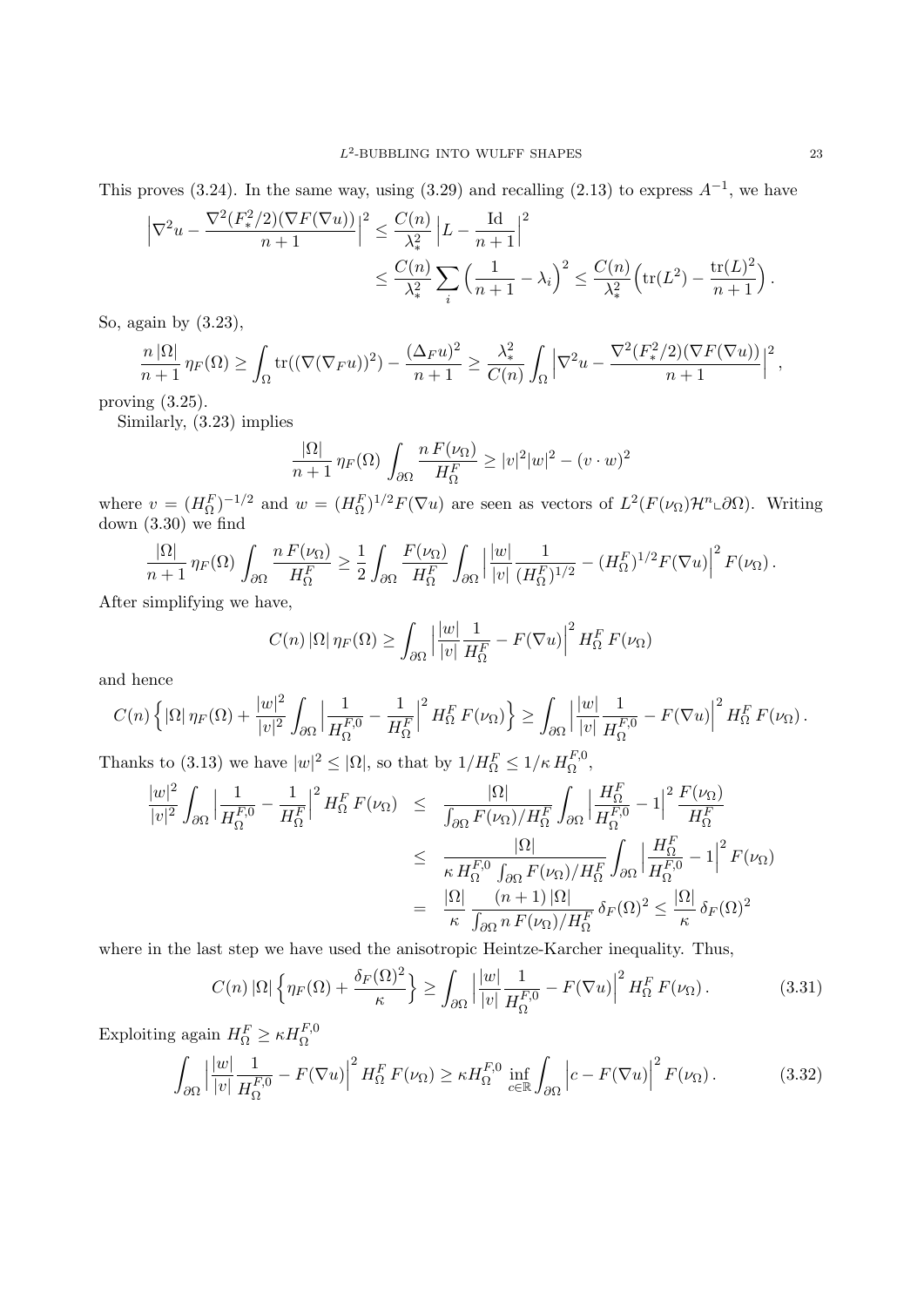This proves (3.24). In the same way, using (3.29) and recalling (2.13) to express  $A^{-1}$ , we have

$$
\left| \nabla^2 u - \frac{\nabla^2 (F^2_*/2)(\nabla F(\nabla u))}{n+1} \right|^2 \le \frac{C(n)}{\lambda_*^2} \left| L - \frac{\mathrm{Id}}{n+1} \right|^2
$$
  

$$
\le \frac{C(n)}{\lambda_*^2} \sum_i \left( \frac{1}{n+1} - \lambda_i \right)^2 \le \frac{C(n)}{\lambda_*^2} \left( \text{tr}(L^2) - \frac{\text{tr}(L)^2}{n+1} \right).
$$

So, again by (3.23),

$$
\frac{n |\Omega|}{n+1} \eta_F(\Omega) \ge \int_{\Omega} tr((\nabla (\nabla_F u))^2) - \frac{(\Delta_F u)^2}{n+1} \ge \frac{\lambda_*^2}{C(n)} \int_{\Omega} \left| \nabla^2 u - \frac{\nabla^2 (F^2_*/2)(\nabla F(\nabla u))}{n+1} \right|^2,
$$

proving (3.25).

Similarly, (3.23) implies

$$
\frac{|\Omega|}{n+1} \eta_F(\Omega) \int_{\partial\Omega} \frac{n F(\nu_\Omega)}{H_\Omega^F} \ge |v|^2 |w|^2 - (v \cdot w)^2
$$

where  $v = (H_{\Omega}^F)^{-1/2}$  and  $w = (H_{\Omega}^F)^{1/2} F(\nabla u)$  are seen as vectors of  $L^2(F(\nu_{\Omega})\mathcal{H}^n\text{-}\partial\Omega)$ . Writing down  $(3.30)$  we find

$$
\frac{|\Omega|}{n+1} \eta_F(\Omega) \int_{\partial\Omega} \frac{n F(\nu_\Omega)}{H_\Omega^F} \ge \frac{1}{2} \int_{\partial\Omega} \frac{F(\nu_\Omega)}{H_\Omega^F} \int_{\partial\Omega} \left| \frac{|w|}{|v|} \frac{1}{(H_\Omega^F)^{1/2}} - (H_\Omega^F)^{1/2} F(\nabla u) \right|^2 F(\nu_\Omega).
$$

After simplifying we have,

$$
C(n) |\Omega| \eta_F(\Omega) \ge \int_{\partial\Omega} \left| \frac{|w|}{|v|} \frac{1}{H_{\Omega}^F} - F(\nabla u) \right|^2 H_{\Omega}^F F(\nu_{\Omega})
$$

and hence

$$
C(n)\left\{|\Omega|\,\eta_F(\Omega)+\frac{|w|^2}{|v|^2}\int_{\partial\Omega}\left|\frac{1}{H_\Omega^{F,0}}-\frac{1}{H_\Omega^F}\right|^2H_\Omega^F\,F(\nu_\Omega)\right\}\geq \int_{\partial\Omega}\left|\frac{|w|}{|v|}\frac{1}{H_\Omega^{F,0}}-F(\nabla u)\right|^2H_\Omega^F\,F(\nu_\Omega)\,.
$$

Thanks to (3.13) we have  $|w|^2 \leq |\Omega|$ , so that by  $1/H_{\Omega}^F \leq 1/\kappa H_{\Omega}^{F,0}$ ,

$$
\frac{|w|^2}{|v|^2} \int_{\partial\Omega} \left| \frac{1}{H_{\Omega}^{F,0}} - \frac{1}{H_{\Omega}^{F}} \right|^2 H_{\Omega}^F F(\nu_{\Omega}) \leq \frac{|\Omega|}{\int_{\partial\Omega} F(\nu_{\Omega})/H_{\Omega}^F} \int_{\partial\Omega} \left| \frac{H_{\Omega}^F}{H_{\Omega}^{F,0}} - 1 \right|^2 \frac{F(\nu_{\Omega})}{H_{\Omega}^F}
$$

$$
\leq \frac{|\Omega|}{\kappa H_{\Omega}^{F,0} \int_{\partial\Omega} F(\nu_{\Omega})/H_{\Omega}^F} \int_{\partial\Omega} \left| \frac{H_{\Omega}^F}{H_{\Omega}^{F,0}} - 1 \right|^2 F(\nu_{\Omega})
$$

$$
= \frac{|\Omega|}{\kappa} \frac{(n+1)|\Omega|}{\int_{\partial\Omega} n F(\nu_{\Omega})/H_{\Omega}^F} \delta_F(\Omega)^2 \leq \frac{|\Omega|}{\kappa} \delta_F(\Omega)^2
$$

where in the last step we have used the anisotropic Heintze-Karcher inequality. Thus,

$$
C(n) |\Omega| \left\{ \eta_F(\Omega) + \frac{\delta_F(\Omega)^2}{\kappa} \right\} \ge \int_{\partial\Omega} \left| \frac{|w|}{|v|} \frac{1}{H_{\Omega}^{F,0}} - F(\nabla u) \right|^2 H_{\Omega}^F F(\nu_{\Omega}). \tag{3.31}
$$

Exploiting again  $H_{\Omega}^F \geq \kappa H_{\Omega}^{F,0}$ 

$$
\int_{\partial\Omega} \left| \frac{|w|}{|v|} \frac{1}{H_{\Omega}^{F,0}} - F(\nabla u) \right|^2 H_{\Omega}^F F(\nu_{\Omega}) \ge \kappa H_{\Omega}^{F,0} \inf_{c \in \mathbb{R}} \int_{\partial\Omega} \left| c - F(\nabla u) \right|^2 F(\nu_{\Omega}). \tag{3.32}
$$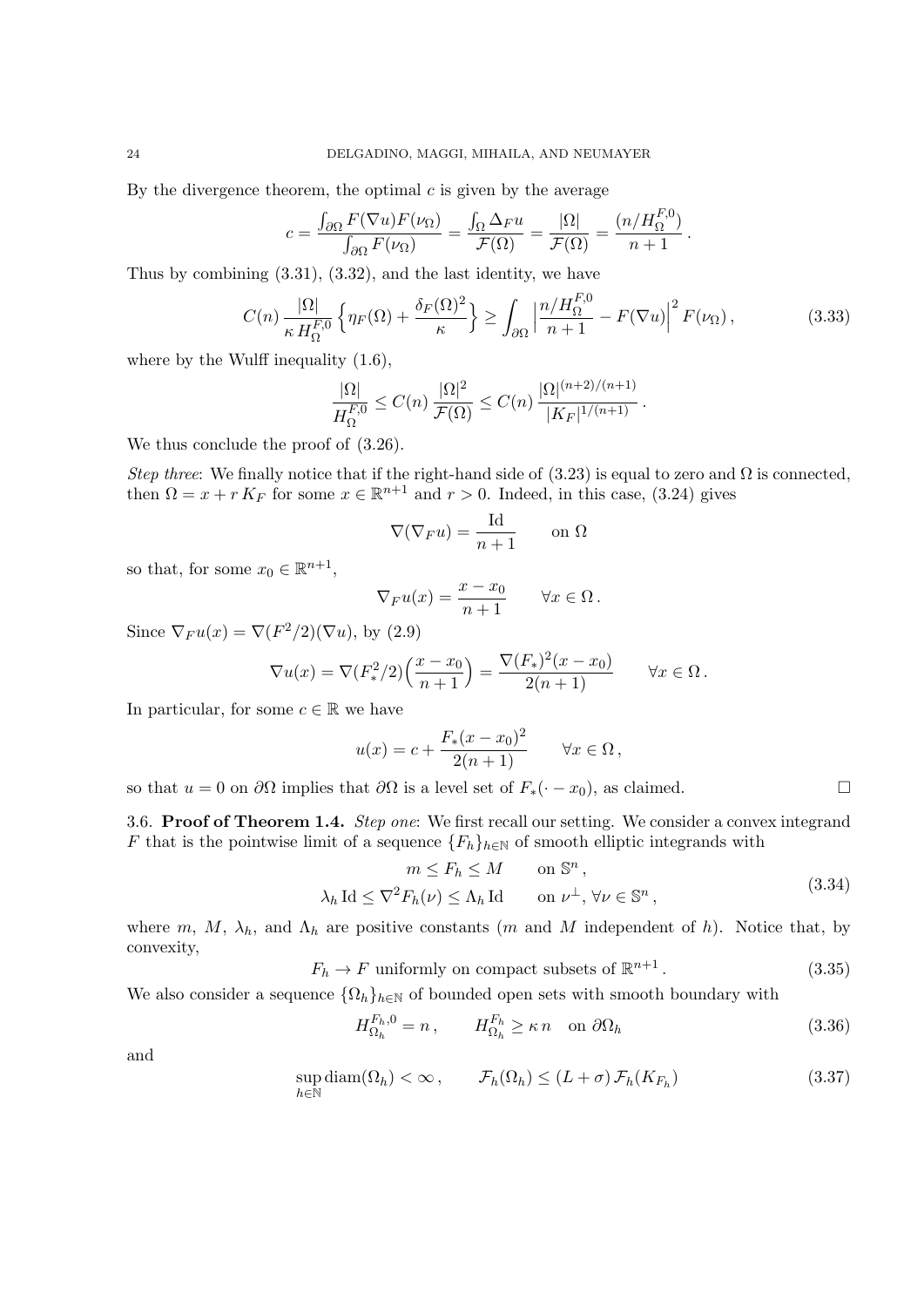By the divergence theorem, the optimal *c* is given by the average

$$
c = \frac{\int_{\partial\Omega} F(\nabla u) F(\nu_{\Omega})}{\int_{\partial\Omega} F(\nu_{\Omega})} = \frac{\int_{\Omega} \Delta_F u}{\mathcal{F}(\Omega)} = \frac{|\Omega|}{\mathcal{F}(\Omega)} = \frac{(n/H_{\Omega}^{F,0})}{n+1}.
$$

Thus by combining (3.31), (3.32), and the last identity, we have

$$
C(n) \frac{|\Omega|}{\kappa H_{\Omega}^{F,0}} \left\{ \eta_F(\Omega) + \frac{\delta_F(\Omega)^2}{\kappa} \right\} \ge \int_{\partial\Omega} \left| \frac{n/H_{\Omega}^{F,0}}{n+1} - F(\nabla u) \right|^2 F(\nu_{\Omega}), \tag{3.33}
$$

where by the Wulff inequality  $(1.6)$ ,

$$
\frac{|\Omega|}{H_{\Omega}^{F,0}} \leq C(n) \frac{|\Omega|^2}{\mathcal{F}(\Omega)} \leq C(n) \frac{|\Omega|^{(n+2)/(n+1)}}{|K_F|^{1/(n+1)}}.
$$

We thus conclude the proof of  $(3.26)$ .

*Step three*: We finally notice that if the right-hand side of  $(3.23)$  is equal to zero and  $\Omega$  is connected, then  $\Omega = x + r K_F$  for some  $x \in \mathbb{R}^{n+1}$  and  $r > 0$ . Indeed, in this case, (3.24) gives

$$
\nabla(\nabla_F u) = \frac{\mathrm{Id}}{n+1} \qquad \text{on } \Omega
$$

so that, for some  $x_0 \in \mathbb{R}^{n+1}$ ,

$$
\nabla_F u(x) = \frac{x - x_0}{n + 1} \qquad \forall x \in \Omega.
$$

Since  $\nabla_F u(x) = \nabla(F^2/2)(\nabla u)$ , by (2.9)

$$
\nabla u(x) = \nabla (F_*^2/2) \left( \frac{x - x_0}{n+1} \right) = \frac{\nabla (F_*)^2 (x - x_0)}{2(n+1)} \qquad \forall x \in \Omega.
$$

In particular, for some  $c \in \mathbb{R}$  we have

$$
u(x) = c + \frac{F_*(x - x_0)^2}{2(n+1)}
$$
  $\forall x \in \Omega$ ,

so that *u* = 0 on *∂*Ω implies that *∂*Ω is a level set of  $F_*(· - x_0)$ , as claimed. □

3.6. **Proof of Theorem 1.4.** *Step one*: We first recall our setting. We consider a convex integrand *F* that is the pointwise limit of a sequence  ${F_h}_{h \in \mathbb{N}}$  of smooth elliptic integrands with

$$
m \le F_h \le M \qquad \text{on } \mathbb{S}^n ,
$$
  

$$
\lambda_h \operatorname{Id} \le \nabla^2 F_h(\nu) \le \Lambda_h \operatorname{Id} \qquad \text{on } \nu^{\perp}, \forall \nu \in \mathbb{S}^n , \tag{3.34}
$$

where  $m, M, \lambda_h$ , and  $\Lambda_h$  are positive constants (*m* and *M* independent of *h*). Notice that, by convexity,

> $F_h \to F$  uniformly on compact subsets of  $\mathbb{R}^{n+1}$ *.* (3.35)

We also consider a sequence  ${\Omega_h}_{h\in\mathbb{N}}$  of bounded open sets with smooth boundary with

$$
H_{\Omega_h}^{F_h,0} = n\,, \qquad H_{\Omega_h}^{F_h} \ge \kappa \, n \quad \text{on } \partial\Omega_h \tag{3.36}
$$

and

$$
\sup_{h \in \mathbb{N}} \text{diam}(\Omega_h) < \infty \,, \qquad \mathcal{F}_h(\Omega_h) \le (L + \sigma) \,\mathcal{F}_h(K_{F_h}) \tag{3.37}
$$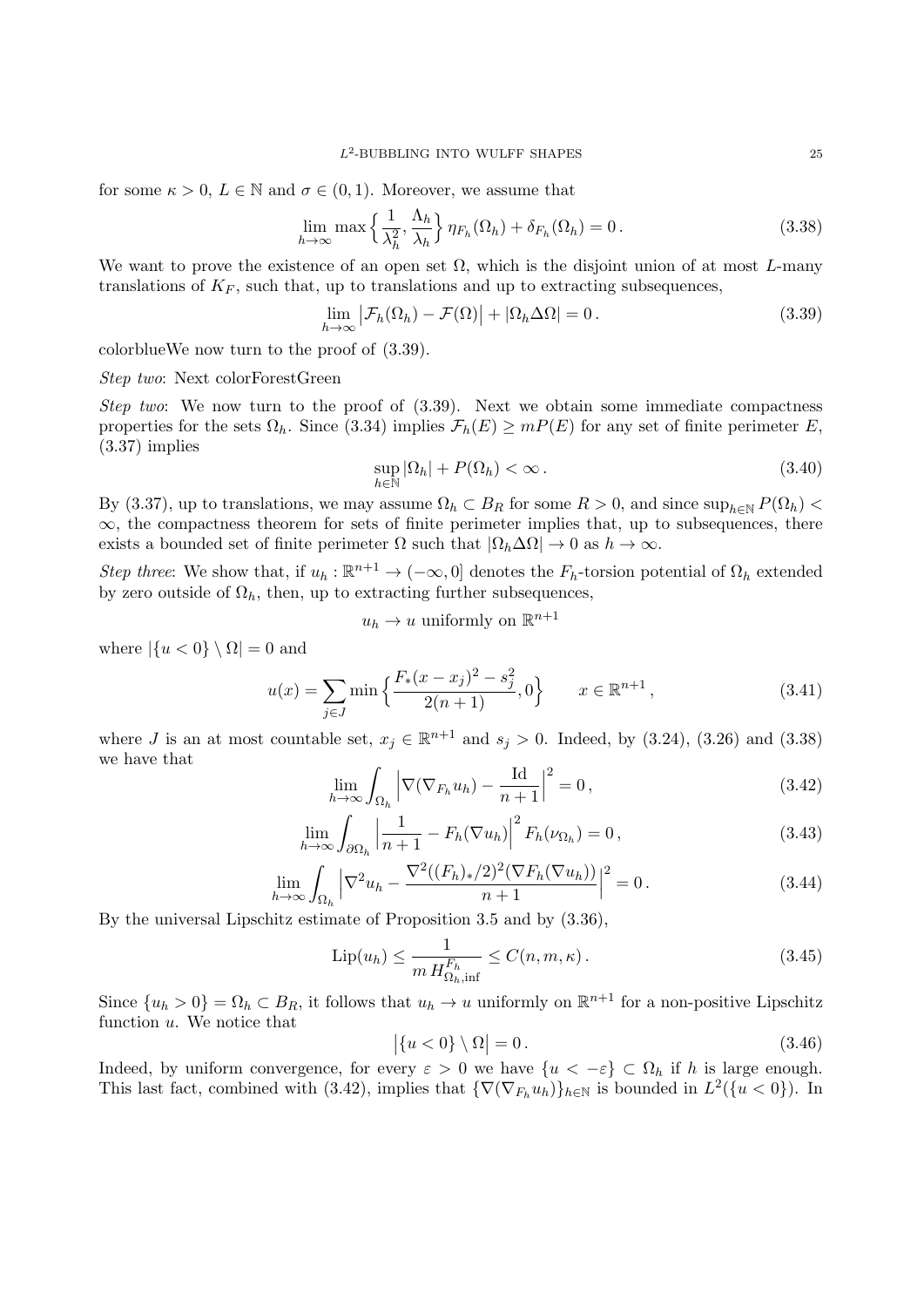for some  $\kappa > 0$ ,  $L \in \mathbb{N}$  and  $\sigma \in (0,1)$ . Moreover, we assume that

$$
\lim_{h \to \infty} \max \left\{ \frac{1}{\lambda_h^2}, \frac{\Lambda_h}{\lambda_h} \right\} \eta_{F_h}(\Omega_h) + \delta_{F_h}(\Omega_h) = 0. \tag{3.38}
$$

We want to prove the existence of an open set  $\Omega$ , which is the disjoint union of at most *L*-many translations of  $K_F$ , such that, up to translations and up to extracting subsequences,

$$
\lim_{h \to \infty} \left| \mathcal{F}_h(\Omega_h) - \mathcal{F}(\Omega) \right| + \left| \Omega_h \Delta \Omega \right| = 0. \tag{3.39}
$$

colorblueWe now turn to the proof of (3.39).

## *Step two*: Next colorForestGreen

*Step two*: We now turn to the proof of (3.39). Next we obtain some immediate compactness properties for the sets  $\Omega_h$ . Since (3.34) implies  $\mathcal{F}_h(E) \ge mP(E)$  for any set of finite perimeter *E*, (3.37) implies

$$
\sup_{h \in \mathbb{N}} |\Omega_h| + P(\Omega_h) < \infty \,. \tag{3.40}
$$

By (3.37), up to translations, we may assume  $\Omega_h \subset B_R$  for some  $R > 0$ , and since  $\sup_{h \in \mathbb{N}} P(\Omega_h)$  $\infty$ , the compactness theorem for sets of finite perimeter implies that, up to subsequences, there exists a bounded set of finite perimeter  $\Omega$  such that  $|\Omega_h \Delta \Omega| \to 0$  as  $h \to \infty$ .

*Step three*: We show that, if  $u_h : \mathbb{R}^{n+1} \to (-\infty, 0]$  denotes the  $F_h$ -torsion potential of  $\Omega_h$  extended by zero outside of  $\Omega_h$ , then, up to extracting further subsequences,

$$
u_h \to u
$$
 uniformly on  $\mathbb{R}^{n+1}$ 

where  $|\{u < 0\} \setminus \Omega| = 0$  and

$$
u(x) = \sum_{j \in J} \min \left\{ \frac{F_*(x - x_j)^2 - s_j^2}{2(n+1)}, 0 \right\} \qquad x \in \mathbb{R}^{n+1}, \tag{3.41}
$$

where *J* is an at most countable set,  $x_j \in \mathbb{R}^{n+1}$  and  $s_j > 0$ . Indeed, by (3.24), (3.26) and (3.38) we have that

$$
\lim_{h \to \infty} \int_{\Omega_h} \left| \nabla (\nabla_{F_h} u_h) - \frac{\mathrm{Id}}{n+1} \right|^2 = 0, \tag{3.42}
$$

$$
\lim_{h \to \infty} \int_{\partial \Omega_h} \left| \frac{1}{n+1} - F_h(\nabla u_h) \right|^2 F_h(\nu_{\Omega_h}) = 0, \tag{3.43}
$$

$$
\lim_{h \to \infty} \int_{\Omega_h} \left| \nabla^2 u_h - \frac{\nabla^2 ((F_h)_*/2)^2 (\nabla F_h (\nabla u_h))}{n+1} \right|^2 = 0. \tag{3.44}
$$

By the universal Lipschitz estimate of Proposition 3.5 and by (3.36),

$$
\text{Lip}(u_h) \le \frac{1}{m \, H_{\Omega_h, \text{inf}}^{F_h}} \le C(n, m, \kappa) \,. \tag{3.45}
$$

Since  $\{u_h > 0\} = \Omega_h \subset B_R$ , it follows that  $u_h \to u$  uniformly on  $\mathbb{R}^{n+1}$  for a non-positive Lipschitz function *u*. We notice that

$$
\left| \{ u < 0 \} \setminus \Omega \right| = 0. \tag{3.46}
$$

Indeed, by uniform convergence, for every  $\varepsilon > 0$  we have  $\{u < -\varepsilon\} \subset \Omega_h$  if *h* is large enough. This last fact, combined with (3.42), implies that  ${\nabla(\nabla_{F_h} u_h)}_{h \in \mathbb{N}}$  is bounded in  $L^2({u < 0})$ . In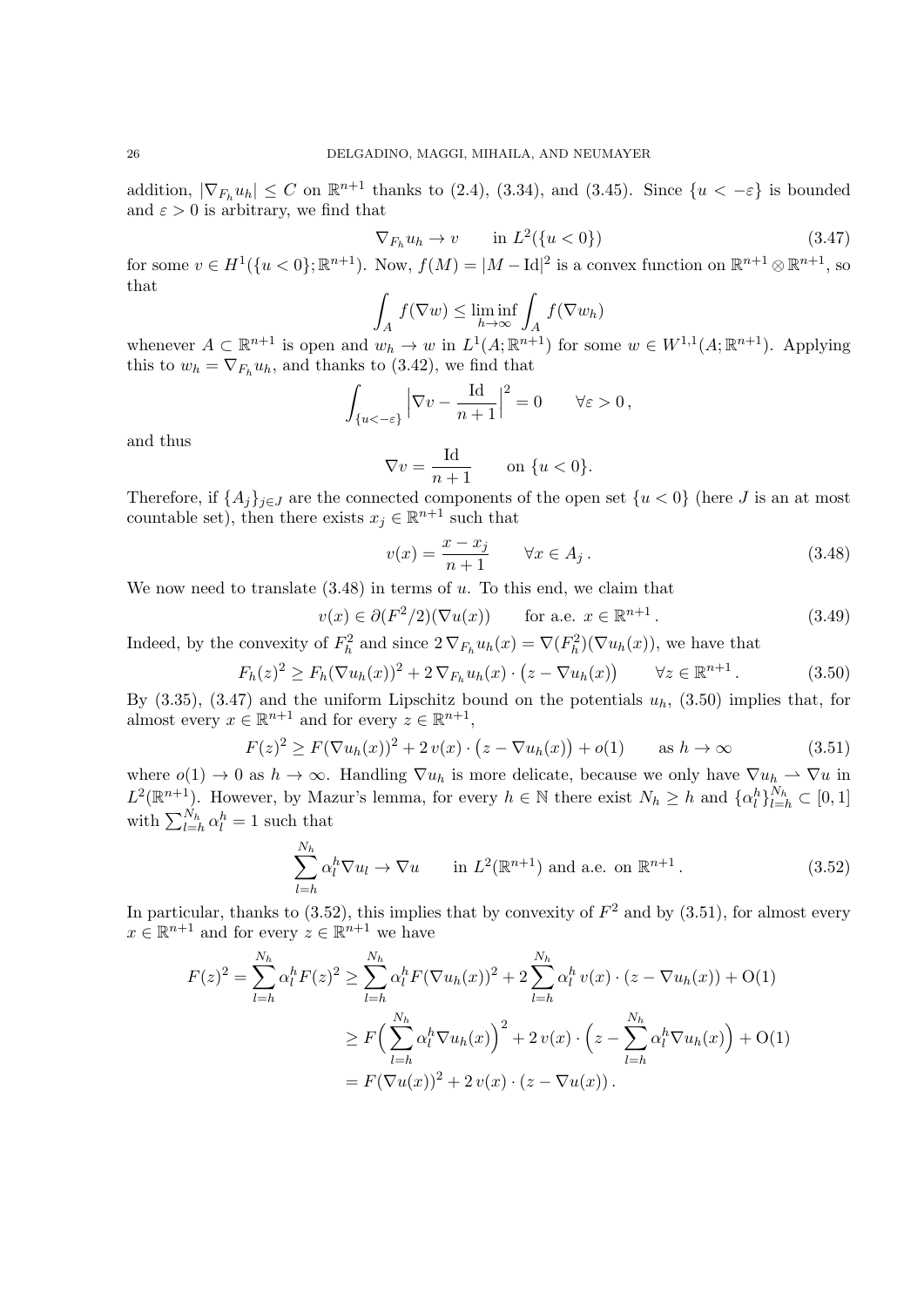addition,  $|\nabla_{F_h} u_h| \leq C$  on  $\mathbb{R}^{n+1}$  thanks to (2.4), (3.34), and (3.45). Since  $\{u < -\varepsilon\}$  is bounded and  $\varepsilon > 0$  is arbitrary, we find that

$$
\nabla_{F_h} u_h \to v \qquad \text{in } L^2(\{u < 0\}) \tag{3.47}
$$

for some  $v \in H^1({u < 0}; \mathbb{R}^{n+1})$ . Now,  $f(M) = |M - \text{Id}|^2$  is a convex function on  $\mathbb{R}^{n+1} \otimes \mathbb{R}^{n+1}$ , so that

$$
\int_A f(\nabla w) \le \liminf_{h \to \infty} \int_A f(\nabla w_h)
$$

whenever  $A \subset \mathbb{R}^{n+1}$  is open and  $w_h \to w$  in  $L^1(A; \mathbb{R}^{n+1})$  for some  $w \in W^{1,1}(A; \mathbb{R}^{n+1})$ . Applying this to  $w_h = \nabla_{F_h} u_h$ , and thanks to (3.42), we find that

$$
\int_{\{u<-\varepsilon\}} \Big|\nabla v - \frac{\mathrm{Id}}{n+1}\Big|^2 = 0 \qquad \forall \varepsilon > 0,
$$

and thus

$$
\nabla v = \frac{\text{Id}}{n+1} \qquad \text{on } \{u < 0\}.
$$

Therefore, if  $\{A_j\}_{j\in J}$  are the connected components of the open set  $\{u < 0\}$  (here *J* is an at most countable set), then there exists  $x_j \in \mathbb{R}^{n+1}$  such that

$$
v(x) = \frac{x - x_j}{n+1} \qquad \forall x \in A_j.
$$
\n(3.48)

We now need to translate (3.48) in terms of *u*. To this end, we claim that

$$
v(x) \in \partial (F^2/2)(\nabla u(x)) \qquad \text{for a.e. } x \in \mathbb{R}^{n+1} \,. \tag{3.49}
$$

Indeed, by the convexity of  $F_h^2$  and since  $2 \nabla_{F_h} u_h(x) = \nabla(F_h^2)(\nabla u_h(x))$ , we have that

$$
F_h(z)^2 \ge F_h(\nabla u_h(x))^2 + 2\nabla_{F_h} u_h(x) \cdot (z - \nabla u_h(x)) \qquad \forall z \in \mathbb{R}^{n+1}.
$$
 (3.50)

By  $(3.35)$ ,  $(3.47)$  and the uniform Lipschitz bound on the potentials  $u_h$ ,  $(3.50)$  implies that, for almost every  $x \in \mathbb{R}^{n+1}$  and for every  $z \in \mathbb{R}^{n+1}$ ,

$$
F(z)^{2} \ge F(\nabla u_{h}(x))^{2} + 2v(x) \cdot (z - \nabla u_{h}(x)) + o(1) \quad \text{as } h \to \infty
$$
\n(3.51)

where  $o(1) \to 0$  as  $h \to \infty$ . Handling  $\nabla u_h$  is more delicate, because we only have  $\nabla u_h \to \nabla u$  in  $L^2(\mathbb{R}^{n+1})$ . However, by Mazur's lemma, for every  $h \in \mathbb{N}$  there exist  $N_h \geq h$  and  $\{\alpha_l^h\}_{l=h}^{N_h} \subset [0,1]$ with  $\sum_{l=h}^{N_h} \alpha_l^h = 1$  such that

$$
\sum_{l=h}^{N_h} \alpha_l^h \nabla u_l \to \nabla u \qquad \text{in } L^2(\mathbb{R}^{n+1}) \text{ and a.e. on } \mathbb{R}^{n+1}.
$$
 (3.52)

In particular, thanks to  $(3.52)$ , this implies that by convexity of  $F<sup>2</sup>$  and by  $(3.51)$ , for almost every  $x \in \mathbb{R}^{n+1}$  and for every  $z \in \mathbb{R}^{n+1}$  we have

$$
F(z)^{2} = \sum_{l=h}^{N_{h}} \alpha_{l}^{h} F(z)^{2} \ge \sum_{l=h}^{N_{h}} \alpha_{l}^{h} F(\nabla u_{h}(x))^{2} + 2 \sum_{l=h}^{N_{h}} \alpha_{l}^{h} v(x) \cdot (z - \nabla u_{h}(x)) + O(1)
$$
  

$$
\ge F\Big(\sum_{l=h}^{N_{h}} \alpha_{l}^{h} \nabla u_{h}(x)\Big)^{2} + 2 v(x) \cdot \Big(z - \sum_{l=h}^{N_{h}} \alpha_{l}^{h} \nabla u_{h}(x)\Big) + O(1)
$$
  

$$
= F(\nabla u(x))^{2} + 2 v(x) \cdot (z - \nabla u(x)).
$$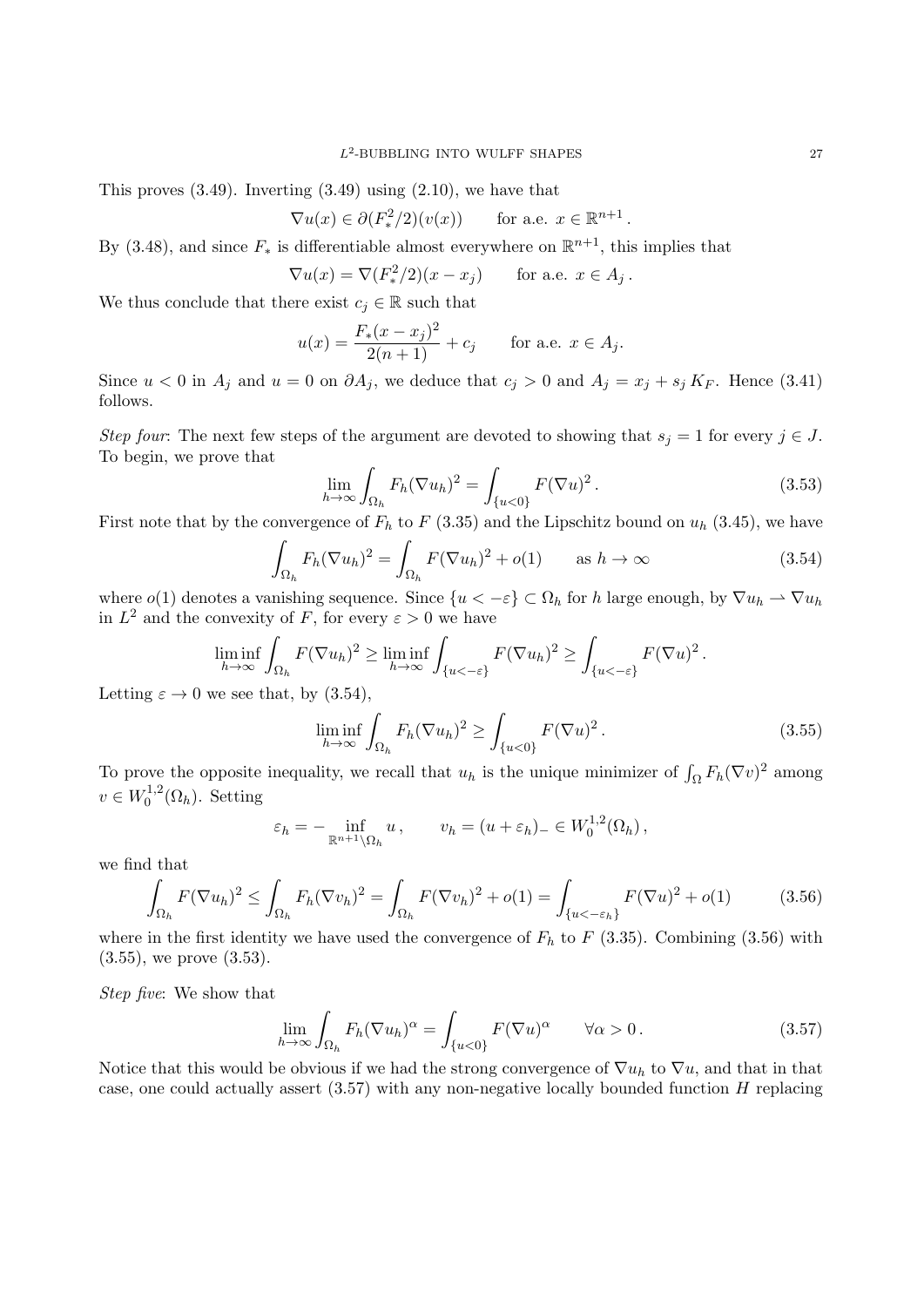This proves  $(3.49)$ . Inverting  $(3.49)$  using  $(2.10)$ , we have that

$$
\nabla u(x) \in \partial (F^2_*/2)(v(x)) \quad \text{for a.e. } x \in \mathbb{R}^{n+1}.
$$

By (3.48), and since  $F_*$  is differentiable almost everywhere on  $\mathbb{R}^{n+1}$ , this implies that

$$
\nabla u(x) = \nabla (F_*^2/2)(x - x_j) \quad \text{for a.e. } x \in A_j.
$$

We thus conclude that there exist  $c_j \in \mathbb{R}$  such that

$$
u(x) = \frac{F_*(x - x_j)^2}{2(n+1)} + c_j \quad \text{for a.e. } x \in A_j.
$$

Since  $u < 0$  in  $A_j$  and  $u = 0$  on  $\partial A_j$ , we deduce that  $c_j > 0$  and  $A_j = x_j + s_j K_F$ . Hence (3.41) follows.

*Step four*: The next few steps of the argument are devoted to showing that  $s_j = 1$  for every  $j \in J$ . To begin, we prove that

$$
\lim_{h \to \infty} \int_{\Omega_h} F_h(\nabla u_h)^2 = \int_{\{u < 0\}} F(\nabla u)^2. \tag{3.53}
$$

First note that by the convergence of  $F_h$  to  $F(3.35)$  and the Lipschitz bound on  $u_h(3.45)$ , we have

$$
\int_{\Omega_h} F_h(\nabla u_h)^2 = \int_{\Omega_h} F(\nabla u_h)^2 + o(1) \qquad \text{as } h \to \infty \tag{3.54}
$$

where  $o(1)$  denotes a vanishing sequence. Since  $\{u < -\varepsilon\} \subset \Omega_h$  for *h* large enough, by  $\nabla u_h \to \nabla u_h$ in  $L^2$  and the convexity of *F*, for every  $\varepsilon > 0$  we have

$$
\liminf_{h \to \infty} \int_{\Omega_h} F(\nabla u_h)^2 \ge \liminf_{h \to \infty} \int_{\{u < -\varepsilon\}} F(\nabla u_h)^2 \ge \int_{\{u < -\varepsilon\}} F(\nabla u)^2.
$$

Letting  $\varepsilon \to 0$  we see that, by (3.54),

$$
\liminf_{h \to \infty} \int_{\Omega_h} F_h(\nabla u_h)^2 \ge \int_{\{u < 0\}} F(\nabla u)^2. \tag{3.55}
$$

To prove the opposite inequality, we recall that  $u_h$  is the unique minimizer of  $\int_{\Omega} F_h(\nabla v)^2$  among  $v \in W_0^{1,2}$  $\int_0^{1,2} (\Omega_h)$ . Setting

$$
\varepsilon_h = -\inf_{\mathbb{R}^{n+1}\setminus\Omega_h} u, \qquad v_h = (u+\varepsilon_h)_- \in W_0^{1,2}(\Omega_h),
$$

we find that

$$
\int_{\Omega_h} F(\nabla u_h)^2 \le \int_{\Omega_h} F_h(\nabla v_h)^2 = \int_{\Omega_h} F(\nabla v_h)^2 + o(1) = \int_{\{u < -\varepsilon_h\}} F(\nabla u)^2 + o(1) \tag{3.56}
$$

where in the first identity we have used the convergence of  $F_h$  to  $F$  (3.35). Combining (3.56) with (3.55), we prove (3.53).

*Step five*: We show that

$$
\lim_{h \to \infty} \int_{\Omega_h} F_h(\nabla u_h)^\alpha = \int_{\{u < 0\}} F(\nabla u)^\alpha \qquad \forall \alpha > 0. \tag{3.57}
$$

Notice that this would be obvious if we had the strong convergence of  $\nabla u_h$  to  $\nabla u$ , and that in that case, one could actually assert (3.57) with any non-negative locally bounded function *H* replacing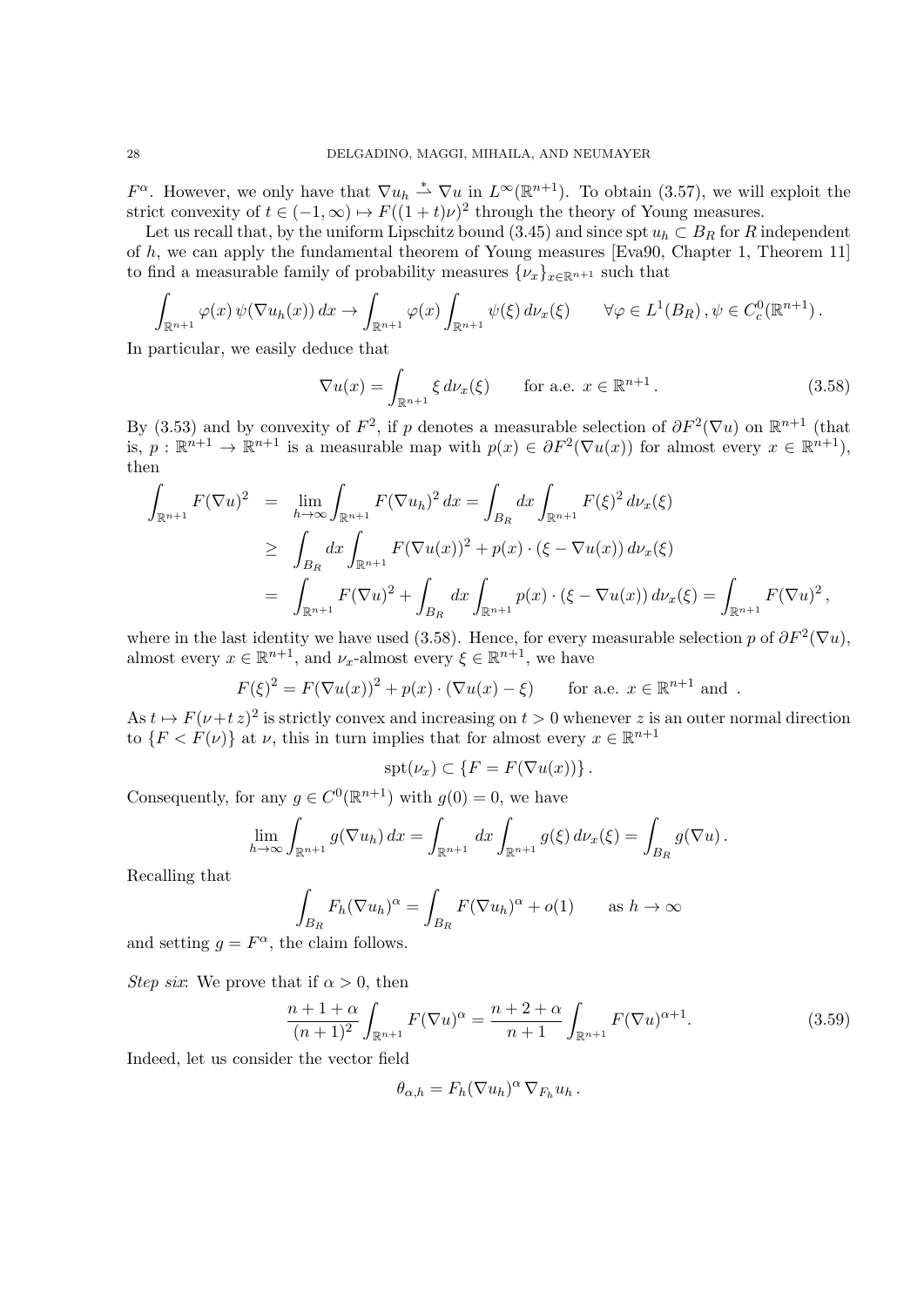*F*<sup>α</sup>. However, we only have that  $\nabla u_h \overset{*}{\rightharpoonup} \nabla u$  in  $L^\infty(\mathbb{R}^{n+1})$ . To obtain (3.57), we will exploit the strict convexity of  $t \in (-1, \infty) \mapsto F((1 + t)\nu)^2$  through the theory of Young measures.

Let us recall that, by the uniform Lipschitz bound (3.45) and since spt  $u_h \,\subset B_R$  for R independent of *h*, we can apply the fundamental theorem of Young measures [Eva90, Chapter 1, Theorem 11] to find a measurable family of probability measures  $\{\nu_x\}_{x \in \mathbb{R}^{n+1}}$  such that

$$
\int_{\mathbb{R}^{n+1}} \varphi(x) \, \psi(\nabla u_h(x)) \, dx \to \int_{\mathbb{R}^{n+1}} \varphi(x) \int_{\mathbb{R}^{n+1}} \psi(\xi) \, d\nu_x(\xi) \qquad \forall \varphi \in L^1(B_R) \, , \psi \in C_c^0(\mathbb{R}^{n+1}) \, .
$$

In particular, we easily deduce that

$$
\nabla u(x) = \int_{\mathbb{R}^{n+1}} \xi \, d\nu_x(\xi) \qquad \text{for a.e. } x \in \mathbb{R}^{n+1} \,. \tag{3.58}
$$

By (3.53) and by convexity of  $F^2$ , if *p* denotes a measurable selection of  $\partial F^2(\nabla u)$  on  $\mathbb{R}^{n+1}$  (that is,  $p: \mathbb{R}^{n+1} \to \mathbb{R}^{n+1}$  is a measurable map with  $p(x) \in \partial F^2(\nabla u(x))$  for almost every  $x \in \mathbb{R}^{n+1}$ ), then

$$
\int_{\mathbb{R}^{n+1}} F(\nabla u)^2 = \lim_{h \to \infty} \int_{\mathbb{R}^{n+1}} F(\nabla u_h)^2 dx = \int_{B_R} dx \int_{\mathbb{R}^{n+1}} F(\xi)^2 d\nu_x(\xi)
$$
\n
$$
\geq \int_{B_R} dx \int_{\mathbb{R}^{n+1}} F(\nabla u(x))^2 + p(x) \cdot (\xi - \nabla u(x)) d\nu_x(\xi)
$$
\n
$$
= \int_{\mathbb{R}^{n+1}} F(\nabla u)^2 + \int_{B_R} dx \int_{\mathbb{R}^{n+1}} p(x) \cdot (\xi - \nabla u(x)) d\nu_x(\xi) = \int_{\mathbb{R}^{n+1}} F(\nabla u)^2,
$$

where in the last identity we have used (3.58). Hence, for every measurable selection *p* of  $\partial F^2(\nabla u)$ , almost every  $x \in \mathbb{R}^{n+1}$ , and  $\nu_x$ -almost every  $\xi \in \mathbb{R}^{n+1}$ , we have

$$
F(\xi)^2 = F(\nabla u(x))^2 + p(x) \cdot (\nabla u(x) - \xi) \quad \text{for a.e. } x \in \mathbb{R}^{n+1} \text{ and }.
$$

As  $t \mapsto F(\nu + t z)^2$  is strictly convex and increasing on  $t > 0$  whenever *z* is an outer normal direction to  ${F < F(\nu)}$  at  $\nu$ , this in turn implies that for almost every  $x \in \mathbb{R}^{n+1}$ 

$$
spt(\nu_x)\subset \{F=F(\nabla u(x))\}\,.
$$

Consequently, for any  $g \in C^0(\mathbb{R}^{n+1})$  with  $g(0) = 0$ , we have

$$
\lim_{h\to\infty}\int_{\mathbb{R}^{n+1}}g(\nabla u_h)\,dx=\int_{\mathbb{R}^{n+1}}dx\int_{\mathbb{R}^{n+1}}g(\xi)\,d\nu_x(\xi)=\int_{B_R}g(\nabla u)\,.
$$

Recalling that

$$
\int_{B_R} F_h (\nabla u_h)^{\alpha} = \int_{B_R} F (\nabla u_h)^{\alpha} + o(1) \quad \text{as } h \to \infty
$$

and setting  $g = F^{\alpha}$ , the claim follows.

*Step six*: We prove that if  $\alpha > 0$ , then

$$
\frac{n+1+\alpha}{(n+1)^2} \int_{\mathbb{R}^{n+1}} F(\nabla u)^{\alpha} = \frac{n+2+\alpha}{n+1} \int_{\mathbb{R}^{n+1}} F(\nabla u)^{\alpha+1}.
$$
 (3.59)

Indeed, let us consider the vector field

$$
\theta_{\alpha,h} = F_h (\nabla u_h)^{\alpha} \nabla_{F_h} u_h.
$$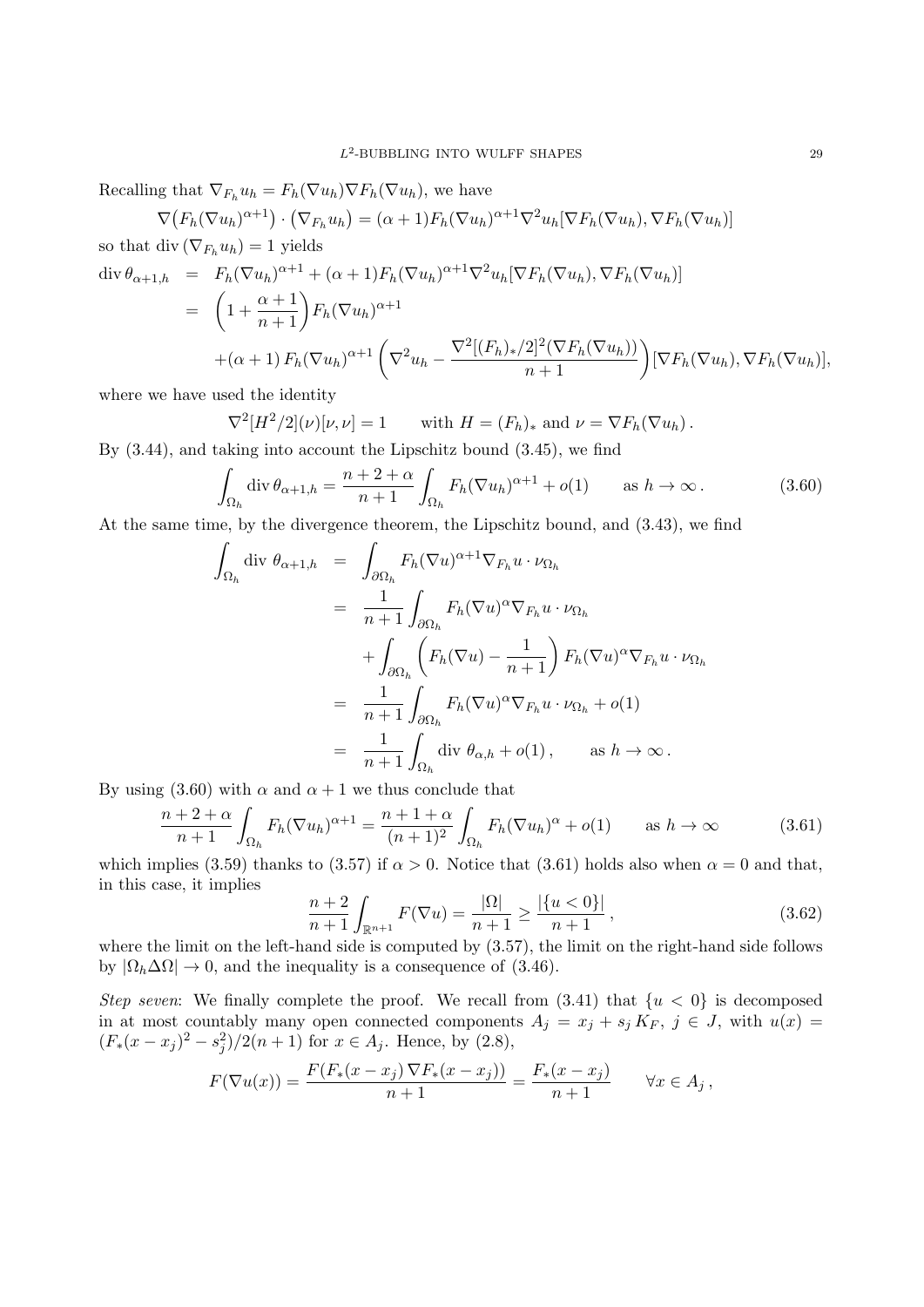Recalling that  $\nabla_{F_h} u_h = F_h(\nabla u_h) \nabla F_h(\nabla u_h)$ , we have

$$
\nabla \big( F_h(\nabla u_h)^{\alpha+1} \big) \cdot \big( \nabla_{F_h} u_h \big) = (\alpha+1) F_h(\nabla u_h)^{\alpha+1} \nabla^2 u_h[\nabla F_h(\nabla u_h), \nabla F_h(\nabla u_h)]
$$

so that div  $(\nabla_{F_h} u_h) = 1$  yields

$$
\begin{split}\n\operatorname{div} \theta_{\alpha+1,h} &= F_h(\nabla u_h)^{\alpha+1} + (\alpha+1) F_h(\nabla u_h)^{\alpha+1} \nabla^2 u_h[\nabla F_h(\nabla u_h), \nabla F_h(\nabla u_h)] \\
&= \left(1 + \frac{\alpha+1}{n+1}\right) F_h(\nabla u_h)^{\alpha+1} \\
&\quad + (\alpha+1) F_h(\nabla u_h)^{\alpha+1} \left(\nabla^2 u_h - \frac{\nabla^2 [(F_h)_*/2]^2 (\nabla F_h(\nabla u_h))}{n+1}\right) [\nabla F_h(\nabla u_h), \nabla F_h(\nabla u_h)],\n\end{split}
$$

where we have used the identity

$$
\nabla^2 [H^2/2](\nu)[\nu, \nu] = 1 \quad \text{with } H = (F_h)_* \text{ and } \nu = \nabla F_h(\nabla u_h).
$$

By (3.44), and taking into account the Lipschitz bound (3.45), we find

$$
\int_{\Omega_h} \operatorname{div} \theta_{\alpha+1,h} = \frac{n+2+\alpha}{n+1} \int_{\Omega_h} F_h (\nabla u_h)^{\alpha+1} + o(1) \quad \text{as } h \to \infty. \tag{3.60}
$$

At the same time, by the divergence theorem, the Lipschitz bound, and (3.43), we find

$$
\int_{\Omega_h} \text{div } \theta_{\alpha+1,h} = \int_{\partial \Omega_h} F_h (\nabla u)^{\alpha+1} \nabla_{F_h} u \cdot \nu_{\Omega_h}
$$
\n
$$
= \frac{1}{n+1} \int_{\partial \Omega_h} F_h (\nabla u)^{\alpha} \nabla_{F_h} u \cdot \nu_{\Omega_h}
$$
\n
$$
+ \int_{\partial \Omega_h} \left( F_h (\nabla u) - \frac{1}{n+1} \right) F_h (\nabla u)^{\alpha} \nabla_{F_h} u \cdot \nu_{\Omega_h}
$$
\n
$$
= \frac{1}{n+1} \int_{\partial \Omega_h} F_h (\nabla u)^{\alpha} \nabla_{F_h} u \cdot \nu_{\Omega_h} + o(1)
$$
\n
$$
= \frac{1}{n+1} \int_{\Omega_h} \text{div } \theta_{\alpha,h} + o(1), \quad \text{as } h \to \infty.
$$

By using (3.60) with  $\alpha$  and  $\alpha + 1$  we thus conclude that

$$
\frac{n+2+\alpha}{n+1} \int_{\Omega_h} F_h(\nabla u_h)^{\alpha+1} = \frac{n+1+\alpha}{(n+1)^2} \int_{\Omega_h} F_h(\nabla u_h)^{\alpha} + o(1) \quad \text{as } h \to \infty \tag{3.61}
$$

which implies (3.59) thanks to (3.57) if  $\alpha > 0$ . Notice that (3.61) holds also when  $\alpha = 0$  and that, in this case, it implies

$$
\frac{n+2}{n+1} \int_{\mathbb{R}^{n+1}} F(\nabla u) = \frac{|\Omega|}{n+1} \ge \frac{|\{u < 0\}|}{n+1},\tag{3.62}
$$

where the limit on the left-hand side is computed by (3.57), the limit on the right-hand side follows by  $|\Omega_h \Delta \Omega| \to 0$ , and the inequality is a consequence of (3.46).

*Step seven*: We finally complete the proof. We recall from  $(3.41)$  that  $\{u < 0\}$  is decomposed in at most countably many open connected components  $A_j = x_j + s_j K_F$ ,  $j \in J$ , with  $u(x) =$  $(F_*(x - x_j)^2 - s_j^2)/2(n + 1)$  for  $x \in A_j$ . Hence, by (2.8),

$$
F(\nabla u(x)) = \frac{F(F_*(x - x_j) \nabla F_*(x - x_j))}{n+1} = \frac{F_*(x - x_j)}{n+1} \qquad \forall x \in A_j,
$$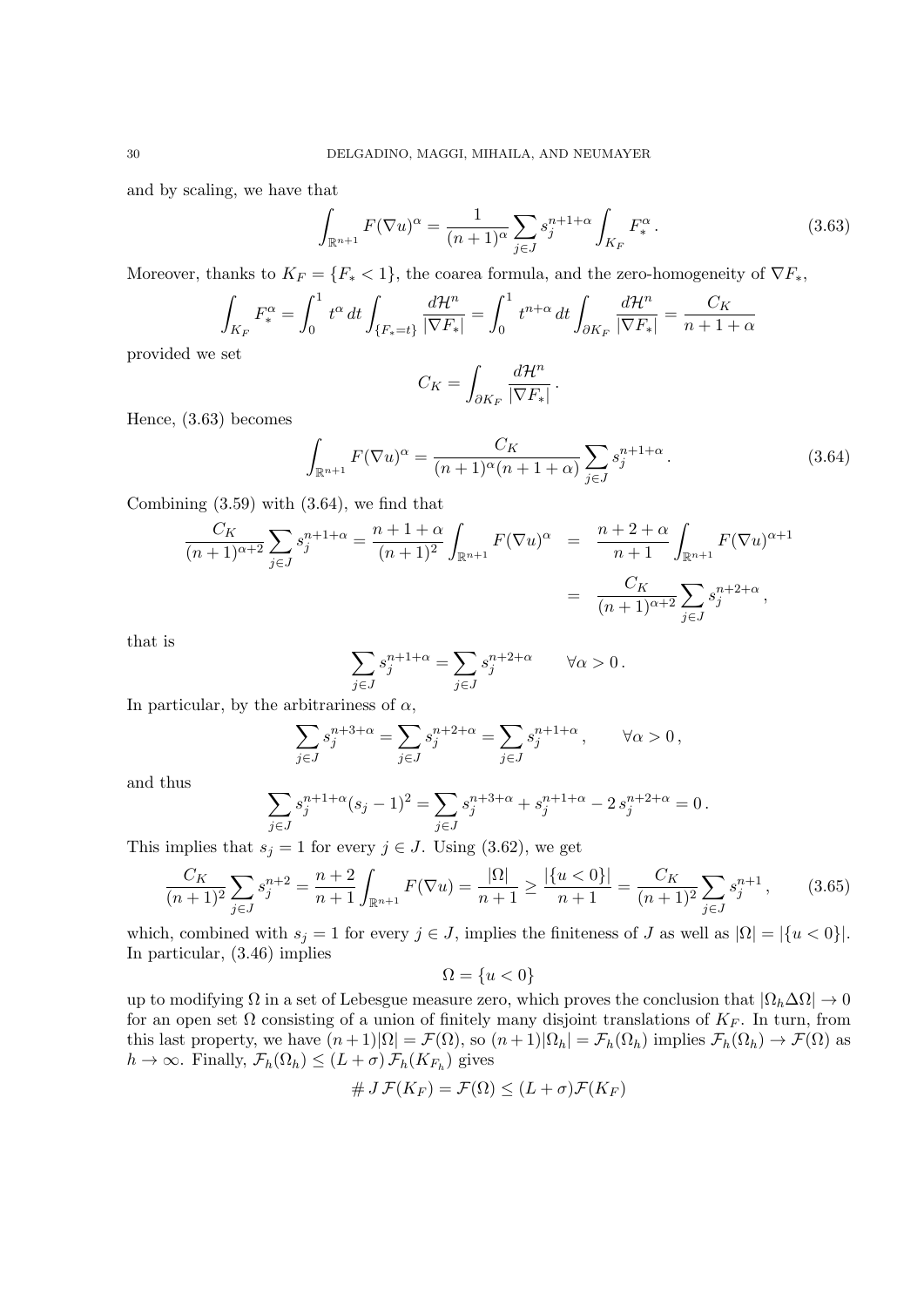and by scaling, we have that

$$
\int_{\mathbb{R}^{n+1}} F(\nabla u)^{\alpha} = \frac{1}{(n+1)^{\alpha}} \sum_{j \in J} s_j^{n+1+\alpha} \int_{K_F} F_*^{\alpha} . \tag{3.63}
$$

Moreover, thanks to  $K_F = \{F_* < 1\}$ , the coarea formula, and the zero-homogeneity of  $\nabla F_*$ ,

$$
\int_{K_F} F_*^{\alpha} = \int_0^1 t^{\alpha} dt \int_{\{F_* = t\}} \frac{d\mathcal{H}^n}{|\nabla F_*|} = \int_0^1 t^{n+\alpha} dt \int_{\partial K_F} \frac{d\mathcal{H}^n}{|\nabla F_*|} = \frac{C_K}{n+1+\alpha}
$$

provided we set

$$
C_K = \int_{\partial K_F} \frac{d\mathcal{H}^n}{|\nabla F_*|}.
$$

Hence, (3.63) becomes

$$
\int_{\mathbb{R}^{n+1}} F(\nabla u)^{\alpha} = \frac{C_K}{(n+1)^{\alpha}(n+1+\alpha)} \sum_{j \in J} s_j^{n+1+\alpha}.
$$
\n(3.64)

Combining  $(3.59)$  with  $(3.64)$ , we find that

$$
\frac{C_K}{(n+1)^{\alpha+2}} \sum_{j \in J} s_j^{n+1+\alpha} = \frac{n+1+\alpha}{(n+1)^2} \int_{\mathbb{R}^{n+1}} F(\nabla u)^{\alpha} = \frac{n+2+\alpha}{n+1} \int_{\mathbb{R}^{n+1}} F(\nabla u)^{\alpha+1}
$$

$$
= \frac{C_K}{(n+1)^{\alpha+2}} \sum_{j \in J} s_j^{n+2+\alpha},
$$

that is

$$
\sum_{j\in J} s_j^{n+1+\alpha} = \sum_{j\in J} s_j^{n+2+\alpha} \qquad \forall \alpha > 0.
$$

In particular, by the arbitrariness of  $\alpha$ ,

$$
\sum_{j\in J} s_j^{n+3+\alpha} = \sum_{j\in J} s_j^{n+2+\alpha} = \sum_{j\in J} s_j^{n+1+\alpha}, \qquad \forall \alpha > 0,
$$

and thus

$$
\sum_{j\in J} s_j^{n+1+\alpha} (s_j-1)^2 = \sum_{j\in J} s_j^{n+3+\alpha} + s_j^{n+1+\alpha} - 2\, s_j^{n+2+\alpha} = 0\,.
$$

This implies that  $s_j = 1$  for every  $j \in J$ . Using (3.62), we get

$$
\frac{C_K}{(n+1)^2} \sum_{j \in J} s_j^{n+2} = \frac{n+2}{n+1} \int_{\mathbb{R}^{n+1}} F(\nabla u) = \frac{|\Omega|}{n+1} \ge \frac{|\{u < 0\}|}{n+1} = \frac{C_K}{(n+1)^2} \sum_{j \in J} s_j^{n+1},\tag{3.65}
$$

which, combined with  $s_j = 1$  for every  $j \in J$ , implies the finiteness of *J* as well as  $|\Omega| = |\{u < 0\}|$ . In particular, (3.46) implies

$$
\Omega = \{u < 0\}
$$

up to modifying Ω in a set of Lebesgue measure zero, which proves the conclusion that *|*Ω*h*∆Ω*| →* 0 for an open set  $\Omega$  consisting of a union of finitely many disjoint translations of  $K_F$ . In turn, from this last property, we have  $(n+1)|\Omega| = \mathcal{F}(\Omega)$ , so  $(n+1)|\Omega_h| = \mathcal{F}_h(\Omega_h)$  implies  $\mathcal{F}_h(\Omega_h) \to \mathcal{F}(\Omega)$  as  $h \to \infty$ . Finally,  $\mathcal{F}_h(\Omega_h) \leq (L + \sigma) \mathcal{F}_h(K_{F_h})$  gives

$$
\# J \mathcal{F}(K_F) = \mathcal{F}(\Omega) \leq (L + \sigma) \mathcal{F}(K_F)
$$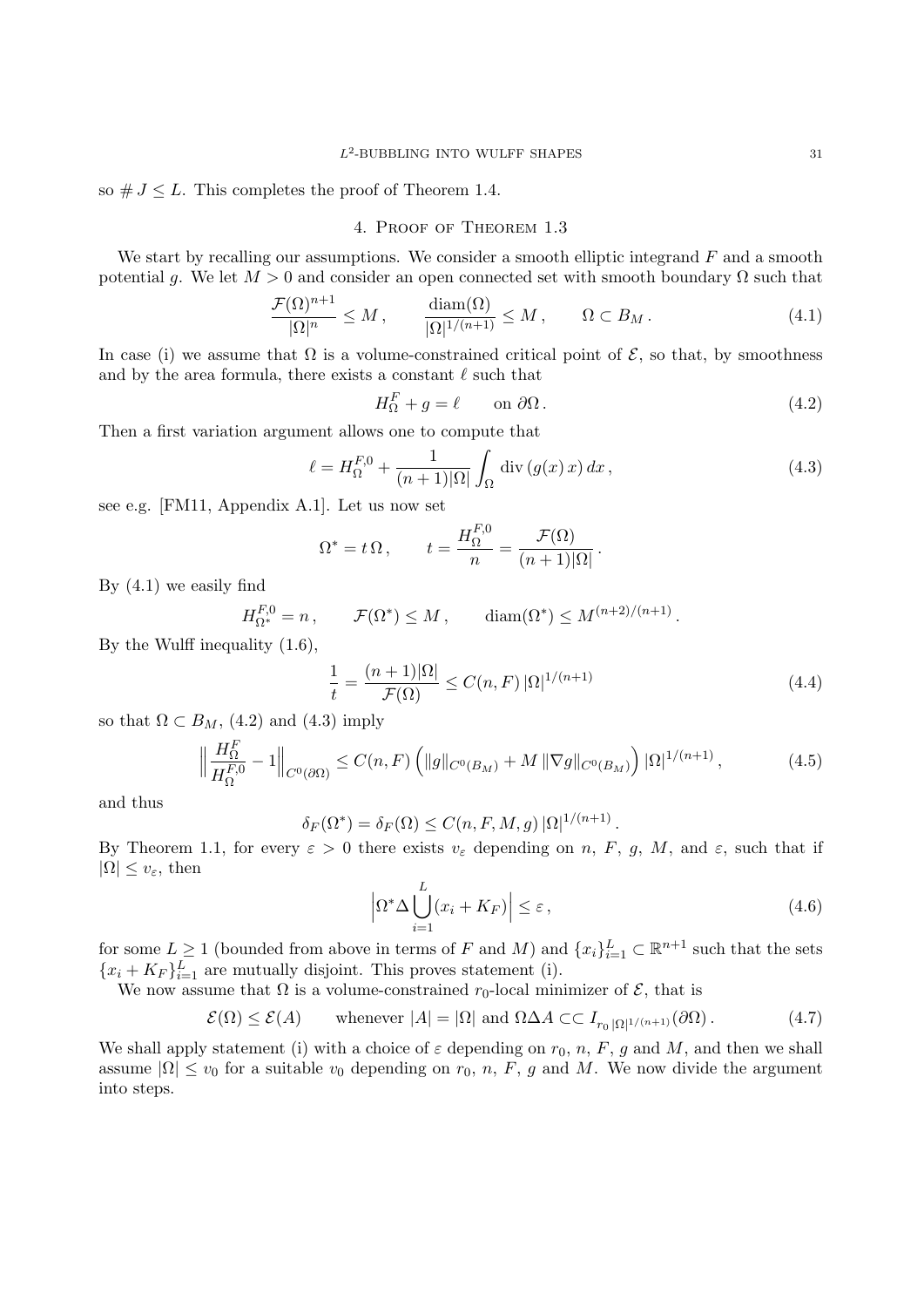so  $\# J \leq L$ . This completes the proof of Theorem 1.4.

# 4. Proof of Theorem 1.3

We start by recalling our assumptions. We consider a smooth elliptic integrand *F* and a smooth potential g. We let  $M > 0$  and consider an open connected set with smooth boundary  $\Omega$  such that

$$
\frac{\mathcal{F}(\Omega)^{n+1}}{|\Omega|^n} \le M \,, \qquad \frac{\text{diam}(\Omega)}{|\Omega|^{1/(n+1)}} \le M \,, \qquad \Omega \subset B_M \,. \tag{4.1}
$$

In case (i) we assume that  $\Omega$  is a volume-constrained critical point of  $\mathcal{E}$ , so that, by smoothness and by the area formula, there exists a constant *ℓ* such that

$$
H_{\Omega}^{F} + g = \ell \qquad \text{on } \partial \Omega. \tag{4.2}
$$

Then a first variation argument allows one to compute that

$$
\ell = H_{\Omega}^{F,0} + \frac{1}{(n+1)|\Omega|} \int_{\Omega} \operatorname{div} (g(x) x) dx , \qquad (4.3)
$$

see e.g. [FM11, Appendix A.1]. Let us now set

$$
\Omega^* = t \, \Omega \,, \qquad t = \frac{H_{\Omega}^{F,0}}{n} = \frac{\mathcal{F}(\Omega)}{(n+1)|\Omega|} \,.
$$

By (4.1) we easily find

 $H_{\Omega^*}^{F,0} = n$ ,  $\mathcal{F}(\Omega^*) \leq M$ ,  $\dim(\Omega^*) \leq M^{(n+2)/(n+1)}$ .

By the Wulff inequality (1.6),

$$
\frac{1}{t} = \frac{(n+1)|\Omega|}{\mathcal{F}(\Omega)} \le C(n, F) |\Omega|^{1/(n+1)}
$$
\n(4.4)

so that  $\Omega \subset B_M$ , (4.2) and (4.3) imply

$$
\left\| \frac{H_{\Omega}^{F}}{H_{\Omega}^{F,0}} - 1 \right\|_{C^{0}(\partial \Omega)} \leq C(n, F) \left( \|g\|_{C^{0}(B_{M})} + M \|\nabla g\|_{C^{0}(B_{M})} \right) |\Omega|^{1/(n+1)}, \tag{4.5}
$$

and thus

$$
\delta_F(\Omega^*) = \delta_F(\Omega) \le C(n, F, M, g) |\Omega|^{1/(n+1)}.
$$

By Theorem 1.1, for every  $\varepsilon > 0$  there exists  $v_{\varepsilon}$  depending on *n*, *F*, *g*, *M*, and  $\varepsilon$ , such that if  $|Ω| ≤ v<sub>ε</sub>$ , then

$$
\left| \Omega^* \Delta \bigcup_{i=1}^L (x_i + K_F) \right| \le \varepsilon \,, \tag{4.6}
$$

for some  $L \geq 1$  (bounded from above in terms of *F* and *M*) and  $\{x_i\}_{i=1}^L \subset \mathbb{R}^{n+1}$  such that the sets  ${x_i + K_F}_{i=1}^L$  are mutually disjoint. This proves statement (i).

We now assume that  $\Omega$  is a volume-constrained  $r_0$ -local minimizer of  $\mathcal{E}$ , that is

$$
\mathcal{E}(\Omega) \le \mathcal{E}(A) \qquad \text{whenever } |A| = |\Omega| \text{ and } \Omega \Delta A \subset I_{r_0 |\Omega|^{1/(n+1)}}(\partial \Omega). \tag{4.7}
$$

We shall apply statement (i) with a choice of  $\varepsilon$  depending on  $r_0$ ,  $n$ ,  $F$ ,  $g$  and  $M$ , and then we shall assume  $|\Omega| \le v_0$  for a suitable  $v_0$  depending on  $r_0$ ,  $n$ ,  $F$ ,  $g$  and  $M$ . We now divide the argument into steps.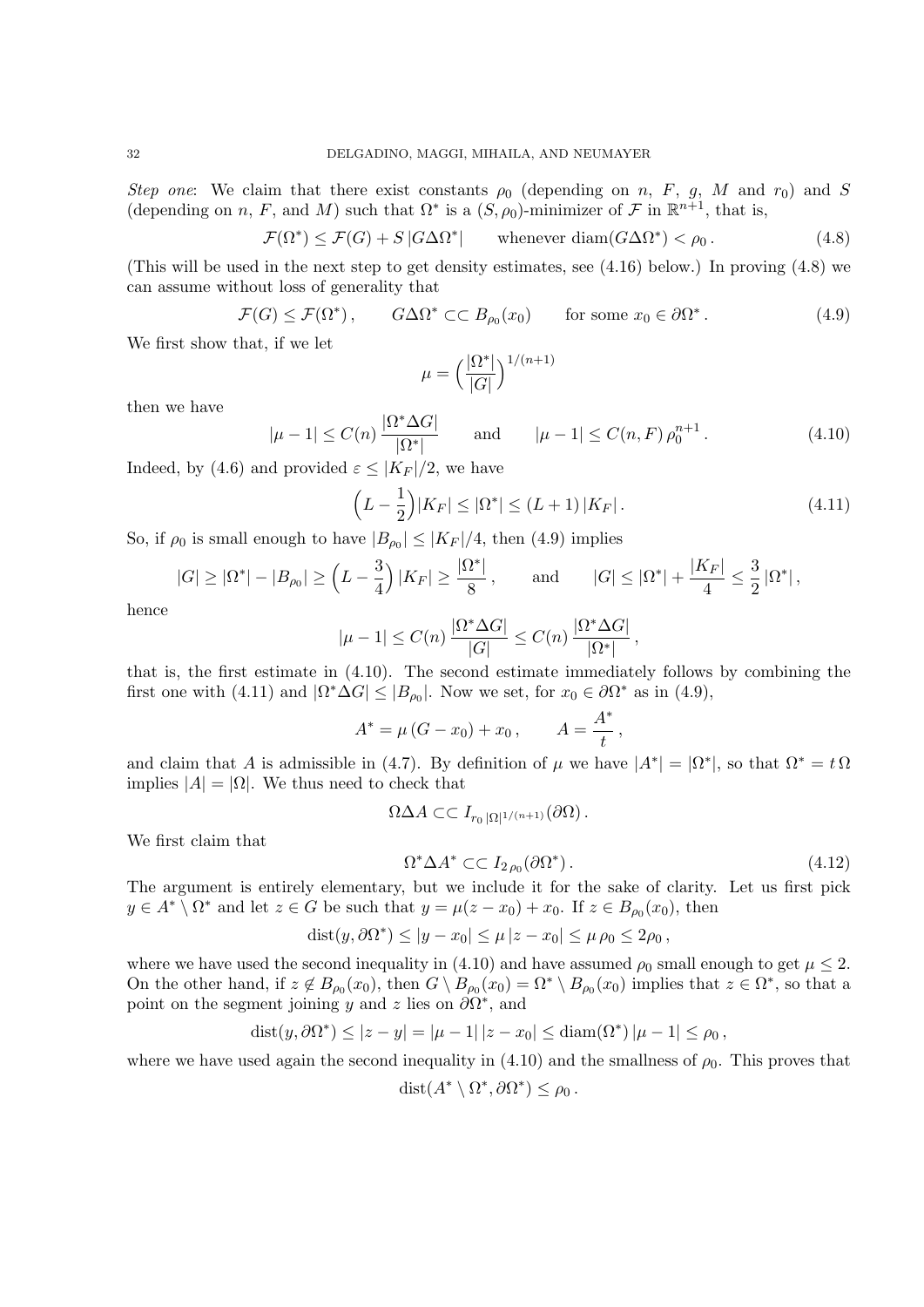*Step one*: We claim that there exist constants  $\rho_0$  (depending on *n*, *F*, *g*, *M* and *r*<sub>0</sub>) and *S* (depending on *n*, *F*, and *M*) such that  $\Omega^*$  is a  $(S, \rho_0)$ -minimizer of *F* in  $\mathbb{R}^{n+1}$ , that is,

$$
\mathcal{F}(\Omega^*) \le \mathcal{F}(G) + S |G \Delta \Omega^*| \qquad \text{whenever } \text{diam}(G \Delta \Omega^*) < \rho_0. \tag{4.8}
$$

(This will be used in the next step to get density estimates, see (4.16) below.) In proving (4.8) we can assume without loss of generality that

$$
\mathcal{F}(G) \le \mathcal{F}(\Omega^*), \qquad G\Delta\Omega^* \subset\subset B_{\rho_0}(x_0) \qquad \text{for some } x_0 \in \partial\Omega^*.
$$
 (4.9)

We first show that, if we let

$$
\mu = \left(\frac{|\Omega^*|}{|G|}\right)^{1/(n+1)}
$$

then we have

$$
|\mu - 1| \le C(n) \frac{|\Omega^* \Delta G|}{|\Omega^*|} \quad \text{and} \quad |\mu - 1| \le C(n, F) \rho_0^{n+1}.
$$
 (4.10)

Indeed, by (4.6) and provided  $\varepsilon \leq |K_F|/2$ , we have

$$
\left(L - \frac{1}{2}\right)|K_F| \le |\Omega^*| \le (L+1)|K_F|\,. \tag{4.11}
$$

So, if  $\rho_0$  is small enough to have  $|B_{\rho_0}| \leq |K_F|/4$ , then (4.9) implies

$$
|G| \ge |\Omega^*| - |B_{\rho_0}| \ge \left(L - \frac{3}{4}\right)|K_F| \ge \frac{|\Omega^*|}{8},
$$
 and  $|G| \le |\Omega^*| + \frac{|K_F|}{4} \le \frac{3}{2} |\Omega^*|,$ 

hence

$$
|\mu - 1| \le C(n) \frac{|\Omega^* \Delta G|}{|G|} \le C(n) \frac{|\Omega^* \Delta G|}{|\Omega^*|},
$$

that is, the first estimate in (4.10). The second estimate immediately follows by combining the first one with (4.11) and  $|\Omega^* \Delta G| \leq |B_{\rho_0}|$ . Now we set, for  $x_0 \in \partial \Omega^*$  as in (4.9),

$$
A^* = \mu (G - x_0) + x_0, \qquad A = \frac{A^*}{t},
$$

and claim that *A* is admissible in (4.7). By definition of  $\mu$  we have  $|A^*| = |\Omega^*|$ , so that  $\Omega^* = t \Omega$ implies  $|A| = |\Omega|$ . We thus need to check that

$$
\Omega \Delta A \subset \subset I_{r_0 |\Omega|^{1/(n+1)}}(\partial \Omega).
$$

We first claim that

$$
\Omega^* \Delta A^* \subset \subset I_{2\rho_0}(\partial \Omega^*).
$$
\n(4.12)

The argument is entirely elementary, but we include it for the sake of clarity. Let us first pick  $y \in A^* \setminus \Omega^*$  and let  $z \in G$  be such that  $y = \mu(z - x_0) + x_0$ . If  $z \in B_{\rho_0}(x_0)$ , then

$$
dist(y, \partial \Omega^*) \le |y - x_0| \le \mu |z - x_0| \le \mu \rho_0 \le 2\rho_0,
$$

where we have used the second inequality in (4.10) and have assumed  $\rho_0$  small enough to get  $\mu \leq 2$ . On the other hand, if  $z \notin B_{\rho_0}(x_0)$ , then  $G \setminus B_{\rho_0}(x_0) = \Omega^* \setminus B_{\rho_0}(x_0)$  implies that  $z \in \Omega^*$ , so that a point on the segment joining *y* and *z* lies on  $\partial\Omega^*$ , and

$$
dist(y, \partial \Omega^*) \le |z - y| = |\mu - 1| |z - x_0| \le \text{diam}(\Omega^*) |\mu - 1| \le \rho_0,
$$

where we have used again the second inequality in  $(4.10)$  and the smallness of  $\rho_0$ . This proves that

$$
dist(A^* \setminus \Omega^*, \partial \Omega^*) \le \rho_0.
$$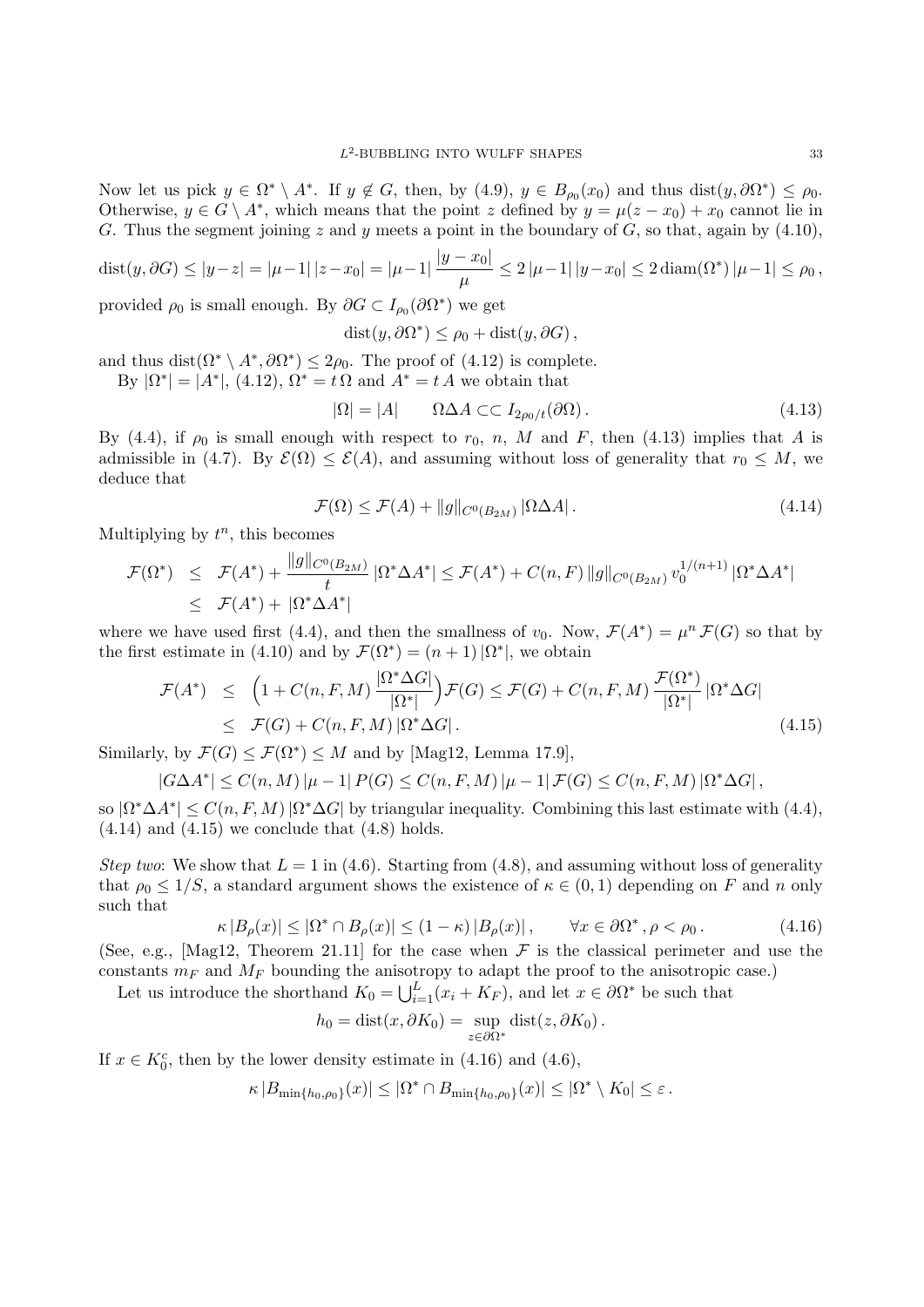Now let us pick  $y \in \Omega^* \setminus A^*$ . If  $y \notin G$ , then, by  $(4.9)$ ,  $y \in B_{\rho_0}(x_0)$  and thus  $dist(y, \partial \Omega^*) \le \rho_0$ . Otherwise,  $y \in G \setminus A^*$ , which means that the point *z* defined by  $y = \mu(z - x_0) + x_0$  cannot lie in *G*. Thus the segment joining *z* and *y* meets a point in the boundary of *G*, so that, again by (4.10),

dist
$$
(y, \partial G) \le |y - z| = |\mu - 1| |z - x_0| = |\mu - 1| \frac{|y - x_0|}{\mu} \le 2 |\mu - 1| |y - x_0| \le 2 \operatorname{diam}(\Omega^*) |\mu - 1| \le \rho_0
$$
,

provided  $\rho_0$  is small enough. By  $\partial G \subset I_{\rho_0}(\partial \Omega^*)$  we get

$$
dist(y, \partial \Omega^*) \le \rho_0 + dist(y, \partial G),
$$

and thus dist $(\Omega^* \setminus A^*, \partial \Omega^*) \leq 2\rho_0$ . The proof of (4.12) is complete.

By 
$$
|\Omega^*| = |A^*|
$$
, (4.12),  $\Omega^* = t \Omega$  and  $A^* = t A$  we obtain that

$$
|\Omega| = |A| \qquad \Omega \Delta A \subset \subset I_{2\rho_0/t}(\partial \Omega). \tag{4.13}
$$

By (4.4), if  $\rho_0$  is small enough with respect to  $r_0$ , *n*, *M* and *F*, then (4.13) implies that *A* is admissible in (4.7). By  $\mathcal{E}(\Omega) \leq \mathcal{E}(A)$ , and assuming without loss of generality that  $r_0 \leq M$ , we deduce that

$$
\mathcal{F}(\Omega) \le \mathcal{F}(A) + ||g||_{C^{0}(B_{2M})} |\Omega \Delta A|.
$$
\n(4.14)

Multiplying by  $t^n$ , this becomes

$$
\mathcal{F}(\Omega^*) \leq \mathcal{F}(A^*) + \frac{\|g\|_{C^0(B_{2M})}}{t} |\Omega^* \Delta A^*| \leq \mathcal{F}(A^*) + C(n, F) \|g\|_{C^0(B_{2M})} v_0^{1/(n+1)} |\Omega^* \Delta A^*|
$$
  

$$
\leq \mathcal{F}(A^*) + |\Omega^* \Delta A^*|
$$

where we have used first (4.4), and then the smallness of  $v_0$ . Now,  $\mathcal{F}(A^*) = \mu^n \mathcal{F}(G)$  so that by the first estimate in (4.10) and by  $\mathcal{F}(\Omega^*) = (n+1) |\Omega^*|$ , we obtain

$$
\mathcal{F}(A^*) \leq \left(1 + C(n, F, M) \frac{|\Omega^* \Delta G|}{|\Omega^*|}\right) \mathcal{F}(G) \leq \mathcal{F}(G) + C(n, F, M) \frac{\mathcal{F}(\Omega^*)}{|\Omega^*|} |\Omega^* \Delta G|
$$
  
\n
$$
\leq \mathcal{F}(G) + C(n, F, M) |\Omega^* \Delta G|.
$$
\n(4.15)

Similarly, by  $\mathcal{F}(G) \leq \mathcal{F}(\Omega^*) \leq M$  and by [Mag12, Lemma 17.9],

$$
|G\Delta A^*| \leq C(n,M) \left| \mu - 1 \right| P(G) \leq C(n,F,M) \left| \mu - 1 \right| \mathcal{F}(G) \leq C(n,F,M) \left| \Omega^* \Delta G \right|,
$$

so  $|\Omega^* \Delta A^*| \leq C(n, F, M) |\Omega^* \Delta G|$  by triangular inequality. Combining this last estimate with (4.4),  $(4.14)$  and  $(4.15)$  we conclude that  $(4.8)$  holds.

*Step two*: We show that  $L = 1$  in (4.6). Starting from (4.8), and assuming without loss of generality that  $\rho_0 \leq 1/S$ , a standard argument shows the existence of  $\kappa \in (0,1)$  depending on F and n only such that

$$
\kappa |B_{\rho}(x)| \leq |\Omega^* \cap B_{\rho}(x)| \leq (1 - \kappa) |B_{\rho}(x)| \,, \qquad \forall x \in \partial \Omega^* \,, \rho < \rho_0 \,. \tag{4.16}
$$

(See, e.g., [Mag12, Theorem 21.11] for the case when  $\mathcal F$  is the classical perimeter and use the constants  $m_F$  and  $M_F$  bounding the anisotropy to adapt the proof to the anisotropic case.)

Let us introduce the shorthand  $K_0 = \bigcup_{i=1}^{L} (x_i + K_F)$ , and let  $x \in \partial \Omega^*$  be such that

$$
h_0 = \text{dist}(x, \partial K_0) = \sup_{z \in \partial \Omega^*} \text{dist}(z, \partial K_0).
$$

If  $x \in K_0^c$ , then by the lower density estimate in (4.16) and (4.6),

$$
\kappa |B_{\min\{h_0,\rho_0\}}(x)| \leq |\Omega^* \cap B_{\min\{h_0,\rho_0\}}(x)| \leq |\Omega^* \setminus K_0| \leq \varepsilon.
$$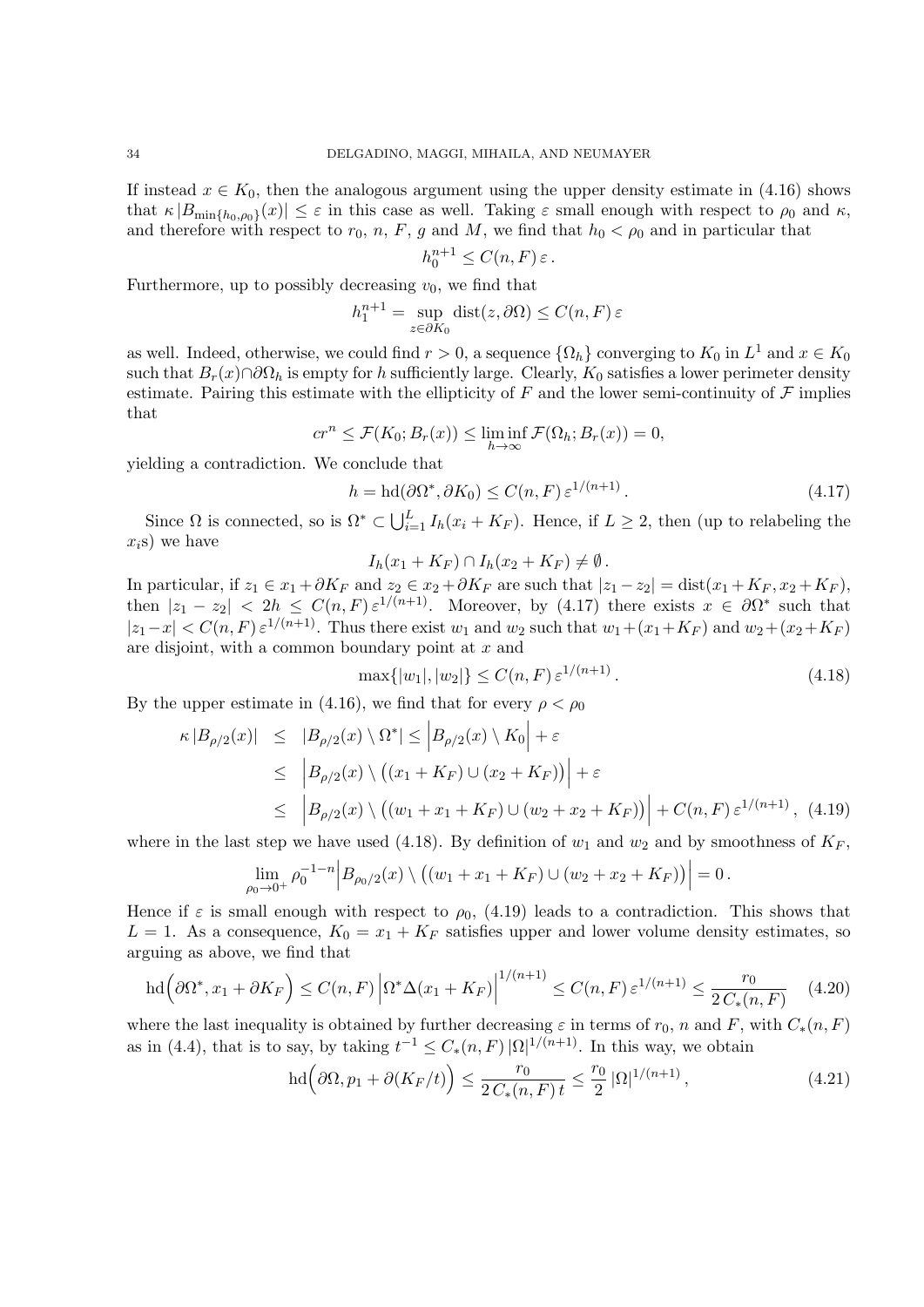If instead  $x \in K_0$ , then the analogous argument using the upper density estimate in (4.16) shows that  $\kappa |B_{\min\{h_0,\rho_0\}}(x)| \leq \varepsilon$  in this case as well. Taking  $\varepsilon$  small enough with respect to  $\rho_0$  and  $\kappa$ , and therefore with respect to  $r_0$ , *n*, *F*, *g* and *M*, we find that  $h_0 < \rho_0$  and in particular that

$$
h_0^{n+1} \le C(n, F) \varepsilon.
$$

Furthermore, up to possibly decreasing  $v_0$ , we find that

$$
h_1^{n+1} = \sup_{z \in \partial K_0} \text{dist}(z, \partial \Omega) \le C(n, F) \,\varepsilon
$$

as well. Indeed, otherwise, we could find  $r > 0$ , a sequence  $\{\Omega_h\}$  converging to  $K_0$  in  $L^1$  and  $x \in K_0$ such that  $B_r(x) \cap \partial \Omega_h$  is empty for *h* sufficiently large. Clearly,  $K_0$  satisfies a lower perimeter density estimate. Pairing this estimate with the ellipticity of  $F$  and the lower semi-continuity of  $F$  implies that

$$
cr^{n} \leq \mathcal{F}(K_0; B_r(x)) \leq \liminf_{h \to \infty} \mathcal{F}(\Omega_h; B_r(x)) = 0,
$$

yielding a contradiction. We conclude that

$$
h = \text{hd}(\partial \Omega^*, \partial K_0) \le C(n, F) \,\varepsilon^{1/(n+1)}\,. \tag{4.17}
$$

Since  $\Omega$  is connected, so is  $\Omega^* \subset \bigcup_{i=1}^L I_h(x_i + K_F)$ . Hence, if  $L \geq 2$ , then (up to relabeling the *xi*s) we have

$$
I_h(x_1+K_F)\cap I_h(x_2+K_F)\neq\emptyset.
$$

In particular, if  $z_1 \in x_1 + \partial K_F$  and  $z_2 \in x_2 + \partial K_F$  are such that  $|z_1 - z_2| = \text{dist}(x_1 + K_F, x_2 + K_F)$ , then  $|z_1 - z_2|$   $\leq 2h \leq C(n, F) \varepsilon^{1/(n+1)}$ . Moreover, by (4.17) there exists  $x \in \partial \Omega^*$  such that  $|z_1-x| < C(n,F) \varepsilon^{1/(n+1)}$ . Thus there exist  $w_1$  and  $w_2$  such that  $w_1 + (x_1 + K_F)$  and  $w_2 + (x_2 + K_F)$ are disjoint, with a common boundary point at *x* and

$$
\max\{|w_1|, |w_2|\} \le C(n, F) \, \varepsilon^{1/(n+1)} \,. \tag{4.18}
$$

By the upper estimate in (4.16), we find that for every  $\rho < \rho_0$ 

$$
\kappa |B_{\rho/2}(x)| \leq |B_{\rho/2}(x) \setminus \Omega^*| \leq |B_{\rho/2}(x) \setminus K_0| + \varepsilon
$$
  
\n
$$
\leq |B_{\rho/2}(x) \setminus ((x_1 + K_F) \cup (x_2 + K_F))| + \varepsilon
$$
  
\n
$$
\leq |B_{\rho/2}(x) \setminus ((w_1 + x_1 + K_F) \cup (w_2 + x_2 + K_F))| + C(n, F) \varepsilon^{1/(n+1)},
$$
(4.19)

where in the last step we have used (4.18). By definition of  $w_1$  and  $w_2$  and by smoothness of  $K_F$ ,

$$
\lim_{\rho_0 \to 0^+} \rho_0^{-1-n} \Big| B_{\rho_0/2}(x) \setminus \big( (w_1 + x_1 + K_F) \cup (w_2 + x_2 + K_F) \big) \Big| = 0.
$$

Hence if  $\varepsilon$  is small enough with respect to  $\rho_0$ , (4.19) leads to a contradiction. This shows that  $L = 1$ . As a consequence,  $K_0 = x_1 + K_F$  satisfies upper and lower volume density estimates, so arguing as above, we find that

$$
\mathrm{hd}\Big(\partial\Omega^*, x_1 + \partial K_F\Big) \le C(n, F) \left| \Omega^* \Delta(x_1 + K_F) \right|^{1/(n+1)} \le C(n, F) \,\varepsilon^{1/(n+1)} \le \frac{r_0}{2 \, C_*(n, F)} \tag{4.20}
$$

where the last inequality is obtained by further decreasing  $\varepsilon$  in terms of  $r_0$ , *n* and *F*, with  $C_*(n, F)$ as in (4.4), that is to say, by taking  $t^{-1} \leq C_*(n, F) |\Omega|^{1/(n+1)}$ . In this way, we obtain

$$
\mathrm{hd}\Big(\partial\Omega, p_1 + \partial (K_F/t)\Big) \le \frac{r_0}{2\,C_*(n,F)\,t} \le \frac{r_0}{2} \, |\Omega|^{1/(n+1)}\,,\tag{4.21}
$$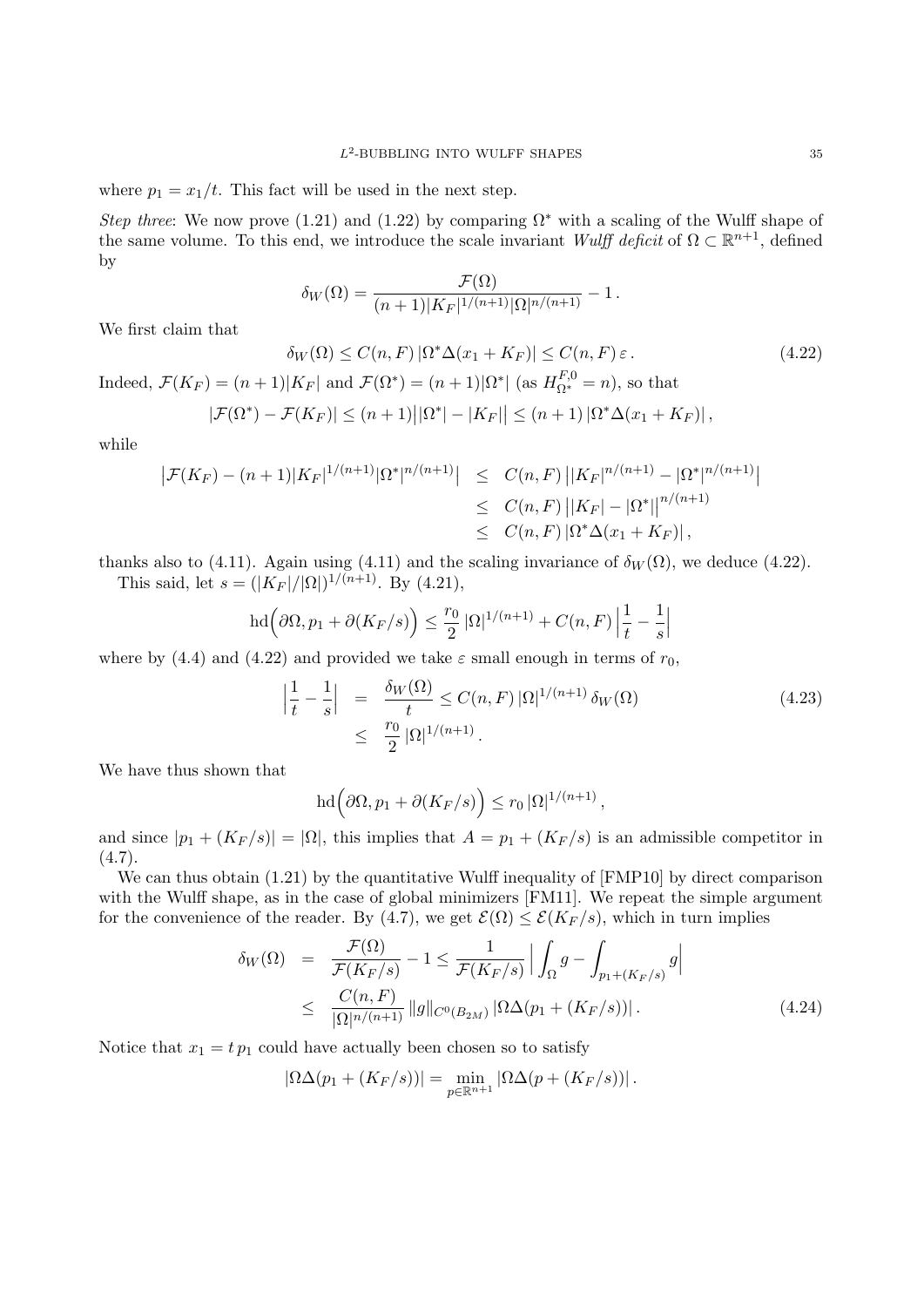where  $p_1 = x_1/t$ . This fact will be used in the next step.

*Step three*: We now prove (1.21) and (1.22) by comparing  $\Omega^*$  with a scaling of the Wulff shape of the same volume. To this end, we introduce the scale invariant *Wulff deficit* of  $\Omega \subset \mathbb{R}^{n+1}$ , defined by

$$
\delta_W(\Omega) = \frac{\mathcal{F}(\Omega)}{(n+1)|K_F|^{1/(n+1)}|\Omega|^{n/(n+1)}} - 1.
$$

We first claim that

 $\delta_W(\Omega) \le C(n, F) |\Omega^* \Delta(x_1 + K_F)| \le C(n, F) \varepsilon.$  (4.22) Indeed,  $\mathcal{F}(K_F) = (n+1)|K_F|$  and  $\mathcal{F}(\Omega^*) = (n+1)|\Omega^*|$  (as  $H_{\Omega^*}^{F,0} = n$ ), so that

$$
|\mathcal{F}(\Omega^*) - \mathcal{F}(K_F)| \le (n+1) \big| |\Omega^*| - |K_F| \big| \le (n+1) |\Omega^* \Delta(x_1 + K_F)|,
$$

while

$$
\begin{aligned} \left| \mathcal{F}(K_F) - (n+1)|K_F|^{1/(n+1)} |\Omega^*|^{n/(n+1)} \right| &\leq C(n,F) \left| |K_F|^{n/(n+1)} - |\Omega^*|^{n/(n+1)} \right| \\ &\leq C(n,F) \left| |K_F| - |\Omega^*| \right|^{n/(n+1)} \\ &\leq C(n,F) \left| \Omega^* \Delta(x_1 + K_F) \right|, \end{aligned}
$$

thanks also to (4.11). Again using (4.11) and the scaling invariance of  $\delta_W(\Omega)$ , we deduce (4.22). This said, let  $s = (|K_F|/|\Omega|)^{1/(n+1)}$ . By (4.21),

$$
\operatorname{hd}\left(\partial\Omega,p_1+\partial(K_F/s)\right)\leq \frac{r_0}{2}\left|\Omega\right|^{1/(n+1)}+C(n,F)\left|\frac{1}{t}-\frac{1}{s}\right|
$$

where by (4.4) and (4.22) and provided we take  $\varepsilon$  small enough in terms of  $r_0$ ,

$$
\left| \frac{1}{t} - \frac{1}{s} \right| = \frac{\delta_W(\Omega)}{t} \le C(n, F) |\Omega|^{1/(n+1)} \delta_W(\Omega)
$$
\n
$$
\le \frac{r_0}{2} |\Omega|^{1/(n+1)}.
$$
\n(4.23)

We have thus shown that

$$
\mathrm{hd}\Big(\partial\Omega,p_1+\partial(K_F/s)\Big)\leq r_0\,|\Omega|^{1/(n+1)}\,,
$$

and since  $|p_1 + (K_F/s)| = |\Omega|$ , this implies that  $A = p_1 + (K_F/s)$  is an admissible competitor in  $(4.7).$ 

We can thus obtain  $(1.21)$  by the quantitative Wulff inequality of [FMP10] by direct comparison with the Wulff shape, as in the case of global minimizers [FM11]. We repeat the simple argument for the convenience of the reader. By (4.7), we get  $\mathcal{E}(\Omega) \leq \mathcal{E}(K_F/s)$ , which in turn implies

$$
\delta_W(\Omega) = \frac{\mathcal{F}(\Omega)}{\mathcal{F}(K_F/s)} - 1 \le \frac{1}{\mathcal{F}(K_F/s)} \Big| \int_{\Omega} g - \int_{p_1 + (K_F/s)} g \Big|
$$
  

$$
\le \frac{C(n, F)}{|\Omega|^{n/(n+1)}} \|g\|_{C^0(B_{2M})} |\Omega \Delta(p_1 + (K_F/s))|.
$$
 (4.24)

Notice that  $x_1 = tp_1$  could have actually been chosen so to satisfy

$$
|\Omega\Delta(p_1+(K_F/s))|=\min_{p\in\mathbb{R}^{n+1}}|\Omega\Delta(p+(K_F/s))|.
$$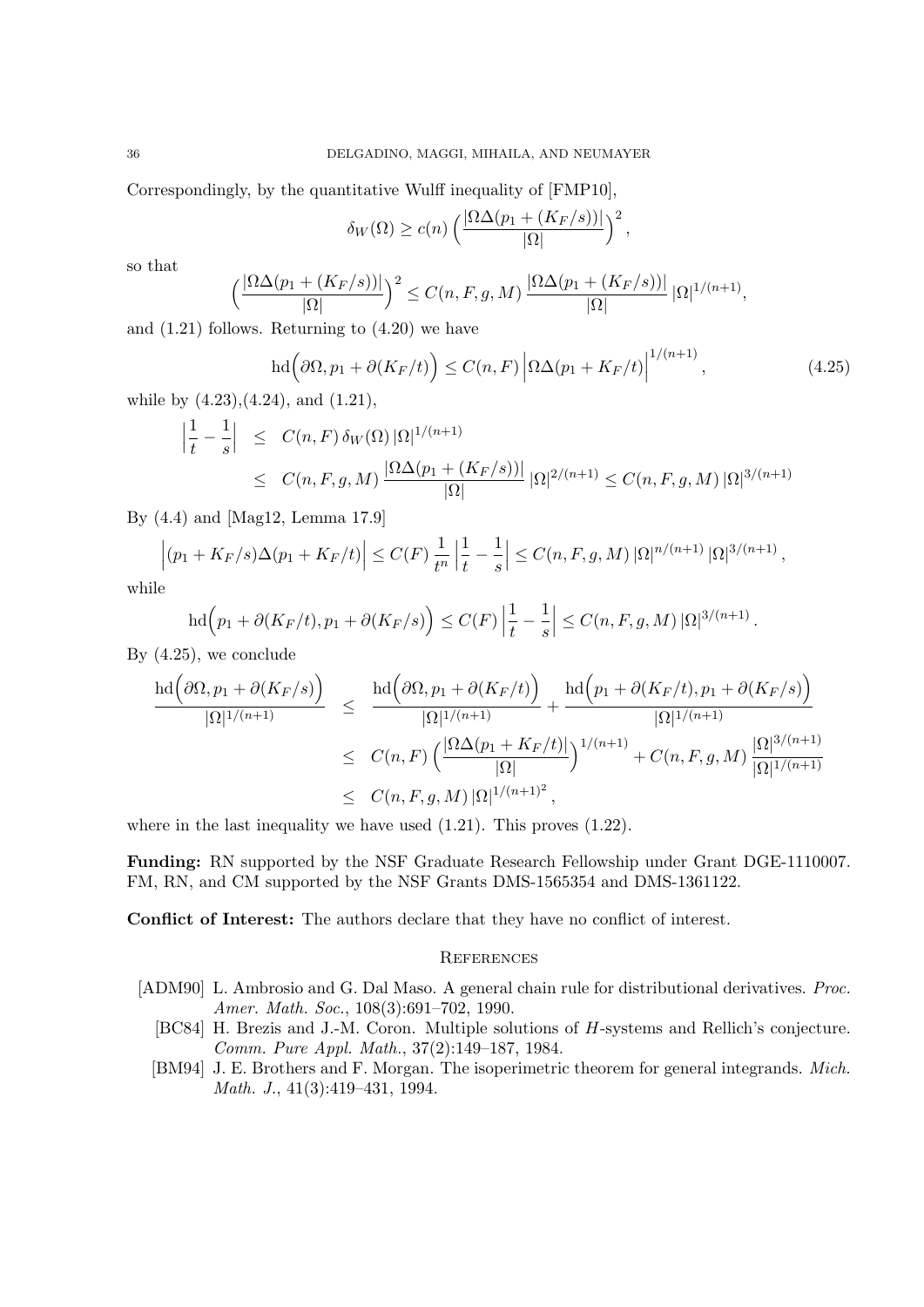Correspondingly, by the quantitative Wulff inequality of [FMP10],

$$
\delta_W(\Omega) \ge c(n) \left( \frac{|\Omega \Delta(p_1 + (K_F/s))|}{|\Omega|} \right)^2,
$$

so that

$$
\left(\frac{|\Omega\Delta(p_1+(K_F/s))|}{|\Omega|}\right)^2\leq C(n,F,g,M)\,\frac{|\Omega\Delta(p_1+(K_F/s))|}{|\Omega|}\,|\Omega|^{1/(n+1)},
$$

and (1.21) follows. Returning to (4.20) we have

$$
\mathrm{hd}\left(\partial\Omega,p_{1}+\partial(K_{F}/t)\right)\leq C(n,F)\left|\Omega\Delta(p_{1}+K_{F}/t)\right|^{1/(n+1)},\tag{4.25}
$$

*.*

while by  $(4.23)$ , $(4.24)$ , and  $(1.21)$ ,

$$
\left| \frac{1}{t} - \frac{1}{s} \right| \leq C(n, F) \, \delta_W(\Omega) \, |\Omega|^{1/(n+1)} \\
\leq C(n, F, g, M) \, \frac{|\Omega \Delta(p_1 + (K_F/s))|}{|\Omega|} \, |\Omega|^{2/(n+1)} \leq C(n, F, g, M) \, |\Omega|^{3/(n+1)}
$$

By (4.4) and [Mag12, Lemma 17.9]

$$
\left| (p_1 + K_F/s)\Delta(p_1 + K_F/t) \right| \le C(F) \frac{1}{t^n} \left| \frac{1}{t} - \frac{1}{s} \right| \le C(n, F, g, M) |\Omega|^{n/(n+1)} |\Omega|^{3/(n+1)},
$$

while

$$
hd(p_1 + \partial (K_F/t), p_1 + \partial (K_F/s)) \le C(F) \left| \frac{1}{t} - \frac{1}{s} \right| \le C(n, F, g, M) |\Omega|^{3/(n+1)}
$$

By (4.25), we conclude

$$
\frac{\mathrm{hd}(\partial\Omega, p_1 + \partial(K_F/s))}{|\Omega|^{1/(n+1)}} \leq \frac{\mathrm{hd}(\partial\Omega, p_1 + \partial(K_F/t))}{|\Omega|^{1/(n+1)}} + \frac{\mathrm{hd}(p_1 + \partial(K_F/t), p_1 + \partial(K_F/s))}{|\Omega|^{1/(n+1)}} \\
\leq C(n, F) \left(\frac{|\Omega\Delta(p_1 + K_F/t)|}{|\Omega|}\right)^{1/(n+1)} + C(n, F, g, M) \frac{|\Omega|^{3/(n+1)}}{|\Omega|^{1/(n+1)}} \\
\leq C(n, F, g, M) |\Omega|^{1/(n+1)^2},
$$

where in the last inequality we have used  $(1.21)$ . This proves  $(1.22)$ .

**Funding:** RN supported by the NSF Graduate Research Fellowship under Grant DGE-1110007. FM, RN, and CM supported by the NSF Grants DMS-1565354 and DMS-1361122.

**Conflict of Interest:** The authors declare that they have no conflict of interest.

# **REFERENCES**

- [ADM90] L. Ambrosio and G. Dal Maso. A general chain rule for distributional derivatives. *Proc. Amer. Math. Soc.*, 108(3):691–702, 1990.
	- [BC84] H. Brezis and J.-M. Coron. Multiple solutions of *H*-systems and Rellich's conjecture. *Comm. Pure Appl. Math.*, 37(2):149–187, 1984.
	- [BM94] J. E. Brothers and F. Morgan. The isoperimetric theorem for general integrands. *Mich. Math. J.*, 41(3):419–431, 1994.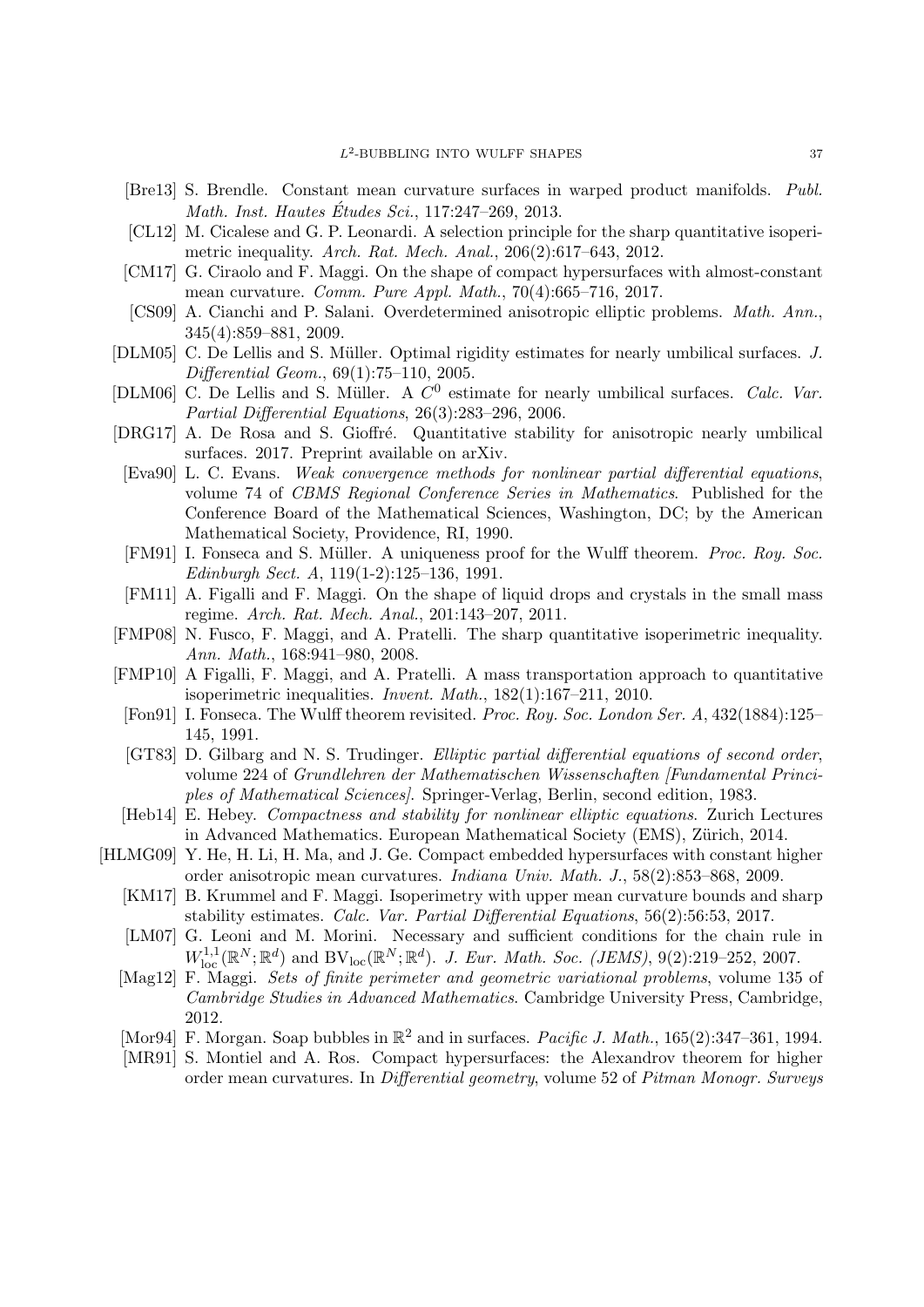- [Bre13] S. Brendle. Constant mean curvature surfaces in warped product manifolds. *Publ. Math. Inst. Hautes Etudes Sci. ´* , 117:247–269, 2013.
- [CL12] M. Cicalese and G. P. Leonardi. A selection principle for the sharp quantitative isoperimetric inequality. *Arch. Rat. Mech. Anal.*, 206(2):617–643, 2012.
- [CM17] G. Ciraolo and F. Maggi. On the shape of compact hypersurfaces with almost-constant mean curvature. *Comm. Pure Appl. Math.*, 70(4):665–716, 2017.
- [CS09] A. Cianchi and P. Salani. Overdetermined anisotropic elliptic problems. *Math. Ann.*, 345(4):859–881, 2009.
- [DLM05] C. De Lellis and S. M¨uller. Optimal rigidity estimates for nearly umbilical surfaces. *J. Differential Geom.*, 69(1):75–110, 2005.
- [DLM06] C. De Lellis and S. Müller. A  $C^0$  estimate for nearly umbilical surfaces. *Calc. Var. Partial Differential Equations*, 26(3):283–296, 2006.
- [DRG17] A. De Rosa and S. Gioffré. Quantitative stability for anisotropic nearly umbilical surfaces. 2017. Preprint available on arXiv.
- [Eva90] L. C. Evans. *Weak convergence methods for nonlinear partial differential equations*, volume 74 of *CBMS Regional Conference Series in Mathematics*. Published for the Conference Board of the Mathematical Sciences, Washington, DC; by the American Mathematical Society, Providence, RI, 1990.
- [FM91] I. Fonseca and S. Müller. A uniqueness proof for the Wulff theorem. *Proc. Roy. Soc. Edinburgh Sect. A*, 119(1-2):125–136, 1991.
- [FM11] A. Figalli and F. Maggi. On the shape of liquid drops and crystals in the small mass regime. *Arch. Rat. Mech. Anal.*, 201:143–207, 2011.
- [FMP08] N. Fusco, F. Maggi, and A. Pratelli. The sharp quantitative isoperimetric inequality. *Ann. Math.*, 168:941–980, 2008.
- [FMP10] A Figalli, F. Maggi, and A. Pratelli. A mass transportation approach to quantitative isoperimetric inequalities. *Invent. Math.*, 182(1):167–211, 2010.
- [Fon91] I. Fonseca. The Wulff theorem revisited. *Proc. Roy. Soc. London Ser. A*, 432(1884):125– 145, 1991.
- [GT83] D. Gilbarg and N. S. Trudinger. *Elliptic partial differential equations of second order*, volume 224 of *Grundlehren der Mathematischen Wissenschaften [Fundamental Principles of Mathematical Sciences]*. Springer-Verlag, Berlin, second edition, 1983.
- [Heb14] E. Hebey. *Compactness and stability for nonlinear elliptic equations*. Zurich Lectures in Advanced Mathematics. European Mathematical Society (EMS), Zürich, 2014.
- [HLMG09] Y. He, H. Li, H. Ma, and J. Ge. Compact embedded hypersurfaces with constant higher order anisotropic mean curvatures. *Indiana Univ. Math. J.*, 58(2):853–868, 2009.
	- [KM17] B. Krummel and F. Maggi. Isoperimetry with upper mean curvature bounds and sharp stability estimates. *Calc. Var. Partial Differential Equations*, 56(2):56:53, 2017.
	- [LM07] G. Leoni and M. Morini. Necessary and sufficient conditions for the chain rule in  $W^{1,1}_{loc}(\mathbb{R}^N;\mathbb{R}^d)$  and  $BV_{loc}(\mathbb{R}^N;\mathbb{R}^d)$ . *J. Eur. Math. Soc.* (*JEMS*), 9(2):219–252, 2007.
	- [Mag12] F. Maggi. *Sets of finite perimeter and geometric variational problems*, volume 135 of *Cambridge Studies in Advanced Mathematics*. Cambridge University Press, Cambridge, 2012.
	- [Mor94] F. Morgan. Soap bubbles in  $\mathbb{R}^2$  and in surfaces. *Pacific J. Math.*, 165(2):347-361, 1994.
	- [MR91] S. Montiel and A. Ros. Compact hypersurfaces: the Alexandrov theorem for higher order mean curvatures. In *Differential geometry*, volume 52 of *Pitman Monogr. Surveys*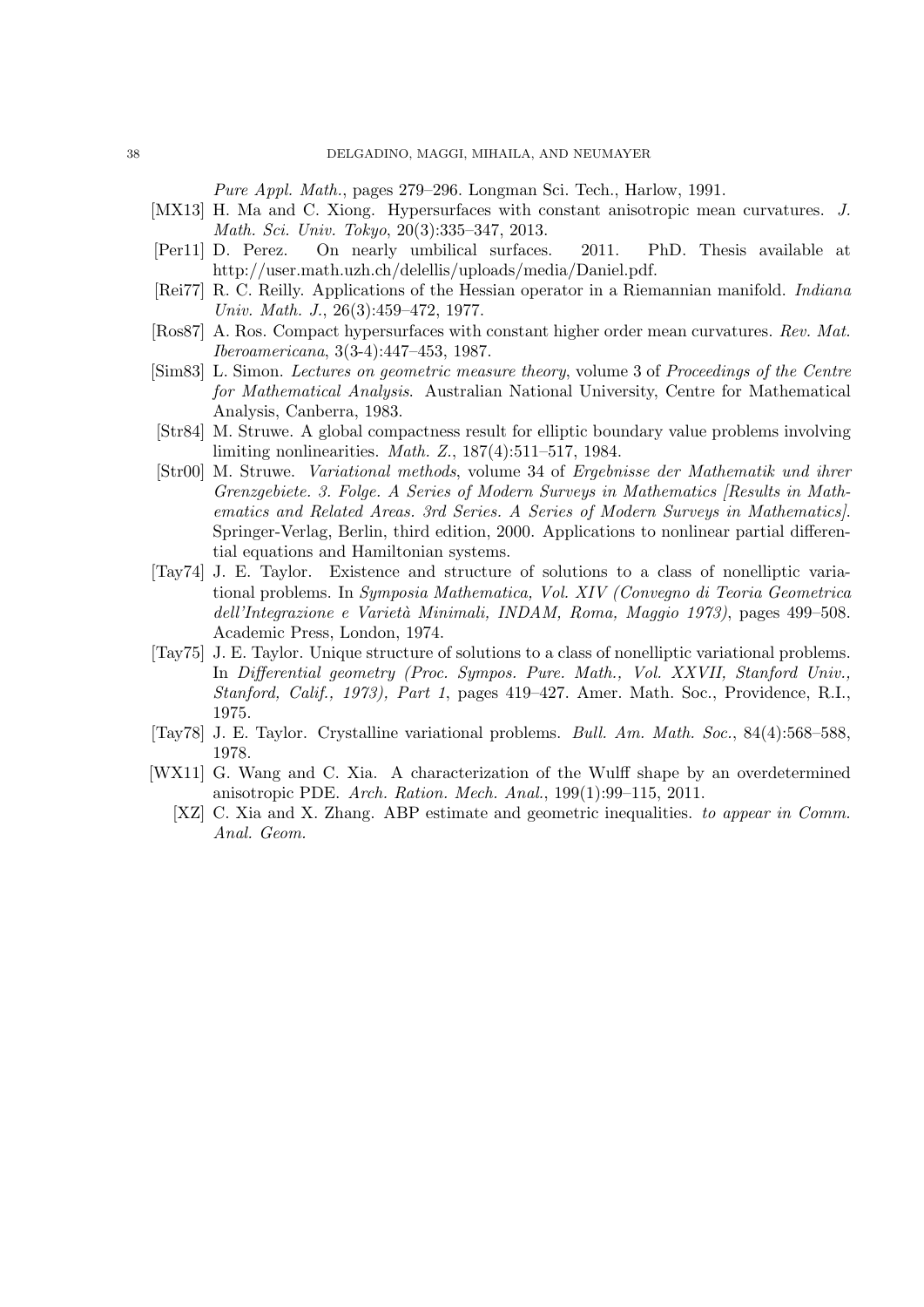*Pure Appl. Math.*, pages 279–296. Longman Sci. Tech., Harlow, 1991.

- [MX13] H. Ma and C. Xiong. Hypersurfaces with constant anisotropic mean curvatures. *J. Math. Sci. Univ. Tokyo*, 20(3):335–347, 2013.
- [Per11] D. Perez. On nearly umbilical surfaces. 2011. PhD. Thesis available at http://user.math.uzh.ch/delellis/uploads/media/Daniel.pdf.
- [Rei77] R. C. Reilly. Applications of the Hessian operator in a Riemannian manifold. *Indiana Univ. Math. J.*, 26(3):459–472, 1977.
- [Ros87] A. Ros. Compact hypersurfaces with constant higher order mean curvatures. *Rev. Mat. Iberoamericana*, 3(3-4):447–453, 1987.
- [Sim83] L. Simon. *Lectures on geometric measure theory*, volume 3 of *Proceedings of the Centre for Mathematical Analysis*. Australian National University, Centre for Mathematical Analysis, Canberra, 1983.
- [Str84] M. Struwe. A global compactness result for elliptic boundary value problems involving limiting nonlinearities. *Math. Z.*, 187(4):511–517, 1984.
- [Str00] M. Struwe. *Variational methods*, volume 34 of *Ergebnisse der Mathematik und ihrer Grenzgebiete. 3. Folge. A Series of Modern Surveys in Mathematics [Results in Mathematics and Related Areas. 3rd Series. A Series of Modern Surveys in Mathematics]*. Springer-Verlag, Berlin, third edition, 2000. Applications to nonlinear partial differential equations and Hamiltonian systems.
- [Tay74] J. E. Taylor. Existence and structure of solutions to a class of nonelliptic variational problems. In *Symposia Mathematica, Vol. XIV (Convegno di Teoria Geometrica dell'Integrazione e Variet`a Minimali, INDAM, Roma, Maggio 1973)*, pages 499–508. Academic Press, London, 1974.
- [Tay75] J. E. Taylor. Unique structure of solutions to a class of nonelliptic variational problems. In *Differential geometry (Proc. Sympos. Pure. Math., Vol. XXVII, Stanford Univ., Stanford, Calif., 1973), Part 1*, pages 419–427. Amer. Math. Soc., Providence, R.I., 1975.
- [Tay78] J. E. Taylor. Crystalline variational problems. *Bull. Am. Math. Soc.*, 84(4):568–588, 1978.
- [WX11] G. Wang and C. Xia. A characterization of the Wulff shape by an overdetermined anisotropic PDE. *Arch. Ration. Mech. Anal.*, 199(1):99–115, 2011.
	- [XZ] C. Xia and X. Zhang. ABP estimate and geometric inequalities. *to appear in Comm. Anal. Geom.*